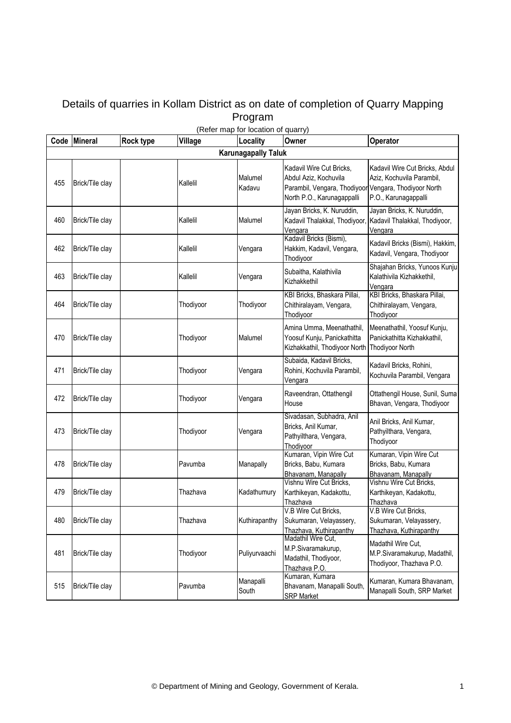## Details of quarries in Kollam District as on date of completion of Quarry Mapping Program

| Code | <b>Mineral</b>  | Rock type | Village   | (Refer map for location of quarry)<br>Locality | Owner                                                                                                                                    | Operator                                                                             |
|------|-----------------|-----------|-----------|------------------------------------------------|------------------------------------------------------------------------------------------------------------------------------------------|--------------------------------------------------------------------------------------|
|      |                 |           |           | <b>Karunagapally Taluk</b>                     |                                                                                                                                          |                                                                                      |
|      |                 |           |           |                                                |                                                                                                                                          |                                                                                      |
| 455  | Brick/Tile clay |           | Kallelil  | Malumel<br>Kadavu                              | Kadavil Wire Cut Bricks,<br>Abdul Aziz, Kochuvila<br>Parambil, Vengara, Thodiyoor Vengara, Thodiyoor North<br>North P.O., Karunagappalli | Kadavil Wire Cut Bricks, Abdul<br>Aziz, Kochuvila Parambil,<br>P.O., Karunagappalli  |
| 460  | Brick/Tile clay |           | Kallelil  | Malumel                                        | Jayan Bricks, K. Nuruddin,<br>Kadavil Thalakkal, Thodiyoor,<br>Vengara                                                                   | Jayan Bricks, K. Nuruddin,<br>Kadavil Thalakkal, Thodiyoor,<br>Vengara               |
| 462  | Brick/Tile clay |           | Kallelil  | Vengara                                        | Kadavil Bricks (Bismi),<br>Hakkim, Kadavil, Vengara,<br>Thodiyoor                                                                        | Kadavil Bricks (Bismi), Hakkim,<br>Kadavil, Vengara, Thodiyoor                       |
| 463  | Brick/Tile clay |           | Kallelil  | Vengara                                        | Subaitha, Kalathivila<br>Kizhakkethil                                                                                                    | Shajahan Bricks, Yunoos Kunju<br>Kalathivila Kizhakkethil,<br>Vengara                |
| 464  | Brick/Tile clay |           | Thodiyoor | Thodiyoor                                      | KBI Bricks, Bhaskara Pillai,<br>Chithiralayam, Vengara,<br>Thodiyoor                                                                     | KBI Bricks, Bhaskara Pillai,<br>Chithiralayam, Vengara,<br>Thodiyoor                 |
| 470  | Brick/Tile clay |           | Thodiyoor | Malumel                                        | Amina Umma, Meenathathil,<br>Yoosuf Kunju, Panickathitta<br>Kizhakkathil, Thodiyoor North                                                | Meenathathil, Yoosuf Kunju,<br>Panickathitta Kizhakkathil,<br><b>Thodiyoor North</b> |
| 471  | Brick/Tile clay |           | Thodiyoor | Vengara                                        | Subaida, Kadavil Bricks,<br>Rohini, Kochuvila Parambil,<br>Vengara                                                                       | Kadavil Bricks, Rohini,<br>Kochuvila Parambil, Vengara                               |
| 472  | Brick/Tile clay |           | Thodiyoor | Vengara                                        | Raveendran, Ottathengil<br>House                                                                                                         | Ottathengil House, Sunil, Suma<br>Bhavan, Vengara, Thodiyoor                         |
| 473  | Brick/Tile clay |           | Thodiyoor | Vengara                                        | Sivadasan, Subhadra, Anil<br>Bricks, Anil Kumar,<br>Pathyilthara, Vengara,<br>Thodiyoor                                                  | Anil Bricks, Anil Kumar,<br>Pathyilthara, Vengara,<br>Thodiyoor                      |
| 478  | Brick/Tile clay |           | Pavumba   | Manapally                                      | Kumaran, Vipin Wire Cut<br>Bricks, Babu, Kumara<br>Bhavanam, Manapally                                                                   | Kumaran, Vipin Wire Cut<br>Bricks, Babu, Kumara<br>Bhavanam, Manapally               |
| 479  | Brick/Tile clay |           | Thazhava  | Kadathumury                                    | Vishnu Wire Cut Bricks,<br>Karthikeyan, Kadakottu,<br>Thazhava                                                                           | Vishnu Wire Cut Bricks,<br>Karthikeyan, Kadakottu,<br>Thazhava                       |
| 480  | Brick/Tile clay |           | Thazhava  | Kuthirapanthy                                  | V.B Wire Cut Bricks,<br>Sukumaran, Velayassery,<br>Thazhava, Kuthirapanthy                                                               | V.B Wire Cut Bricks<br>Sukumaran, Velayassery,<br>Thazhava, Kuthirapanthy            |
| 481  | Brick/Tile clay |           | Thodiyoor | Puliyurvaachi                                  | Madathil Wire Cut,<br>M.P.Sivaramakurup,<br>Madathil, Thodiyoor,<br>Thazhava P.O.                                                        | Madathil Wire Cut,<br>M.P.Sivaramakurup, Madathil,<br>Thodiyoor, Thazhava P.O.       |
| 515  | Brick/Tile clay |           | Pavumba   | Manapalli<br>South                             | Kumaran, Kumara<br>Bhavanam, Manapalli South,<br><b>SRP Market</b>                                                                       | Kumaran, Kumara Bhavanam,<br>Manapalli South, SRP Market                             |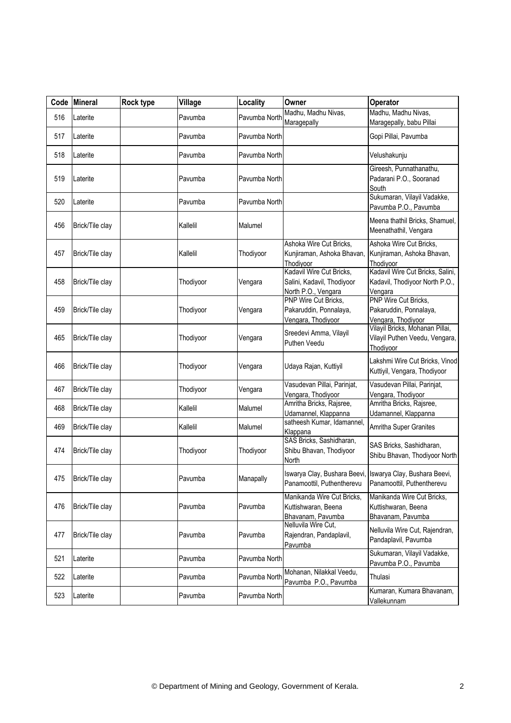| Code | Mineral         | Rock type | Village   | Locality      | Owner                                                                         | Operator                                                                                |
|------|-----------------|-----------|-----------|---------------|-------------------------------------------------------------------------------|-----------------------------------------------------------------------------------------|
| 516  | Laterite        |           | Pavumba   | Pavumba North | Madhu, Madhu Nivas,<br>Maragepally                                            | Madhu, Madhu Nivas,<br>Maragepally, babu Pillai                                         |
| 517  | Laterite        |           | Pavumba   | Pavumba North |                                                                               | Gopi Pillai, Pavumba                                                                    |
| 518  | Laterite        |           | Pavumba   | Pavumba North |                                                                               | Velushakunju                                                                            |
| 519  | Laterite        |           | Pavumba   | Pavumba North |                                                                               | Gireesh, Punnathanathu,<br>Padarani P.O., Sooranad<br>South                             |
| 520  | Laterite        |           | Pavumba   | Pavumba North |                                                                               | Sukumaran, Vilayil Vadakke,<br>Pavumba P.O., Pavumba                                    |
| 456  | Brick/Tile clay |           | Kallelil  | Malumel       |                                                                               | Meena thathil Bricks, Shamuel,<br>Meenathathil, Vengara                                 |
| 457  | Brick/Tile clay |           | Kallelil  | Thodiyoor     | Ashoka Wire Cut Bricks,<br>Kunjiraman, Ashoka Bhavan,<br>Thodiyoor            | Ashoka Wire Cut Bricks,<br>Kunjiraman, Ashoka Bhavan,<br>Thodiyoor                      |
| 458  | Brick/Tile clay |           | Thodiyoor | Vengara       | Kadavil Wire Cut Bricks,<br>Salini, Kadavil, Thodiyoor<br>North P.O., Vengara | Kadavil Wire Cut Bricks, Salini,<br>Kadavil, Thodiyoor North P.O.,<br>Vengara           |
| 459  | Brick/Tile clay |           | Thodiyoor | Vengara       | PNP Wire Cut Bricks,<br>Pakaruddin, Ponnalaya,<br>Vengara, Thodiyoor          | PNP Wire Cut Bricks,<br>Pakaruddin, Ponnalaya,<br>Vengara, Thodiyoor                    |
| 465  | Brick/Tile clay |           | Thodiyoor | Vengara       | Sreedevi Amma, Vilayil<br>Puthen Veedu                                        | Vilayil Bricks, Mohanan Pillai,<br>Vilayil Puthen Veedu, Vengara,<br>Thodiyoor          |
| 466  | Brick/Tile clay |           | Thodiyoor | Vengara       | Udaya Rajan, Kuttiyil                                                         | Lakshmi Wire Cut Bricks, Vinod<br>Kuttiyil, Vengara, Thodiyoor                          |
| 467  | Brick/Tile clay |           | Thodiyoor | Vengara       | Vasudevan Pillai, Parinjat,<br>Vengara, Thodiyoor                             | Vasudevan Pillai, Parinjat,<br>Vengara, Thodiyoor                                       |
| 468  | Brick/Tile clay |           | Kallelil  | Malumel       | Amritha Bricks, Rajsree,<br>Udamannel, Klappanna                              | Amritha Bricks, Rajsree,<br>Udamannel, Klappanna                                        |
| 469  | Brick/Tile clay |           | Kallelil  | Malumel       | satheesh Kumar, Idamannel,<br>Klappana                                        | Amritha Super Granites                                                                  |
| 474  | Brick/Tile clay |           | Thodiyoor | Thodiyoor     | SAS Bricks, Sashidharan,<br>Shibu Bhavan, Thodiyoor<br>North                  | SAS Bricks, Sashidharan,<br>Shibu Bhavan, Thodiyoor North                               |
| 475  | Brick/Tile clay |           | Pavumba   | Manapally     | Panamoottil, Puthentherevu                                                    | Iswarya Clay, Bushara Beevi, Iswarya Clay, Bushara Beevi,<br>Panamoottil, Puthentherevu |
| 476  | Brick/Tile clay |           | Pavumba   | Pavumba       | Manikanda Wire Cut Bricks,<br>Kuttishwaran, Beena<br>Bhavanam, Pavumba        | Manikanda Wire Cut Bricks,<br>Kuttishwaran, Beena<br>Bhavanam, Pavumba                  |
| 477  | Brick/Tile clay |           | Pavumba   | Pavumba       | Nelluvila Wire Cut,<br>Rajendran, Pandaplavil,<br>Pavumba                     | Nelluvila Wire Cut, Rajendran,<br>Pandaplavil, Pavumba                                  |
| 521  | Laterite        |           | Pavumba   | Pavumba North |                                                                               | Sukumaran, Vilayil Vadakke,<br>Pavumba P.O., Pavumba                                    |
| 522  | Laterite        |           | Pavumba   | Pavumba North | Mohanan, Nilakkal Veedu,<br>Pavumba P.O., Pavumba                             | Thulasi                                                                                 |
| 523  | Laterite        |           | Pavumba   | Pavumba North |                                                                               | Kumaran, Kumara Bhavanam,<br><b>Vallekunnam</b>                                         |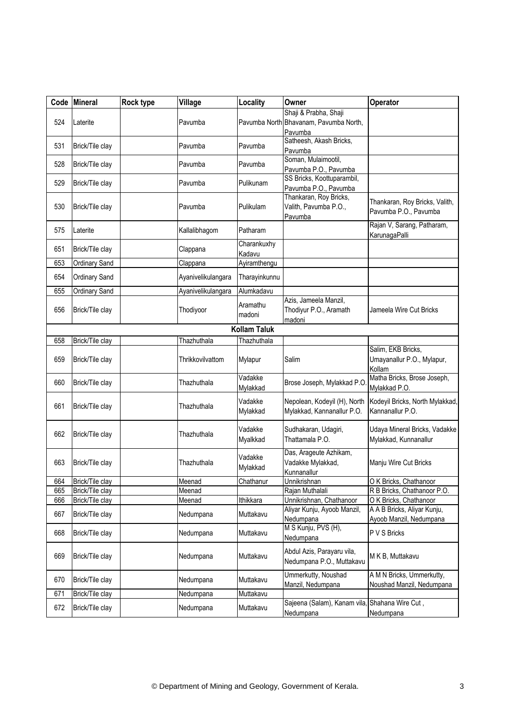|     | Code Mineral         | Rock type | Village            | Locality              | Owner                                                                      | Operator                                                   |  |  |  |
|-----|----------------------|-----------|--------------------|-----------------------|----------------------------------------------------------------------------|------------------------------------------------------------|--|--|--|
| 524 | Laterite             |           | Pavumba            |                       | Shaji & Prabha, Shaji<br>Pavumba North Bhavanam, Pavumba North,<br>Pavumba |                                                            |  |  |  |
| 531 | Brick/Tile clay      |           | Pavumba            | Pavumba               | Satheesh, Akash Bricks,<br>Pavumba                                         |                                                            |  |  |  |
| 528 | Brick/Tile clay      |           | Pavumba            | Pavumba               | Soman, Mulaimootil,<br>Pavumba P.O., Pavumba                               |                                                            |  |  |  |
| 529 | Brick/Tile clay      |           | Pavumba            | Pulikunam             | SS Bricks, Koottuparambil,<br>Pavumba P.O., Pavumba                        |                                                            |  |  |  |
| 530 | Brick/Tile clay      |           | Pavumba            | Pulikulam             | Thankaran, Roy Bricks,<br>Valith, Pavumba P.O.,<br>Pavumba                 | Thankaran, Roy Bricks, Valith,<br>Pavumba P.O., Pavumba    |  |  |  |
| 575 | Laterite             |           | Kallalibhagom      | Patharam              |                                                                            | Rajan V, Sarang, Patharam,<br>KarunagaPalli                |  |  |  |
| 651 | Brick/Tile clay      |           | Clappana           | Charankuxhy<br>Kadavu |                                                                            |                                                            |  |  |  |
| 653 | Ordinary Sand        |           | Clappana           | Ayiramthengu          |                                                                            |                                                            |  |  |  |
| 654 | <b>Ordinary Sand</b> |           | Ayanivelikulangara | Tharayinkunnu         |                                                                            |                                                            |  |  |  |
| 655 | <b>Ordinary Sand</b> |           | Ayanivelikulangara | Alumkadavu            |                                                                            |                                                            |  |  |  |
| 656 | Brick/Tile clay      |           | Thodiyoor          | Aramathu<br>madoni    | Azis, Jameela Manzil,<br>Thodiyur P.O., Aramath<br>madoni                  | Jameela Wire Cut Bricks                                    |  |  |  |
|     | <b>Kollam Taluk</b>  |           |                    |                       |                                                                            |                                                            |  |  |  |
| 658 | Brick/Tile clay      |           | Thazhuthala        | Thazhuthala           |                                                                            |                                                            |  |  |  |
| 659 | Brick/Tile clay      |           | Thrikkovilvattom   | Mylapur               | Salim                                                                      | Salim, EKB Bricks,<br>Umayanallur P.O., Mylapur,<br>Kollam |  |  |  |
| 660 | Brick/Tile clay      |           | Thazhuthala        | Vadakke<br>Mylakkad   | Brose Joseph, Mylakkad P.O                                                 | Matha Bricks, Brose Joseph,<br>Mylakkad P.O.               |  |  |  |
| 661 | Brick/Tile clay      |           | Thazhuthala        | Vadakke<br>Mylakkad   | Nepolean, Kodeyil (H), North<br>Mylakkad, Kannanallur P.O.                 | Kodeyil Bricks, North Mylakkad,<br>Kannanallur P.O.        |  |  |  |
| 662 | Brick/Tile clay      |           | Thazhuthala        | Vadakke<br>Myalkkad   | Sudhakaran, Udagiri,<br>Thattamala P.O.                                    | Udaya Mineral Bricks, Vadakke<br>Mylakkad, Kunnanallur     |  |  |  |
| 663 | Brick/Tile clay      |           | Thazhuthala        | Vadakke<br>Mylakkad   | Das, Arageute Azhikam,<br>Vadakke Mylakkad,<br>Kunnanallur                 | Manju Wire Cut Bricks                                      |  |  |  |
| 664 | Brick/Tile clay      |           | Meenad             | Chathanur             | Unnikrishnan                                                               | O K Bricks, Chathanoor                                     |  |  |  |
| 665 | Brick/Tile clay      |           | Meenad             |                       | Rajan Muthalali                                                            | R B Bricks, Chathanoor P.O.                                |  |  |  |
| 666 | Brick/Tile clay      |           | Meenad             | Ithikkara             | Unnikrishnan, Chathanoor                                                   | O K Bricks, Chathanoor                                     |  |  |  |
| 667 | Brick/Tile clay      |           | Nedumpana          | Muttakavu             | Aliyar Kunju, Ayoob Manzil,<br>Nedumpana                                   | A A B Bricks, Aliyar Kunju,<br>Ayoob Manzil, Nedumpana     |  |  |  |
| 668 | Brick/Tile clay      |           | Nedumpana          | Muttakavu             | M S Kunju, PVS (H),<br>Nedumpana                                           | P V S Bricks                                               |  |  |  |
| 669 | Brick/Tile clay      |           | Nedumpana          | Muttakavu             | Abdul Azis, Parayaru vila,<br>Nedumpana P.O., Muttakavu                    | M K B, Muttakavu                                           |  |  |  |
| 670 | Brick/Tile clay      |           | Nedumpana          | Muttakavu             | Ummerkutty, Noushad<br>Manzil, Nedumpana                                   | A M N Bricks, Ummerkutty,<br>Noushad Manzil, Nedumpana     |  |  |  |
| 671 | Brick/Tile clay      |           | Nedumpana          | Muttakavu             |                                                                            |                                                            |  |  |  |
| 672 | Brick/Tile clay      |           | Nedumpana          | Muttakavu             | Sajeena (Salam), Kanam vila, Shahana Wire Cut,<br>Nedumpana                | Nedumpana                                                  |  |  |  |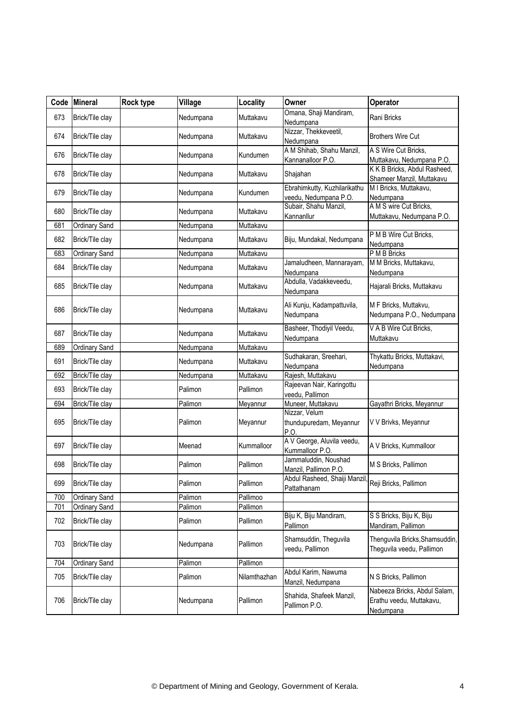| Code | <b>Mineral</b>       | Rock type | Village   | Locality     | Owner                                                 | Operator                                                              |
|------|----------------------|-----------|-----------|--------------|-------------------------------------------------------|-----------------------------------------------------------------------|
| 673  | Brick/Tile clay      |           | Nedumpana | Muttakavu    | Omana, Shaji Mandiram,<br>Nedumpana                   | Rani Bricks                                                           |
| 674  | Brick/Tile clay      |           | Nedumpana | Muttakavu    | Nizzar, Thekkeveetil,<br>Nedumpana                    | <b>Brothers Wire Cut</b>                                              |
| 676  | Brick/Tile clay      |           | Nedumpana | Kundumen     | A M Shihab, Shahu Manzil,                             | A S Wire Cut Bricks,                                                  |
|      |                      |           |           |              | Kannanalloor P.O.                                     | Muttakavu, Nedumpana P.O.<br>K K B Bricks, Abdul Rasheed,             |
| 678  | Brick/Tile clay      |           | Nedumpana | Muttakavu    | Shajahan                                              | Shameer Manzil, Muttakavu                                             |
| 679  | Brick/Tile clay      |           | Nedumpana | Kundumen     | Ebrahimkutty, Kuzhilarikathu<br>veedu, Nedumpana P.O. | M I Bricks, Muttakavu,<br>Nedumpana                                   |
| 680  | Brick/Tile clay      |           | Nedumpana | Muttakavu    | Subair, Shahu Manzil,<br>Kannanllur                   | A M S wire Cut Bricks,<br>Muttakavu, Nedumpana P.O.                   |
| 681  | Ordinary Sand        |           | Nedumpana | Muttakavu    |                                                       |                                                                       |
| 682  | Brick/Tile clay      |           | Nedumpana | Muttakavu    | Biju, Mundakal, Nedumpana                             | P M B Wire Cut Bricks,<br>Nedumpana                                   |
| 683  | Ordinary Sand        |           | Nedumpana | Muttakavu    |                                                       | P M B Bricks                                                          |
| 684  | Brick/Tile clay      |           | Nedumpana | Muttakavu    | Jamaludheen, Mannarayam,<br>Nedumpana                 | M M Bricks, Muttakavu,<br>Nedumpana                                   |
| 685  | Brick/Tile clay      |           | Nedumpana | Muttakavu    | Abdulla, Vadakkeveedu,<br>Nedumpana                   | Hajarali Bricks, Muttakavu                                            |
| 686  | Brick/Tile clay      |           | Nedumpana | Muttakavu    | Ali Kunju, Kadampattuvila,<br>Nedumpana               | M F Bricks, Muttakvu,<br>Nedumpana P.O., Nedumpana                    |
| 687  | Brick/Tile clay      |           | Nedumpana | Muttakavu    | Basheer, Thodiyil Veedu,<br>Nedumpana                 | V A B Wire Cut Bricks,<br>Muttakavu                                   |
| 689  | Ordinary Sand        |           | Nedumpana | Muttakavu    |                                                       |                                                                       |
| 691  | Brick/Tile clay      |           | Nedumpana | Muttakavu    | Sudhakaran, Sreehari,<br>Nedumpana                    | Thykattu Bricks, Muttakavi,<br>Nedumpana                              |
| 692  | Brick/Tile clay      |           | Nedumpana | Muttakavu    | Rajesh, Muttakavu                                     |                                                                       |
| 693  | Brick/Tile clay      |           | Palimon   | Pallimon     | Rajeevan Nair, Karingottu<br>veedu, Pallimon          |                                                                       |
| 694  | Brick/Tile clay      |           | Palimon   | Meyannur     | Muneer, Muttakavu                                     | Gayathri Bricks, Meyannur                                             |
| 695  | Brick/Tile clay      |           | Palimon   | Meyannur     | Nizzar, Velum<br>thundupuredam, Meyannur<br>P.O.      | V V Brivks, Meyannur                                                  |
| 697  | Brick/Tile clay      |           | Meenad    | Kummalloor   | A V George, Aluvila veedu,<br>Kummalloor P.O.         | A V Bricks, Kummalloor                                                |
| 698  | Brick/Tile clay      |           | Palimon   | Pallimon     | Jammaluddin, Noushad<br>Manzil, Pallimon P.O.         | M S Bricks, Pallimon                                                  |
| 699  | Brick/Tile clay      |           | Palimon   | Pallimon     | Abdul Rasheed, Shaiji Manzil,<br>Pattathanam          | Reji Bricks, Pallimon                                                 |
| 700  | Ordinary Sand        |           | Palimon   | Pallimoo     |                                                       |                                                                       |
| 701  | <b>Ordinary Sand</b> |           | Palimon   | Pallimon     |                                                       |                                                                       |
| 702  | Brick/Tile clay      |           | Palimon   | Pallimon     | Biju K, Biju Mandiram,<br>Pallimon                    | S S Bricks, Biju K, Biju<br>Mandiram, Pallimon                        |
| 703  | Brick/Tile clay      |           | Nedumpana | Pallimon     | Shamsuddin, Theguvila<br>veedu, Pallimon              | Thenguvila Bricks, Shamsuddin,<br>Theguvila veedu, Pallimon           |
| 704  | <b>Ordinary Sand</b> |           | Palimon   | Pallimon     |                                                       |                                                                       |
| 705  | Brick/Tile clay      |           | Palimon   | Nilamthazhan | Abdul Karim, Nawuma<br>Manzil, Nedumpana              | N S Bricks, Pallimon                                                  |
| 706  | Brick/Tile clay      |           | Nedumpana | Pallimon     | Shahida, Shafeek Manzil,<br>Pallimon P.O.             | Nabeeza Bricks, Abdul Salam,<br>Erathu veedu, Muttakavu,<br>Nedumpana |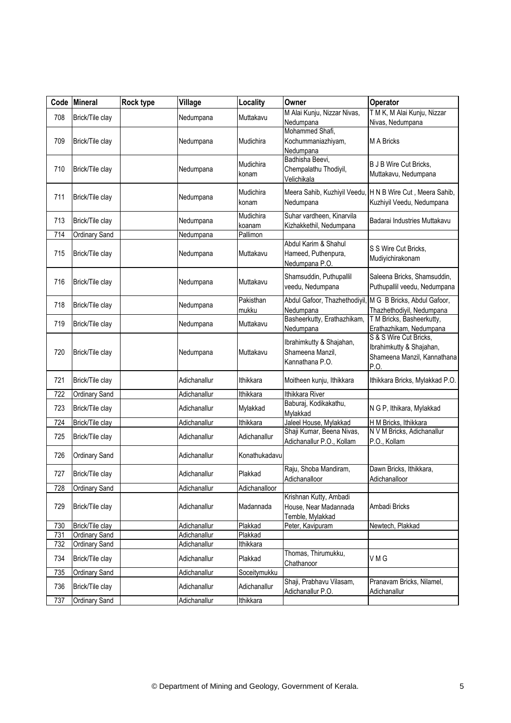| Code | <b>Mineral</b>       | Rock type | Village      | Locality         | Owner                                               | <b>Operator</b>                                           |
|------|----------------------|-----------|--------------|------------------|-----------------------------------------------------|-----------------------------------------------------------|
| 708  | Brick/Tile clay      |           | Nedumpana    | Muttakavu        | M Alai Kunju, Nizzar Nivas,                         | T M K, M Alai Kunju, Nizzar                               |
|      |                      |           |              |                  | Nedumpana<br>Mohammed Shafi,                        | Nivas, Nedumpana                                          |
| 709  | Brick/Tile clay      |           | Nedumpana    | Mudichira        | Kochummaniazhiyam,                                  | <b>M A Bricks</b>                                         |
|      |                      |           |              |                  | Nedumpana                                           |                                                           |
|      |                      |           |              | Mudichira        | Badhisha Beevi,                                     | <b>B J B Wire Cut Bricks,</b>                             |
| 710  | Brick/Tile clay      |           | Nedumpana    | konam            | Chempalathu Thodiyil,<br>Velichikala                | Muttakavu, Nedumpana                                      |
|      |                      |           |              | Mudichira        |                                                     | Meera Sahib, Kuzhiyil Veedu, H N B Wire Cut, Meera Sahib, |
| 711  | Brick/Tile clay      |           | Nedumpana    | konam            | Nedumpana                                           | Kuzhiyil Veedu, Nedumpana                                 |
|      |                      |           |              | Mudichira        | Suhar vardheen, Kinarvila                           |                                                           |
| 713  | Brick/Tile clay      |           | Nedumpana    | koanam           | Kizhakkethil, Nedumpana                             | Badarai Industries Muttakavu                              |
| 714  | Ordinary Sand        |           | Nedumpana    | Pallimon         |                                                     |                                                           |
| 715  | Brick/Tile clay      |           | Nedumpana    | Muttakavu        | Abdul Karim & Shahul<br>Hameed, Puthenpura,         | S S Wire Cut Bricks,                                      |
|      |                      |           |              |                  | Nedumpana P.O.                                      | Mudiyichirakonam                                          |
|      |                      |           |              |                  | Shamsuddin, Puthupallil                             | Saleena Bricks, Shamsuddin,                               |
| 716  | Brick/Tile clay      |           | Nedumpana    | Muttakavu        | veedu, Nedumpana                                    | Puthupallil veedu, Nedumpana                              |
| 718  | Brick/Tile clay      |           | Nedumpana    | Pakisthan        | Abdul Gafoor, Thazhethodiyil,                       | M G B Bricks, Abdul Gafoor,                               |
|      |                      |           |              | mukku            | Nedumpana<br>Basheerkutty, Erathazhikam,            | Thazhethodiyil, Nedumpana<br>T M Bricks, Basheerkutty,    |
| 719  | Brick/Tile clay      |           | Nedumpana    | Muttakavu        | Nedumpana                                           | Erathazhikam, Nedumpana                                   |
|      |                      |           |              |                  | Ibrahimkutty & Shajahan,                            | S & S Wire Cut Bricks,                                    |
| 720  | Brick/Tile clay      |           | Nedumpana    | Muttakavu        | Shameena Manzil,                                    | Ibrahimkutty & Shajahan,                                  |
|      |                      |           |              |                  | Kannathana P.O.                                     | Shameena Manzil, Kannathana<br>P.O                        |
| 721  | Brick/Tile clay      |           | Adichanallur | Ithikkara        | Moitheen kunju, Ithikkara                           | Ithikkara Bricks, Mylakkad P.O.                           |
| 722  | Ordinary Sand        |           | Adichanallur | <b>Ithikkara</b> | Ithikkara River                                     |                                                           |
|      |                      |           |              |                  | Baburaj, Kodikakathu,                               |                                                           |
| 723  | Brick/Tile clay      |           | Adichanallur | Mylakkad         | Mylakkad                                            | N G P, Ithikara, Mylakkad                                 |
| 724  | Brick/Tile clay      |           | Adichanallur | Ithikkara        | Jaleel House, Mylakkad<br>Shaji Kumar, Beena Nivas, | H M Bricks, Ithikkara<br>N V M Bricks, Adichanallur       |
| 725  | Brick/Tile clay      |           | Adichanallur | Adichanallur     | Adichanallur P.O., Kollam                           | P.O., Kollam                                              |
| 726  | Ordinary Sand        |           | Adichanallur | Konathukadavu    |                                                     |                                                           |
|      |                      |           |              |                  | Raju, Shoba Mandiram,                               | Dawn Bricks, Ithikkara,                                   |
| 727  | Brick/Tile clay      |           | Adichanallur | Plakkad          | Adichanalloor                                       | Adichanalloor                                             |
| 728  | Ordinary Sand        |           | Adichanallur | Adichanalloor    |                                                     |                                                           |
|      |                      |           |              |                  | Krishnan Kutty, Ambadi                              |                                                           |
| 729  | Brick/Tile clay      |           | Adichanallur | Madannada        | House, Near Madannada<br>Temble, Mylakkad           | Ambadi Bricks                                             |
| 730  | Brick/Tile clay      |           | Adichanallur | Plakkad          | Peter, Kavipuram                                    | Newtech, Plakkad                                          |
| 731  | Ordinary Sand        |           | Adichanallur | Plakkad          |                                                     |                                                           |
| 732  | <b>Ordinary Sand</b> |           | Adichanallur | Ithikkara        |                                                     |                                                           |
| 734  | Brick/Tile clay      |           | Adichanallur | Plakkad          | Thomas, Thirumukku,<br>Chathanoor                   | VMG                                                       |
| 735  | <b>Ordinary Sand</b> |           | Adichanallur | Soceitymukku     |                                                     |                                                           |
| 736  | Brick/Tile clay      |           | Adichanallur | Adichanallur     | Shaji, Prabhavu Vilasam,                            | Pranavam Bricks, Nilamel,                                 |
| 737  | Ordinary Sand        |           | Adichanallur | Ithikkara        | Adichanallur P.O.                                   | Adichanallur                                              |
|      |                      |           |              |                  |                                                     |                                                           |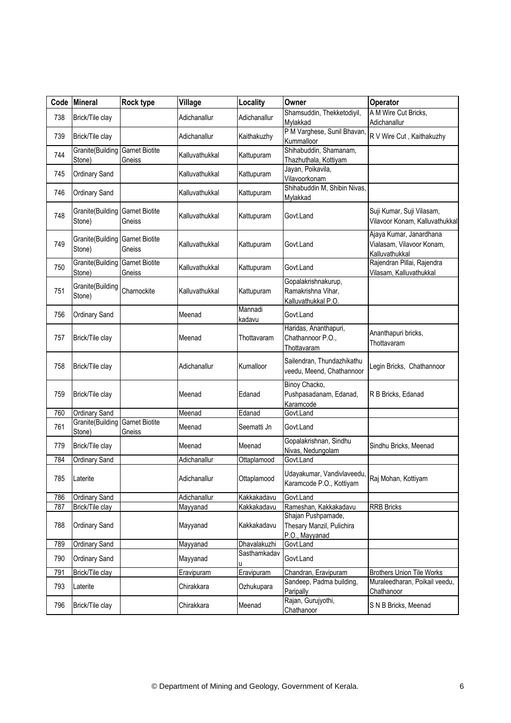| Code | Mineral                    | Rock type                       | Village        | Locality          | Owner                                                                      | Operator                                                               |
|------|----------------------------|---------------------------------|----------------|-------------------|----------------------------------------------------------------------------|------------------------------------------------------------------------|
| 738  | Brick/Tile clay            |                                 | Adichanallur   | Adichanallur      | Shamsuddin, Thekketodiyil,<br>Mylakkad                                     | A M Wire Cut Bricks,<br>Adichanallur                                   |
| 739  | Brick/Tile clay            |                                 | Adichanallur   | Kaithakuzhy       | P M Varghese, Sunil Bhavan,<br>Kummalloor                                  | R V Wire Cut, Kaithakuzhy                                              |
| 744  | Granite(Building<br>Stone) | <b>Garnet Biotite</b><br>Gneiss | Kalluvathukkal | Kattupuram        | Shihabuddin, Shamanam,<br>Thazhuthala, Kottiyam                            |                                                                        |
| 745  | Ordinary Sand              |                                 | Kalluvathukkal | Kattupuram        | Jayan, Poikavila,<br>Vilavoorkonam                                         |                                                                        |
| 746  | Ordinary Sand              |                                 | Kalluvathukkal | Kattupuram        | Shihabuddin M, Shibin Nivas,<br>Mylakkad                                   |                                                                        |
| 748  | Granite(Building<br>Stone) | <b>Garnet Biotite</b><br>Gneiss | Kalluvathukkal | Kattupuram        | Govt.Land                                                                  | Suji Kumar, Suji Vilasam,<br>Vilavoor Konam, Kalluvathukkal            |
| 749  | Granite(Building<br>Stone) | <b>Garnet Biotite</b><br>Gneiss | Kalluvathukkal | Kattupuram        | Govt.Land                                                                  | Ajaya Kumar, Janardhana<br>Vialasam, Vilavoor Konam,<br>Kalluvathukkal |
| 750  | Granite(Building<br>Stone) | <b>Garnet Biotite</b><br>Gneiss | Kalluvathukkal | Kattupuram        | Govt.Land                                                                  | Rajendran Pillai, Rajendra<br>Vilasam, Kalluvathukkal                  |
| 751  | Granite(Building<br>Stone) | Charnockite                     | Kalluvathukkal | Kattupuram        | Gopalakrishnakurup,<br>Ramakrishna Vihar,<br>Kalluvathukkal P.O.           |                                                                        |
| 756  | Ordinary Sand              |                                 | Meenad         | Mannadi<br>kadavu | Govt.Land                                                                  |                                                                        |
| 757  | Brick/Tile clay            |                                 | Meenad         | Thottavaram       | Haridas, Ananthapuri,<br>Chathannoor P.O.,<br>Thottavaram                  | Ananthapuri bricks,<br>Thottavaram                                     |
| 758  | Brick/Tile clay            |                                 | Adichanallur   | Kumalloor         | Sailendran, Thundazhikathu<br>veedu, Meend, Chathannoor                    | Legin Bricks, Chathannoor                                              |
| 759  | Brick/Tile clay            |                                 | Meenad         | Edanad            | Binoy Chacko,<br>Pushpasadanam, Edanad,<br>Karamcode                       | R B Bricks, Edanad                                                     |
| 760  | Ordinary Sand              |                                 | Meenad         | Edanad            | Govt.Land                                                                  |                                                                        |
| 761  | Granite(Building<br>Stone) | <b>Garnet Biotite</b><br>Gneiss | Meenad         | Seematti Jn       | Govt.Land                                                                  |                                                                        |
| 779  | Brick/Tile clay            |                                 | Meenad         | Meenad            | Gopalakrishnan, Sindhu<br>Nivas, Nedungolam                                | Sindhu Bricks, Meenad                                                  |
| 784  | Ordinary Sand              |                                 | Adichanallur   | Ottaplamood       | Govt.Land                                                                  |                                                                        |
| 785  | Laterite                   |                                 | Adichanallur   | Ottaplamood       | Udayakumar, Vandivlaveedu, Raj Mohan, Kottiyam<br>Karamcode P.O., Kottiyam |                                                                        |
| 786  | Ordinary Sand              |                                 | Adichanallur   | Kakkakadavu       | Govt.Land                                                                  |                                                                        |
| 787  | Brick/Tile clay            |                                 | Mayyanad       | Kakkakadavu       | Rameshan, Kakkakadavu                                                      | <b>RRB Bricks</b>                                                      |
| 788  | Ordinary Sand              |                                 | Mayyanad       | Kakkakadavu       | Shajan Pushpamade,<br>Thesary Manzil, Pulichira<br>P.O., Mayyanad          |                                                                        |
| 789  | Ordinary Sand              |                                 | Mayyanad       | Dhavalakuzhi      | Govt.Land                                                                  |                                                                        |
| 790  | Ordinary Sand              |                                 | Mayyanad       | Sasthamkadav<br>u | Govt.Land                                                                  |                                                                        |
| 791  | Brick/Tile clay            |                                 | Eravipuram     | Eravipuram        | Chandran, Eravipuram                                                       | <b>Brothers Union Tile Works</b>                                       |
| 793  | Laterite                   |                                 | Chirakkara     | Ozhukupara        | Sandeep, Padma building,<br>Paripally                                      | Muraleedharan, Poikail veedu,<br>Chathanoor                            |
| 796  | Brick/Tile clay            |                                 | Chirakkara     | Meenad            | Rajan, Gurujyothi,<br>Chathanoor                                           | S N B Bricks, Meenad                                                   |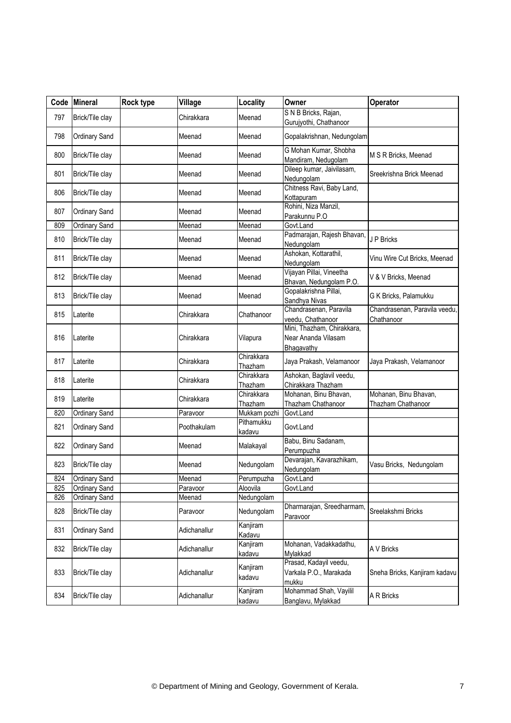|     | Code Mineral         | <b>Rock type</b> | Village      | Locality              | Owner                                                           | Operator                                    |
|-----|----------------------|------------------|--------------|-----------------------|-----------------------------------------------------------------|---------------------------------------------|
| 797 | Brick/Tile clay      |                  | Chirakkara   | Meenad                | S N B Bricks, Rajan,<br>Gurujyothi, Chathanoor                  |                                             |
| 798 | Ordinary Sand        |                  | Meenad       | Meenad                | Gopalakrishnan, Nedungolam                                      |                                             |
| 800 | Brick/Tile clay      |                  | Meenad       | Meenad                | G Mohan Kumar, Shobha<br>Mandiram, Nedugolam                    | M S R Bricks, Meenad                        |
| 801 | Brick/Tile clay      |                  | Meenad       | Meenad                | Dileep kumar, Jaivilasam,<br>Nedungolam                         | Sreekrishna Brick Meenad                    |
| 806 | Brick/Tile clay      |                  | Meenad       | Meenad                | Chitness Ravi, Baby Land,<br>Kottapuram                         |                                             |
| 807 | Ordinary Sand        |                  | Meenad       | Meenad                | Rohini, Niza Manzil,<br>Parakunnu P.O                           |                                             |
| 809 | Ordinary Sand        |                  | Meenad       | Meenad                | Govt.Land                                                       |                                             |
| 810 | Brick/Tile clay      |                  | Meenad       | Meenad                | Padmarajan, Rajesh Bhavan,<br>Nedungolam                        | J P Bricks                                  |
| 811 | Brick/Tile clay      |                  | Meenad       | Meenad                | Ashokan, Kottarathil,<br>Nedungolam                             | Vinu Wire Cut Bricks, Meenad                |
| 812 | Brick/Tile clay      |                  | Meenad       | Meenad                | Vijayan Pillai, Vineetha<br>Bhavan, Nedungolam P.O.             | V & V Bricks, Meenad                        |
| 813 | Brick/Tile clay      |                  | Meenad       | Meenad                | Gopalakrishna Pillai,<br>Sandhya Nivas                          | G K Bricks, Palamukku                       |
| 815 | Laterite             |                  | Chirakkara   | Chathanoor            | Chandrasenan, Paravila<br>veedu, Chathanoor                     | Chandrasenan, Paravila veedu,<br>Chathanoor |
| 816 | Laterite             |                  | Chirakkara   | Vilapura              | Mini, Thazham, Chirakkara,<br>Near Ananda Vilasam<br>Bhagavathy |                                             |
| 817 | Laterite             |                  | Chirakkara   | Chirakkara<br>Thazham | Jaya Prakash, Velamanoor                                        | Jaya Prakash, Velamanoor                    |
| 818 | Laterite             |                  | Chirakkara   | Chirakkara<br>Thazham | Ashokan, Baglavil veedu,<br>Chirakkara Thazham                  |                                             |
| 819 | Laterite             |                  | Chirakkara   | Chirakkara<br>Thazham | Mohanan, Binu Bhavan,<br>Thazham Chathanoor                     | Mohanan, Binu Bhavan,<br>Thazham Chathanoor |
| 820 | <b>Ordinary Sand</b> |                  | Paravoor     | Mukkam pozhi          | Govt.Land                                                       |                                             |
| 821 | Ordinary Sand        |                  | Poothakulam  | Pithamukku<br>kadavu  | Govt.Land                                                       |                                             |
| 822 | Ordinary Sand        |                  | Meenad       | Malakayal             | Babu, Binu Sadanam,<br>Perumpuzha                               |                                             |
| 823 | Brick/Tile clay      |                  | Meenad       | Nedungolam            | Devarajan, Kavarazhikam,<br>Nedungolam                          | Vasu Bricks, Nedungolam                     |
| 824 | <b>Ordinary Sand</b> |                  | Meenad       | Perumpuzha            | Govt.Land                                                       |                                             |
| 825 | Ordinary Sand        |                  | Paravoor     | Aloovila              | Govt.Land                                                       |                                             |
| 826 | Ordinary Sand        |                  | Meenad       | Nedungolam            |                                                                 |                                             |
| 828 | Brick/Tile clay      |                  | Paravoor     | Nedungolam            | Dharmarajan, Sreedharmam,<br>Paravoor                           | Sreelakshmi Bricks                          |
| 831 | Ordinary Sand        |                  | Adichanallur | Kanjiram<br>Kadavu    |                                                                 |                                             |
| 832 | Brick/Tile clay      |                  | Adichanallur | Kanjiram<br>kadavu    | Mohanan, Vadakkadathu,<br>Mylakkad                              | A V Bricks                                  |
| 833 | Brick/Tile clay      |                  | Adichanallur | Kanjiram<br>kadavu    | Prasad, Kadayil veedu,<br>Varkala P.O., Marakada<br>mukku       | Sneha Bricks, Kanjiram kadavu               |
| 834 | Brick/Tile clay      |                  | Adichanallur | Kanjiram<br>kadavu    | Mohammad Shah, Vayilil<br>Banglavu, Mylakkad                    | A R Bricks                                  |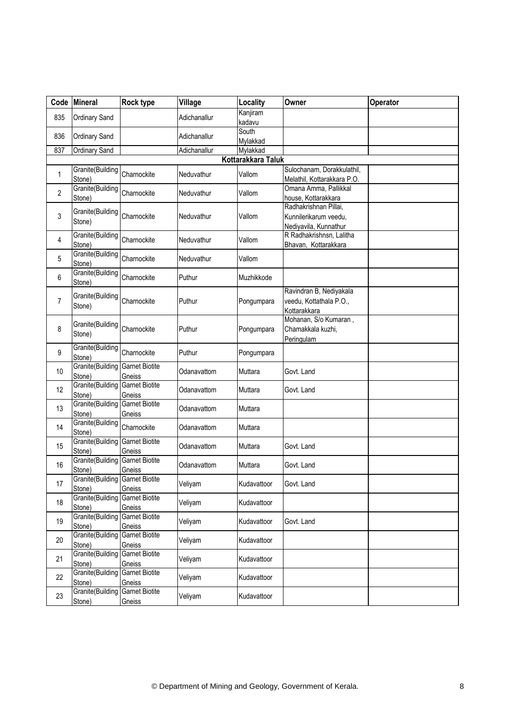| Code           | <b>Mineral</b>                          | Rock type                       | Village      | Locality             | Owner                                          | Operator |
|----------------|-----------------------------------------|---------------------------------|--------------|----------------------|------------------------------------------------|----------|
| 835            | <b>Ordinary Sand</b>                    |                                 | Adichanallur | Kanjiram             |                                                |          |
|                |                                         |                                 |              | kadavu               |                                                |          |
| 836            | Ordinary Sand                           |                                 | Adichanallur | South                |                                                |          |
| 837            | <b>Ordinary Sand</b>                    |                                 | Adichanallur | Mylakkad<br>Mylakkad |                                                |          |
|                |                                         |                                 |              | Kottarakkara Taluk   |                                                |          |
|                | Granite(Building                        |                                 |              |                      | Sulochanam, Dorakkulathil,                     |          |
| 1              | Stone)                                  | Charnockite                     | Neduvathur   | Vallom               | Melathil, Kottarakkara P.O.                    |          |
| $\overline{2}$ | Granite(Building                        | Charnockite                     | Neduvathur   | Vallom               | Omana Amma, Pallikkal                          |          |
|                | Stone)                                  |                                 |              |                      | house, Kottarakkara                            |          |
| 3              | Granite(Building                        | Charnockite                     | Neduvathur   | Vallom               | Radhakrishnan Pillai,<br>Kunnilerikarum veedu, |          |
|                | Stone)                                  |                                 |              |                      | Nediyavila, Kunnathur                          |          |
|                | Granite(Building                        |                                 |              |                      | R Radhakrishnsn, Lalitha                       |          |
| 4              | Stone)                                  | Charnockite                     | Neduvathur   | Vallom               | Bhavan, Kottarakkara                           |          |
| 5              | Granite(Building<br>Stone)              | Charnockite                     | Neduvathur   | Vallom               |                                                |          |
| 6              | Granite(Building<br>Stone)              | Charnockite                     | Puthur       | Muzhikkode           |                                                |          |
|                | Granite(Building                        |                                 |              |                      | Ravindran B, Nediyakala                        |          |
| $\overline{7}$ | Stone)                                  | Charnockite                     | Puthur       | Pongumpara           | veedu, Kottathala P.O.,                        |          |
|                |                                         |                                 |              |                      | Kottarakkara                                   |          |
| 8              | Granite(Building                        | Charnockite                     | Puthur       |                      | Mohanan, S/o Kumaran,<br>Chamakkala kuzhi,     |          |
|                | Stone)                                  |                                 |              | Pongumpara           | Peringulam                                     |          |
|                | Granite(Building                        |                                 |              |                      |                                                |          |
| 9              | Stone)                                  | Charnockite                     | Puthur       | Pongumpara           |                                                |          |
| 10             | Granite(Building                        | <b>Garnet Biotite</b>           | Odanavattom  | Muttara              | Govt. Land                                     |          |
|                | Stone)<br>Granite(Building              | Gneiss<br><b>Garnet Biotite</b> |              |                      |                                                |          |
| 12             | Stone)                                  | Gneiss                          | Odanavattom  | Muttara              | Govt. Land                                     |          |
|                | Granite(Building                        | <b>Garnet Biotite</b>           |              |                      |                                                |          |
| 13             | Stone)                                  | Gneiss                          | Odanavattom  | Muttara              |                                                |          |
| 14             | Granite(Building                        | Charnockite                     | Odanavattom  | Muttara              |                                                |          |
|                | Stone)                                  |                                 |              |                      |                                                |          |
| 15             | Granite(Building<br>Stone)              | <b>Garnet Biotite</b>           | Odanavattom  | Muttara              | Govt. Land                                     |          |
|                | Granite(Building                        | Gneiss<br><b>Garnet Biotite</b> |              |                      |                                                |          |
| 16             | Stone)                                  | Gneiss                          | Odanavattom  | Muttara              | Govt. Land                                     |          |
|                | <b>Granite</b> (Building Garnet Biotite |                                 | Veliyam      |                      |                                                |          |
| 17             | Stone)                                  | Gneiss                          |              | Kudavattoor          | Govt. Land                                     |          |
| 18             | Granite(Building                        | <b>Garnet Biotite</b>           | Veliyam      | Kudavattoor          |                                                |          |
|                | Stone)<br>Granite(Building              | Gneiss<br><b>Garnet Biotite</b> |              |                      |                                                |          |
| 19             | Stone)                                  | Gneiss                          | Veliyam      | Kudavattoor          | Govt. Land                                     |          |
|                | Granite(Building                        | <b>Garnet Biotite</b>           |              |                      |                                                |          |
| 20             | Stone)                                  | Gneiss                          | Veliyam      | Kudavattoor          |                                                |          |
| 21             | Granite(Building                        | <b>Garnet Biotite</b>           | Veliyam      | Kudavattoor          |                                                |          |
|                | Stone)                                  | Gneiss                          |              |                      |                                                |          |
| 22             | Granite(Building                        | <b>Garnet Biotite</b>           | Veliyam      | Kudavattoor          |                                                |          |
|                | Stone)<br>Granite(Building              | Gneiss<br><b>Garnet Biotite</b> |              |                      |                                                |          |
| 23             | Stone)                                  | Gneiss                          | Veliyam      | Kudavattoor          |                                                |          |
|                |                                         |                                 |              |                      |                                                |          |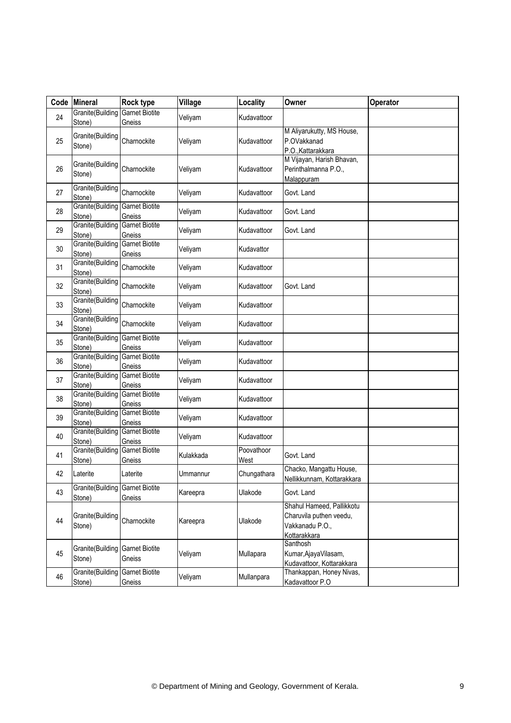| Code | <b>Mineral</b>             | <b>Rock type</b>                | Village   | Locality           | Owner                                                                                   | Operator |
|------|----------------------------|---------------------------------|-----------|--------------------|-----------------------------------------------------------------------------------------|----------|
| 24   | Granite(Building<br>Stone) | <b>Garnet Biotite</b><br>Gneiss | Veliyam   | Kudavattoor        |                                                                                         |          |
| 25   | Granite(Building<br>Stone) | Charnockite                     | Veliyam   | Kudavattoor        | M Aliyarukutty, MS House,<br>P.OVakkanad<br>P.O., Kattarakkara                          |          |
| 26   | Granite(Building<br>Stone) | Charnockite                     | Veliyam   | Kudavattoor        | M Vijayan, Harish Bhavan,<br>Perinthalmanna P.O.,<br>Malappuram                         |          |
| 27   | Granite(Building<br>Stone) | Charnockite                     | Veliyam   | Kudavattoor        | Govt. Land                                                                              |          |
| 28   | Granite(Building<br>Stone) | <b>Garnet Biotite</b><br>Gneiss | Veliyam   | Kudavattoor        | Govt. Land                                                                              |          |
| 29   | Granite(Building<br>Stone) | <b>Garnet Biotite</b><br>Gneiss | Veliyam   | Kudavattoor        | Govt. Land                                                                              |          |
| 30   | Granite(Building<br>Stone) | <b>Garnet Biotite</b><br>Gneiss | Veliyam   | Kudavattor         |                                                                                         |          |
| 31   | Granite(Building<br>Stone) | Charnockite                     | Veliyam   | Kudavattoor        |                                                                                         |          |
| 32   | Granite(Building<br>Stone) | Charnockite                     | Veliyam   | Kudavattoor        | Govt. Land                                                                              |          |
| 33   | Granite(Building<br>Stone) | Charnockite                     | Veliyam   | Kudavattoor        |                                                                                         |          |
| 34   | Granite(Building<br>Stone) | Charnockite                     | Veliyam   | Kudavattoor        |                                                                                         |          |
| 35   | Granite(Building<br>Stone) | <b>Garnet Biotite</b><br>Gneiss | Veliyam   | Kudavattoor        |                                                                                         |          |
| 36   | Granite(Building<br>Stone) | <b>Garnet Biotite</b><br>Gneiss | Veliyam   | Kudavattoor        |                                                                                         |          |
| 37   | Granite(Building<br>Stone) | <b>Garnet Biotite</b><br>Gneiss | Veliyam   | Kudavattoor        |                                                                                         |          |
| 38   | Granite(Building<br>Stone) | <b>Garnet Biotite</b><br>Gneiss | Veliyam   | Kudavattoor        |                                                                                         |          |
| 39   | Granite(Building<br>Stone) | <b>Garnet Biotite</b><br>Gneiss | Veliyam   | Kudavattoor        |                                                                                         |          |
| 40   | Granite(Building<br>Stone) | <b>Garnet Biotite</b><br>Gneiss | Veliyam   | Kudavattoor        |                                                                                         |          |
| 41   | Granite(Building<br>Stone) | <b>Garnet Biotite</b><br>Gneiss | Kulakkada | Poovathoor<br>West | Govt. Land                                                                              |          |
| 42   | Laterite                   | Laterite                        | Ummannur  | Chungathara        | Chacko, Mangattu House,<br>Nellikkunnam, Kottarakkara                                   |          |
| 43   | Granite(Building<br>Stone) | <b>Garnet Biotite</b><br>Gneiss | Kareepra  | Ulakode            | Govt. Land                                                                              |          |
| 44   | Granite(Building<br>Stone) | Charnockite                     | Kareepra  | Ulakode            | Shahul Hameed, Pallikkotu<br>Charuvila puthen veedu,<br>Vakkanadu P.O.,<br>Kottarakkara |          |
| 45   | Granite(Building<br>Stone) | <b>Garnet Biotite</b><br>Gneiss | Veliyam   | Mullapara          | Santhosh<br>Kumar, Ajaya Vilasam,<br>Kudavattoor, Kottarakkara                          |          |
| 46   | Granite(Building<br>Stone) | <b>Garnet Biotite</b><br>Gneiss | Veliyam   | Mullanpara         | Thankappan, Honey Nivas,<br>Kadavattoor P.O                                             |          |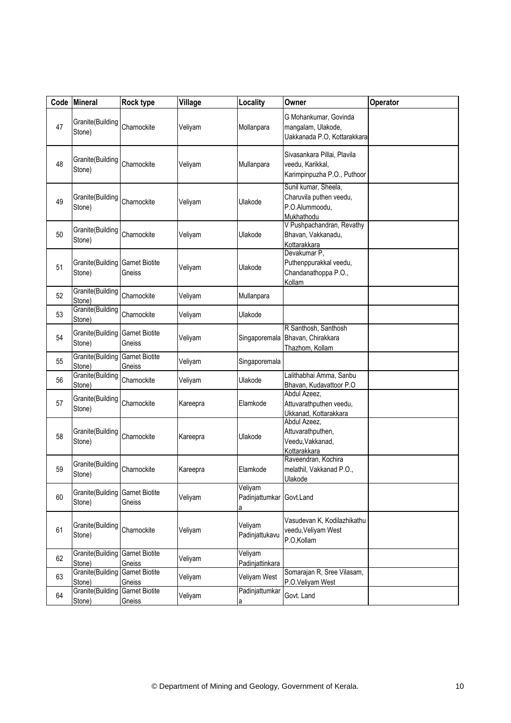| Code | <b>Mineral</b>                             | Rock type                              | Village  | Locality                       | Owner                                                                           | Operator |
|------|--------------------------------------------|----------------------------------------|----------|--------------------------------|---------------------------------------------------------------------------------|----------|
| 47   | Granite(Building<br>Stone)                 | Charnockite                            | Veliyam  | Mollanpara                     | G Mohankumar, Govinda<br>mangalam, Ulakode,<br>Uakkanada P.O, Kottarakkara      |          |
| 48   | Granite(Building<br>Stone)                 | Charnockite                            | Veliyam  | Mullanpara                     | Sivasankara Pillai, Plavila<br>veedu, Karikkal,<br>Karimpinpuzha P.O., Puthoor  |          |
| 49   | Granite(Building<br>Stone)                 | Charnockite                            | Veliyam  | Ulakode                        | Sunil kumar, Sheela,<br>Charuvila puthen veedu,<br>P.O.Alummoodu,<br>Mukhathodu |          |
| 50   | Granite(Building<br>Stone)                 | Charnockite                            | Veliyam  | Ulakode                        | V Pushpachandran, Revathy<br>Bhavan, Vakkanadu,<br>Kottarakkara                 |          |
| 51   | Granite (Building Garnet Biotite<br>Stone) | Gneiss                                 | Veliyam  | Ulakode                        | Devakumar P,<br>Puthenppurakkal veedu,<br>Chandanathoppa P.O.,<br>Kollam        |          |
| 52   | Granite(Building<br>Stone)                 | Charnockite                            | Veliyam  | Mullanpara                     |                                                                                 |          |
| 53   | Granite(Building<br>Stone)                 | Charnockite                            | Veliyam  | Ulakode                        |                                                                                 |          |
| 54   | Granite(Building<br>Stone)                 | <b>Garnet Biotite</b><br>Gneiss        | Veliyam  | Singaporemala                  | R Santhosh, Santhosh<br>Bhavan, Chirakkara<br>Thazhom, Kollam                   |          |
| 55   | Granite(Building<br>Stone)                 | <b>Garnet Biotite</b><br>Gneiss        | Veliyam  | Singaporemala                  |                                                                                 |          |
| 56   | Granite(Building<br>Stone)                 | Charnockite                            | Veliyam  | Ulakode                        | Lalithabhai Amma, Sanbu<br>Bhavan, Kudavattoor P.O.                             |          |
| 57   | Granite(Building<br>Stone)                 | Charnockite                            | Kareepra | Elamkode                       | Abdul Azeez,<br>Attuvarathputhen veedu,<br>Ukkanad, Kottarakkara                |          |
| 58   | Granite(Building<br>Stone)                 | Charnockite                            | Kareepra | Ulakode                        | Abdul Azeez,<br>Attuvarathputhen,<br>Veedu, Vakkanad,<br>Kottarakkara           |          |
| 59   | Granite(Building<br>Stone)                 | Charnockite                            | Kareepra | Elamkode                       | Raveendran, Kochira<br>melathil, Vakkanad P.O.,<br>Ulakode                      |          |
| 60   | Granite(Building<br>Stone)                 | <b>Garnet Biotite</b><br>Gneiss        | Veliyam  | Veliyam<br>Padinjattumkar<br>а | Govt.Land                                                                       |          |
| 61   | Granite(Building<br>Stone)                 | Charnockite                            | Veliyam  | Veliyam<br>Padinjattukavu      | Vasudevan K, Kodilazhikathu<br>veedu, Veliyam West<br>P.O,Kollam                |          |
| 62   | Granite(Building<br>Stone)                 | <b>Garnet Biotite</b><br>Gneiss        | Veliyam  | Veliyam<br>Padinjattinkara     |                                                                                 |          |
| 63   | Granite(Building<br>Stone)                 | <b>Garnet Biotite</b><br>Gneiss        | Veliyam  | Veliyam West                   | Somarajan R, Sree Vilasam,<br>P.O.Veliyam West                                  |          |
| 64   | Granite(Building<br>Stone)                 | <b>Garnet Biotite</b><br><b>Gneiss</b> | Veliyam  | Padinjattumkar<br>а            | Govt. Land                                                                      |          |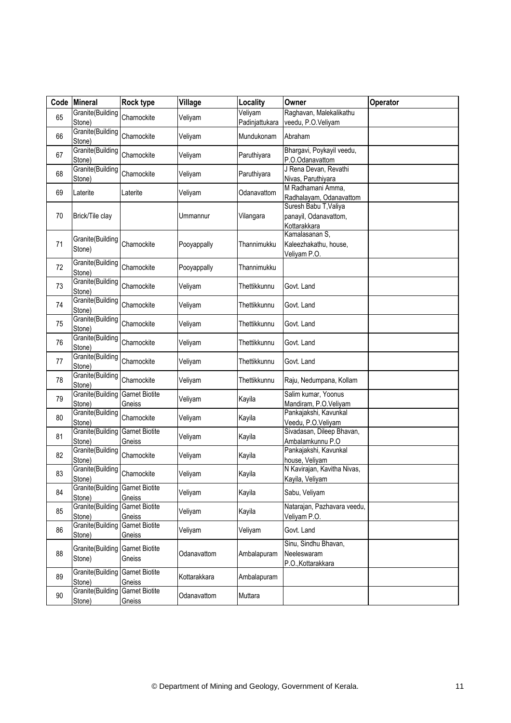| Code | Mineral                                   | <b>Rock type</b>                | Village      | Locality                  | Owner                                                          | Operator |
|------|-------------------------------------------|---------------------------------|--------------|---------------------------|----------------------------------------------------------------|----------|
| 65   | Granite(Building<br>Stone)                | Charnockite                     | Veliyam      | Veliyam<br>Padinjattukara | Raghavan, Malekalikathu<br>veedu, P.O.Veliyam                  |          |
| 66   | Granite(Building<br>Stone)                | Charnockite                     | Veliyam      | Mundukonam                | Abraham                                                        |          |
| 67   | Granite(Building<br>Stone)                | Charnockite                     | Veliyam      | Paruthiyara               | Bhargavi, Poykayil veedu,<br>P.O.Odanavattom                   |          |
| 68   | Granite(Building<br>Stone)                | Charnockite                     | Veliyam      | Paruthiyara               | J Rena Devan, Revathi<br>Nivas, Paruthiyara                    |          |
| 69   | Laterite                                  | Laterite                        | Veliyam      | Odanavattom               | M Radhamani Amma,<br>Radhalayam, Odanavattom                   |          |
| 70   | Brick/Tile clay                           |                                 | Ummannur     | Vilangara                 | Suresh Babu T, Valiya<br>panayil, Odanavattom,<br>Kottarakkara |          |
| 71   | Granite(Building<br>Stone)                | Charnockite                     | Pooyappally  | Thannimukku               | Kamalasanan S,<br>Kaleezhakathu, house,<br>Veliyam P.O.        |          |
| 72   | Granite(Building<br>Stone)                | Charnockite                     | Pooyappally  | Thannimukku               |                                                                |          |
| 73   | Granite(Building<br>Stone)                | Charnockite                     | Veliyam      | Thettikkunnu              | Govt. Land                                                     |          |
| 74   | Granite(Building<br>Stone)                | Charnockite                     | Veliyam      | Thettikkunnu              | Govt. Land                                                     |          |
| 75   | Granite(Building<br>Stone)                | Charnockite                     | Veliyam      | Thettikkunnu              | Govt. Land                                                     |          |
| 76   | Granite(Building<br>Stone)                | Charnockite                     | Veliyam      | Thettikkunnu              | Govt. Land                                                     |          |
| 77   | Granite(Building<br>Stone)                | Charnockite                     | Veliyam      | Thettikkunnu              | Govt. Land                                                     |          |
| 78   | Granite(Building<br>Stone)                | Charnockite                     | Veliyam      | Thettikkunnu              | Raju, Nedumpana, Kollam                                        |          |
| 79   | Granite(Building<br>Stone)                | <b>Garnet Biotite</b><br>Gneiss | Veliyam      | Kayila                    | Salim kumar, Yoonus<br>Mandiram, P.O.Veliyam                   |          |
| 80   | Granite(Building<br>Stone)                | Charnockite                     | Veliyam      | Kayila                    | Pankajakshi, Kavunkal<br>Veedu, P.O.Veliyam                    |          |
| 81   | Granite(Building<br>Stone)                | <b>Garnet Biotite</b><br>Gneiss | Veliyam      | Kayila                    | Sivadasan, Dileep Bhavan,<br>Ambalamkunnu P.O                  |          |
| 82   | Granite(Building<br>Stone)                | Charnockite                     | Veliyam      | Kayila                    | Pankajakshi, Kavunkal<br>house, Veliyam                        |          |
| 83   | Granite(Building<br>Stone)                | Charnockite                     | Veliyam      | Kayila                    | N Kavirajan, Kavitha Nivas,<br>Kayila, Veliyam                 |          |
| 84   | Granite(Building Garnet Biotite<br>Stone) | Gneiss                          | Veliyam      | Kayila                    | Sabu, Veliyam                                                  |          |
| 85   | Granite(Building<br>Stone)                | <b>Garnet Biotite</b><br>Gneiss | Veliyam      | Kayila                    | Natarajan, Pazhavara veedu,<br>Veliyam P.O.                    |          |
| 86   | Granite(Building<br>Stone)                | <b>Garnet Biotite</b><br>Gneiss | Veliyam      | Veliyam                   | Govt. Land                                                     |          |
| 88   | Granite(Building<br>Stone)                | <b>Garnet Biotite</b><br>Gneiss | Odanavattom  | Ambalapuram               | Sinu, Sindhu Bhavan,<br>Neeleswaram<br>P.O., Kottarakkara      |          |
| 89   | Granite(Building<br>Stone)                | <b>Garnet Biotite</b><br>Gneiss | Kottarakkara | Ambalapuram               |                                                                |          |
| 90   | Granite(Building<br>Stone)                | <b>Garnet Biotite</b><br>Gneiss | Odanavattom  | Muttara                   |                                                                |          |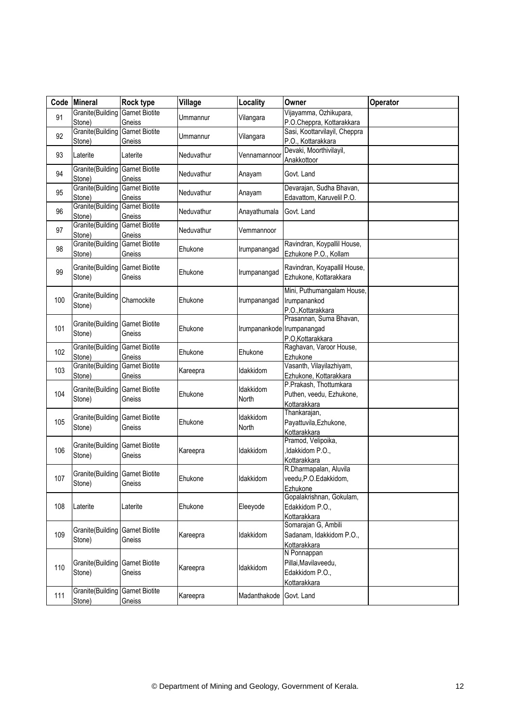| Code | <b>Mineral</b>                                    | <b>Rock type</b>                | Village    | Locality                   | Owner                                                                  | Operator |
|------|---------------------------------------------------|---------------------------------|------------|----------------------------|------------------------------------------------------------------------|----------|
| 91   | Granite(Building<br>Stone)                        | <b>Garnet Biotite</b><br>Gneiss | Ummannur   | Vilangara                  | Vijayamma, Ozhikupara,<br>P.O.Cheppra, Kottarakkara                    |          |
| 92   | Granite(Building<br>Stone)                        | <b>Garnet Biotite</b><br>Gneiss | Ummannur   | Vilangara                  | Sasi, Koottarvilayil, Cheppra<br>P.O., Kottarakkara                    |          |
| 93   | Laterite                                          | Laterite                        | Neduvathur | Vennamannoor               | Devaki, Moorthivilayil,<br>Anakkottoor                                 |          |
| 94   | Granite(Building<br>Stone)                        | <b>Garnet Biotite</b><br>Gneiss | Neduvathur | Anayam                     | Govt. Land                                                             |          |
| 95   | Granite(Building<br>Stone)                        | <b>Garnet Biotite</b><br>Gneiss | Neduvathur | Anayam                     | Devarajan, Sudha Bhavan,<br>Edavattom, Karuvelil P.O.                  |          |
| 96   | Granite(Building<br>Stone)                        | <b>Garnet Biotite</b><br>Gneiss | Neduvathur | Anayathumala               | Govt. Land                                                             |          |
| 97   | Granite(Building<br>Stone)                        | <b>Garnet Biotite</b><br>Gneiss | Neduvathur | Vemmannoor                 |                                                                        |          |
| 98   | Granite(Building<br>Stone)                        | <b>Garnet Biotite</b><br>Gneiss | Ehukone    | Irumpanangad               | Ravindran, Koypallil House,<br>Ezhukone P.O., Kollam                   |          |
| 99   | Granite(Building<br>Stone)                        | <b>Garnet Biotite</b><br>Gneiss | Ehukone    | Irumpanangad               | Ravindran, Koyapallil House,<br>Ezhukone, Kottarakkara                 |          |
| 100  | Granite(Building<br>Stone)                        | Charnockite                     | Ehukone    | Irumpanangad               | Mini, Puthumangalam House,<br>Irumpanankod<br>P.O., Kottarakkara       |          |
| 101  | Granite(Building<br>Stone)                        | <b>Garnet Biotite</b><br>Gneiss | Ehukone    | Irumpanankode Irumpanangad | Prasannan, Suma Bhavan,<br>P.O, Kottarakkara                           |          |
| 102  | Granite(Building<br>Stone)                        | <b>Garnet Biotite</b><br>Gneiss | Ehukone    | Ehukone                    | Raghavan, Varoor House,<br>Ezhukone                                    |          |
| 103  | Granite(Building<br>Stone)                        | <b>Garnet Biotite</b><br>Gneiss | Kareepra   | Idakkidom                  | Vasanth, Vilayilazhiyam,<br>Ezhukone, Kottarakkara                     |          |
| 104  | Granite(Building<br>Stone)                        | <b>Garnet Biotite</b><br>Gneiss | Ehukone    | Idakkidom<br>North         | P.Prakash, Thottumkara<br>Puthen, veedu, Ezhukone,<br>Kottarakkara     |          |
| 105  | Granite(Building<br>Stone)                        | <b>Garnet Biotite</b><br>Gneiss | Ehukone    | Idakkidom<br>North         | Thankarajan,<br>Payattuvila, Ezhukone,<br>Kottarakkara                 |          |
| 106  | Granite(Building<br>Stone)                        | <b>Garnet Biotite</b><br>Gneiss | Kareepra   | Idakkidom                  | Pramod, Velipoika,<br>,Idakkidom P.O.,<br>Kottarakkara                 |          |
| 107  | <b>Granite</b> (Building Garnet Biotite<br>Stone) | Gneiss                          | Ehukone    | Idakkidom                  | R.Dharmapalan, Aluvila<br>veedu, P.O. Edakkidom,<br>Ezhukone           |          |
| 108  | Laterite                                          | Laterite                        | Ehukone    | Eleeyode                   | Gopalakrishnan, Gokulam,<br>Edakkidom P.O.,<br>Kottarakkara            |          |
| 109  | Granite(Building<br>Stone)                        | <b>Garnet Biotite</b><br>Gneiss | Kareepra   | Idakkidom                  | Somarajan G, Ambili<br>Sadanam, Idakkidom P.O.,<br>Kottarakkara        |          |
| 110  | Granite(Building<br>Stone)                        | <b>Garnet Biotite</b><br>Gneiss | Kareepra   | Idakkidom                  | N Ponnappan<br>Pillai, Mavilaveedu,<br>Edakkidom P.O.,<br>Kottarakkara |          |
| 111  | Granite(Building<br>Stone)                        | <b>Garnet Biotite</b><br>Gneiss | Kareepra   | Madanthakode               | Govt. Land                                                             |          |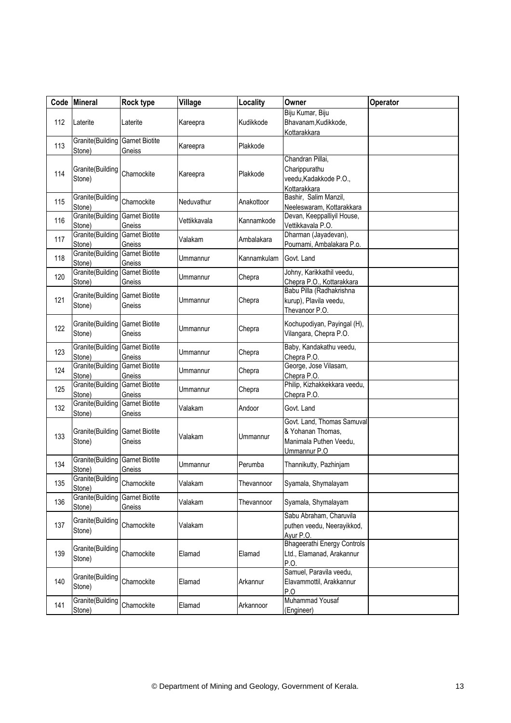|     | Code Mineral                                      | Rock type                       | Village      | Locality    | Owner                                                                                     | Operator |
|-----|---------------------------------------------------|---------------------------------|--------------|-------------|-------------------------------------------------------------------------------------------|----------|
| 112 | Laterite                                          | Laterite                        | Kareepra     | Kudikkode   | Biju Kumar, Biju<br>Bhavanam, Kudikkode,<br>Kottarakkara                                  |          |
| 113 | Granite(Building<br>Stone)                        | <b>Garnet Biotite</b><br>Gneiss | Kareepra     | Plakkode    |                                                                                           |          |
| 114 | Granite(Building<br>Stone)                        | Charnockite                     | Kareepra     | Plakkode    | Chandran Pillai,<br>Charippurathu<br>veedu, Kadakkode P.O.,<br>Kottarakkara               |          |
| 115 | Granite(Building<br>Stone)                        | Charnockite                     | Neduvathur   | Anakottoor  | Bashir, Salim Manzil,<br>Neeleswaram, Kottarakkara                                        |          |
| 116 | Granite(Building<br>Stone)                        | <b>Garnet Biotite</b><br>Gneiss | Vettikkavala | Kannamkode  | Devan, Keeppalliyil House,<br>Vettikkavala P.O.                                           |          |
| 117 | Granite(Building<br>Stone)                        | <b>Garnet Biotite</b><br>Gneiss | Valakam      | Ambalakara  | Dharman (Jayadevan),<br>Pournami, Ambalakara P.o.                                         |          |
| 118 | Granite(Building<br>Stone)                        | <b>Garnet Biotite</b><br>Gneiss | Ummannur     | Kannamkulam | Govt. Land                                                                                |          |
| 120 | Granite(Building<br>Stone)                        | <b>Garnet Biotite</b><br>Gneiss | Ummannur     | Chepra      | Johny, Karikkathil veedu,<br>Chepra P.O., Kottarakkara                                    |          |
| 121 | Granite(Building<br>Stone)                        | <b>Garnet Biotite</b><br>Gneiss | Ummannur     | Chepra      | Babu Pilla (Radhakrishna<br>kurup), Plavila veedu,<br>Thevanoor P.O                       |          |
| 122 | <b>Granite</b> (Building Garnet Biotite<br>Stone) | Gneiss                          | Ummannur     | Chepra      | Kochupodiyan, Payingal (H),<br>Vilangara, Chepra P.O.                                     |          |
| 123 | Granite(Building<br>Stone)                        | <b>Garnet Biotite</b><br>Gneiss | Ummannur     | Chepra      | Baby, Kandakathu veedu,<br>Chepra P.O.                                                    |          |
| 124 | Granite(Building<br>Stone)                        | <b>Garnet Biotite</b><br>Gneiss | Ummannur     | Chepra      | George, Jose Vilasam,<br>Chepra P.O.                                                      |          |
| 125 | Granite(Building<br>Stone)                        | <b>Garnet Biotite</b><br>Gneiss | Ummannur     | Chepra      | Philip, Kizhakkekkara veedu,<br>Chepra P.O.                                               |          |
| 132 | Granite(Building<br>Stone)                        | <b>Garnet Biotite</b><br>Gneiss | Valakam      | Andoor      | Govt. Land                                                                                |          |
| 133 | <b>Granite</b> (Building Garnet Biotite<br>Stone) | Gneiss                          | Valakam      | Ummannur    | Govt. Land, Thomas Samuval<br>& Yohanan Thomas,<br>Manimala Puthen Veedu,<br>Ummannur P.O |          |
| 134 | <b>Granite</b> (Building Garnet Biotite<br>Stone) | Gneiss                          | Ummannur     | Perumba     | Thannikutty, Pazhinjam                                                                    |          |
| 135 | Granite(Building<br>Stone)                        | Charnockite                     | Valakam      | Thevannoor  | Syamala, Shymalayam                                                                       |          |
| 136 | Granite(Building<br>Stone)                        | <b>Garnet Biotite</b><br>Gneiss | Valakam      | Thevannoor  | Syamala, Shymalayam                                                                       |          |
| 137 | Granite(Building<br>Stone)                        | Charnockite                     | Valakam      |             | Sabu Abraham, Charuvila<br>puthen veedu, Neerayikkod,<br>Ayur P.O.                        |          |
| 139 | Granite(Building<br>Stone)                        | Charnockite                     | Elamad       | Elamad      | <b>Bhageerathi Energy Controls</b><br>Ltd., Elamanad, Arakannur<br>P.O.                   |          |
| 140 | Granite(Building<br>Stone)                        | Charnockite                     | Elamad       | Arkannur    | Samuel, Paravila veedu,<br>Elavammottil, Arakkannur<br>P.O                                |          |
| 141 | Granite(Building<br>Stone)                        | Charnockite                     | Elamad       | Arkannoor   | Muhammad Yousaf<br>(Engineer)                                                             |          |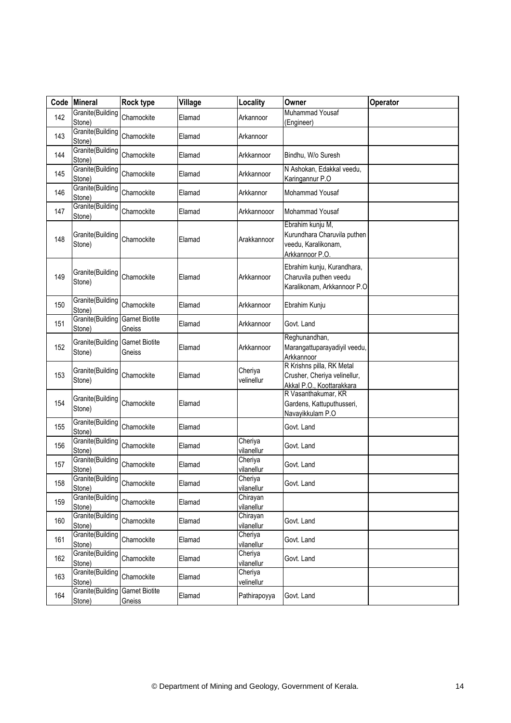| Code | <b>Mineral</b>             | <b>Rock type</b>                | Village | Locality               | Owner                                                                                     | Operator |
|------|----------------------------|---------------------------------|---------|------------------------|-------------------------------------------------------------------------------------------|----------|
| 142  | Granite(Building<br>Stone) | Charnockite                     | Elamad  | Arkannoor              | Muhammad Yousaf<br>(Engineer)                                                             |          |
| 143  | Granite(Building<br>Stone) | Charnockite                     | Elamad  | Arkannoor              |                                                                                           |          |
| 144  | Granite(Building<br>Stone) | Charnockite                     | Elamad  | Arkkannoor             | Bindhu, W/o Suresh                                                                        |          |
| 145  | Granite(Building<br>Stone) | Charnockite                     | Elamad  | Arkkannoor             | N Ashokan, Edakkal veedu,<br>Karingannur P.O                                              |          |
| 146  | Granite(Building<br>Stone) | Charnockite                     | Elamad  | Arkkannor              | Mohammad Yousaf                                                                           |          |
| 147  | Granite(Building<br>Stone) | Charnockite                     | Elamad  | Arkkannooor            | Mohammad Yousaf                                                                           |          |
| 148  | Granite(Building<br>Stone) | Charnockite                     | Elamad  | Arakkannoor            | Ebrahim kunju M,<br>Kurundhara Charuvila puthen<br>veedu, Karalikonam,<br>Arkkannoor P.O. |          |
| 149  | Granite(Building<br>Stone) | Charnockite                     | Elamad  | Arkkannoor             | Ebrahim kunju, Kurandhara,<br>Charuvila puthen veedu<br>Karalikonam, Arkkannoor P.O.      |          |
| 150  | Granite(Building<br>Stone) | Charnockite                     | Elamad  | Arkkannoor             | Ebrahim Kunju                                                                             |          |
| 151  | Granite(Building<br>Stone) | <b>Garnet Biotite</b><br>Gneiss | Elamad  | Arkkannoor             | Govt. Land                                                                                |          |
| 152  | Granite(Building<br>Stone) | <b>Garnet Biotite</b><br>Gneiss | Elamad  | Arkkannoor             | Reghunandhan,<br>Marangattuparayadiyil veedu,<br>Arkkannoor                               |          |
| 153  | Granite(Building<br>Stone) | Charnockite                     | Elamad  | Cheriya<br>velinellur  | R Krishns pilla, RK Metal<br>Crusher, Cheriya velinellur,<br>Akkal P.O., Koottarakkara    |          |
| 154  | Granite(Building<br>Stone) | Charnockite                     | Elamad  |                        | R Vasanthakumar, KR<br>Gardens, Kattuputhusseri,<br>Navayikkulam P.O                      |          |
| 155  | Granite(Building<br>Stone) | Charnockite                     | Elamad  |                        | Govt. Land                                                                                |          |
| 156  | Granite(Building<br>Stone) | Charnockite                     | Elamad  | Cheriya<br>vilanellur  | Govt. Land                                                                                |          |
| 157  | Granite(Building<br>Stone) | Charnockite                     | Elamad  | Cheriya<br>vilanellur  | Govt. Land                                                                                |          |
| 158  | Granite(Building<br>Stone) | Charnockite                     | Elamad  | Cheriya<br>vilanellur  | Govt. Land                                                                                |          |
| 159  | Granite(Building<br>Stone) | Charnockite                     | Elamad  | Chirayan<br>vilanellur |                                                                                           |          |
| 160  | Granite(Building<br>Stone) | Charnockite                     | Elamad  | Chirayan<br>vilanellur | Govt. Land                                                                                |          |
| 161  | Granite(Building<br>Stone) | Charnockite                     | Elamad  | Cheriya<br>vilanellur  | Govt. Land                                                                                |          |
| 162  | Granite(Building<br>Stone) | Charnockite                     | Elamad  | Cheriya<br>vilanellur  | Govt. Land                                                                                |          |
| 163  | Granite(Building<br>Stone) | Charnockite                     | Elamad  | Cheriya<br>velinellur  |                                                                                           |          |
| 164  | Granite(Building<br>Stone) | <b>Garnet Biotite</b><br>Gneiss | Elamad  | Pathirapoyya           | Govt. Land                                                                                |          |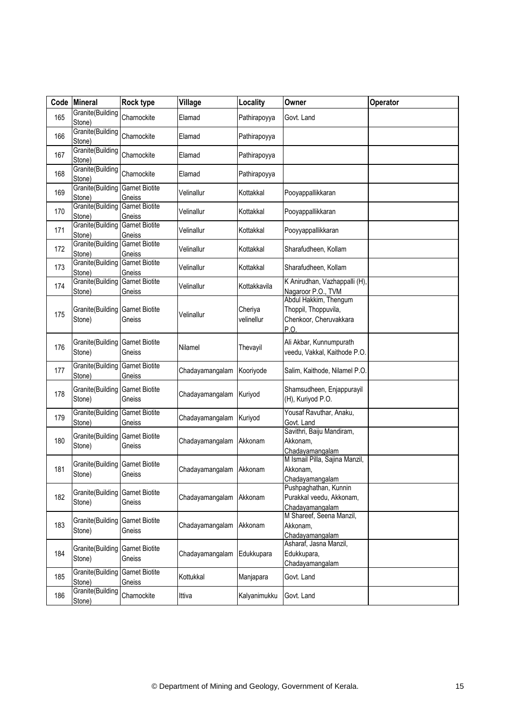| Code | <b>Mineral</b>             | Rock type                       | Village         | Locality              | Owner                                                                           | Operator |
|------|----------------------------|---------------------------------|-----------------|-----------------------|---------------------------------------------------------------------------------|----------|
| 165  | Granite(Building<br>Stone) | Charnockite                     | Elamad          | Pathirapoyya          | Govt. Land                                                                      |          |
| 166  | Granite(Building<br>Stone) | Charnockite                     | Elamad          | Pathirapoyya          |                                                                                 |          |
| 167  | Granite(Building<br>Stone) | Charnockite                     | Elamad          | Pathirapoyya          |                                                                                 |          |
| 168  | Granite(Building<br>Stone) | Charnockite                     | Elamad          | Pathirapoyya          |                                                                                 |          |
| 169  | Granite(Building<br>Stone) | <b>Garnet Biotite</b><br>Gneiss | Velinallur      | Kottakkal             | Pooyappallikkaran                                                               |          |
| 170  | Granite(Building<br>Stone) | <b>Garnet Biotite</b><br>Gneiss | Velinallur      | Kottakkal             | Pooyappallikkaran                                                               |          |
| 171  | Granite(Building<br>Stone) | <b>Garnet Biotite</b><br>Gneiss | Velinallur      | Kottakkal             | Pooyyappallikkaran                                                              |          |
| 172  | Granite(Building<br>Stone) | <b>Garnet Biotite</b><br>Gneiss | Velinallur      | Kottakkal             | Sharafudheen, Kollam                                                            |          |
| 173  | Granite(Building<br>Stone) | <b>Garnet Biotite</b><br>Gneiss | Velinallur      | Kottakkal             | Sharafudheen, Kollam                                                            |          |
| 174  | Granite(Building<br>Stone) | <b>Garnet Biotite</b><br>Gneiss | Velinallur      | Kottakkavila          | K Anirudhan, Vazhappalli (H),<br>Nagaroor P.O., TVM                             |          |
| 175  | Granite(Building<br>Stone) | <b>Garnet Biotite</b><br>Gneiss | Velinallur      | Cheriya<br>velinellur | Abdul Hakkim, Thengum<br>Thoppil, Thoppuvila,<br>Chenkoor, Cheruvakkara<br>P.O. |          |
| 176  | Granite(Building<br>Stone) | <b>Garnet Biotite</b><br>Gneiss | Nilamel         | Thevayil              | Ali Akbar, Kunnumpurath<br>veedu, Vakkal, Kaithode P.O.                         |          |
| 177  | Granite(Building<br>Stone) | <b>Garnet Biotite</b><br>Gneiss | Chadayamangalam | Kooriyode             | Salim, Kaithode, Nilamel P.O.                                                   |          |
| 178  | Granite(Building<br>Stone) | <b>Garnet Biotite</b><br>Gneiss | Chadayamangalam | Kuriyod               | Shamsudheen, Enjappurayil<br>(H), Kuriyod P.O.                                  |          |
| 179  | Granite(Building<br>Stone) | <b>Garnet Biotite</b><br>Gneiss | Chadayamangalam | Kuriyod               | Yousaf Ravuthar, Anaku,<br>Govt. Land                                           |          |
| 180  | Granite(Building<br>Stone) | <b>Garnet Biotite</b><br>Gneiss | Chadayamangalam | Akkonam               | Savithri, Baiju Mandiram,<br>Akkonam,<br>Chadayamangalam                        |          |
| 181  | Granite(Building<br>Stone) | <b>Garnet Biotite</b><br>Gneiss | Chadayamangalam | Akkonam               | M Ismail Pilla, Sajina Manzil,<br>Akkonam,<br>Chadayamangalam                   |          |
| 182  | Granite(Building<br>Stone) | <b>Garnet Biotite</b><br>Gneiss | Chadayamangalam | Akkonam               | Pushpaghathan, Kunnin<br>Purakkal veedu, Akkonam,<br>Chadayamangalam            |          |
| 183  | Granite(Building<br>Stone) | <b>Garnet Biotite</b><br>Gneiss | Chadayamangalam | Akkonam               | M Shareef, Seena Manzil,<br>Akkonam,<br>Chadayamangalam                         |          |
| 184  | Granite(Building<br>Stone) | <b>Garnet Biotite</b><br>Gneiss | Chadayamangalam | Edukkupara            | Asharaf, Jasna Manzil,<br>Edukkupara,<br>Chadayamangalam                        |          |
| 185  | Granite(Building<br>Stone) | <b>Garnet Biotite</b><br>Gneiss | Kottukkal       | Manjapara             | Govt. Land                                                                      |          |
| 186  | Granite(Building<br>Stone) | Charnockite                     | Ittiva          | Kalyanimukku          | Govt. Land                                                                      |          |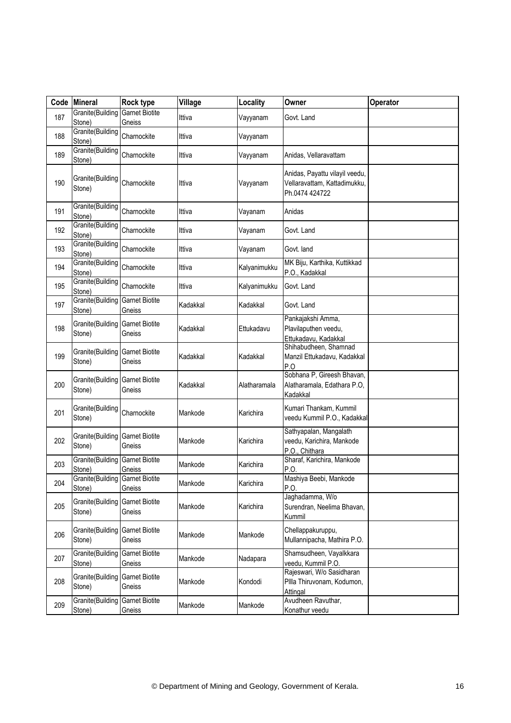| Code | Mineral                                           | <b>Rock type</b>                | Village  | Locality     | Owner                                                                            | Operator |
|------|---------------------------------------------------|---------------------------------|----------|--------------|----------------------------------------------------------------------------------|----------|
| 187  | Granite(Building<br>Stone)                        | <b>Garnet Biotite</b><br>Gneiss | Ittiva   | Vayyanam     | Govt. Land                                                                       |          |
| 188  | Granite(Building<br>Stone)                        | Charnockite                     | Ittiva   | Vayyanam     |                                                                                  |          |
| 189  | Granite(Building<br>Stone)                        | Charnockite                     | Ittiva   | Vayyanam     | Anidas, Vellaravattam                                                            |          |
| 190  | Granite(Building<br>Stone)                        | Charnockite                     | Ittiva   | Vayyanam     | Anidas, Payattu vilayil veedu,<br>Vellaravattam, Kattadimukku,<br>Ph.0474 424722 |          |
| 191  | Granite(Building<br>Stone)                        | Charnockite                     | Ittiva   | Vayanam      | Anidas                                                                           |          |
| 192  | Granite(Building<br>Stone)                        | Charnockite                     | Ittiva   | Vayanam      | Govt. Land                                                                       |          |
| 193  | Granite(Building<br>Stone)                        | Charnockite                     | Ittiva   | Vayanam      | Govt. land                                                                       |          |
| 194  | Granite(Building<br>Stone)                        | Charnockite                     | Ittiva   | Kalyanimukku | MK Biju, Karthika, Kuttikkad<br>P.O., Kadakkal                                   |          |
| 195  | Granite(Building<br>Stone)                        | Charnockite                     | Ittiva   | Kalyanimukku | Govt. Land                                                                       |          |
| 197  | Granite(Building<br>Stone)                        | <b>Garnet Biotite</b><br>Gneiss | Kadakkal | Kadakkal     | Govt. Land                                                                       |          |
| 198  | Granite (Building Garnet Biotite<br>Stone)        | Gneiss                          | Kadakkal | Ettukadavu   | Pankajakshi Amma,<br>Plavilaputhen veedu,<br>Ettukadavu, Kadakkal                |          |
| 199  | Granite(Building<br>Stone)                        | <b>Garnet Biotite</b><br>Gneiss | Kadakkal | Kadakkal     | Shihabudheen, Shamnad<br>Manzil Ettukadavu, Kadakkal<br>P.O                      |          |
| 200  | Granite(Building<br>Stone)                        | <b>Garnet Biotite</b><br>Gneiss | Kadakkal | Alatharamala | Sobhana P, Gireesh Bhavan,<br>Alatharamala, Edathara P.O,<br>Kadakkal            |          |
| 201  | Granite(Building<br>Stone)                        | Charnockite                     | Mankode  | Karichira    | Kumari Thankam, Kummil<br>veedu Kummil P.O., Kadakkal                            |          |
| 202  | <b>Granite</b> (Building Garnet Biotite<br>Stone) | Gneiss                          | Mankode  | Karichira    | Sathyapalan, Mangalath<br>veedu, Karichira, Mankode<br>P.O., Chithara            |          |
| 203  | <b>Granite</b> (Building Garnet Biotite<br>Stone) | Gneiss                          | Mankode  | Karichira    | Sharaf, Karichira, Mankode<br>P.O.                                               |          |
| 204  | <b>Granite</b> (Building Garnet Biotite<br>Stone) | Gneiss                          | Mankode  | Karichira    | Mashiya Beebi, Mankode<br>P.O.                                                   |          |
| 205  | Granite (Building Garnet Biotite<br>Stone)        | Gneiss                          | Mankode  | Karichira    | Jaghadamma, W/o<br>Surendran, Neelima Bhavan,<br>Kummil                          |          |
| 206  | Granite(Building<br>Stone)                        | <b>Garnet Biotite</b><br>Gneiss | Mankode  | Mankode      | Chellappakuruppu,<br>Mullannipacha, Mathira P.O.                                 |          |
| 207  | Granite(Building<br>Stone)                        | <b>Garnet Biotite</b><br>Gneiss | Mankode  | Nadapara     | Shamsudheen, Vayalkkara<br>veedu, Kummil P.O.                                    |          |
| 208  | Granite(Building<br>Stone)                        | <b>Garnet Biotite</b><br>Gneiss | Mankode  | Kondodi      | Rajeswari, W/o Sasidharan<br>Pilla Thiruvonam, Kodumon,<br>Attingal              |          |
| 209  | Granite(Building<br>Stone)                        | <b>Garnet Biotite</b><br>Gneiss | Mankode  | Mankode      | Avudheen Ravuthar,<br>Konathur veedu                                             |          |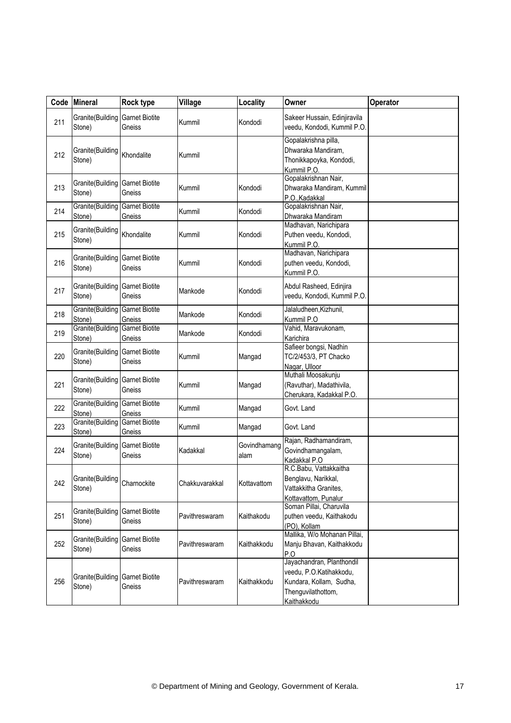| Code | <b>Mineral</b>                                    | Rock type                       | Village        | Locality             | Owner                                                                                                                | Operator |
|------|---------------------------------------------------|---------------------------------|----------------|----------------------|----------------------------------------------------------------------------------------------------------------------|----------|
| 211  | Granite(Building<br>Stone)                        | <b>Garnet Biotite</b><br>Gneiss | Kummil         | Kondodi              | Sakeer Hussain, Edinjiravila<br>veedu, Kondodi, Kummil P.O.                                                          |          |
| 212  | Granite(Building<br>Stone)                        | Khondalite                      | Kummil         |                      | Gopalakrishna pilla,<br>Dhwaraka Mandiram,<br>Thonikkapoyka, Kondodi,<br>Kummil P.O.                                 |          |
| 213  | Granite(Building<br>Stone)                        | <b>Garnet Biotite</b><br>Gneiss | Kummil         | Kondodi              | Gopalakrishnan Nair,<br>Dhwaraka Mandiram, Kummil<br>P.O., Kadakkal                                                  |          |
| 214  | Granite(Building<br>Stone)                        | <b>Garnet Biotite</b><br>Gneiss | Kummil         | Kondodi              | Gopalakrishnan Nair,<br>Dhwaraka Mandiram                                                                            |          |
| 215  | Granite(Building<br>Stone)                        | Khondalite                      | Kummil         | Kondodi              | Madhavan, Narichipara<br>Puthen veedu, Kondodi,<br>Kummil P.O.                                                       |          |
| 216  | Granite(Building<br>Stone)                        | <b>Garnet Biotite</b><br>Gneiss | Kummil         | Kondodi              | Madhavan, Narichipara<br>puthen veedu, Kondodi,<br>Kummil P.O.                                                       |          |
| 217  | Granite(Building<br>Stone)                        | <b>Garnet Biotite</b><br>Gneiss | Mankode        | Kondodi              | Abdul Rasheed, Edinjira<br>veedu, Kondodi, Kummil P.O.                                                               |          |
| 218  | Granite(Building<br>Stone)                        | <b>Garnet Biotite</b><br>Gneiss | Mankode        | Kondodi              | Jalaludheen, Kizhunil,<br>Kummil P.O                                                                                 |          |
| 219  | Granite(Building<br>Stone)                        | <b>Garnet Biotite</b><br>Gneiss | Mankode        | Kondodi              | Vahid, Maravukonam,<br>Karichira                                                                                     |          |
| 220  | Granite(Building<br>Stone)                        | <b>Garnet Biotite</b><br>Gneiss | Kummil         | Mangad               | Safieer bongsi, Nadhin<br>TC/2/453/3, PT Chacko<br>Nagar, Ulloor                                                     |          |
| 221  | Granite(Building<br>Stone)                        | <b>Garnet Biotite</b><br>Gneiss | Kummil         | Mangad               | Muthali Moosakunju<br>(Ravuthar), Madathivila,<br>Cherukara, Kadakkal P.O.                                           |          |
| 222  | <b>Granite</b> (Building Garnet Biotite<br>Stone) | Gneiss                          | Kummil         | Mangad               | Govt. Land                                                                                                           |          |
| 223  | Granite(Building<br>Stone)                        | <b>Garnet Biotite</b><br>Gneiss | Kummil         | Mangad               | Govt. Land                                                                                                           |          |
| 224  | Granite(Building<br>Stone)                        | <b>Garnet Biotite</b><br>Gneiss | Kadakkal       | Govindhamang<br>alam | Rajan, Radhamandiram,<br>Govindhamangalam,<br>Kadakkal P.O                                                           |          |
| 242  | Granite(Building<br>Stone)                        | Charnockite                     | Chakkuvarakkal | Kottavattom          | R.C.Babu, Vattakkaitha<br>Benglavu, Narikkal,<br>Vattakkitha Granites,<br>Kottavattom, Punalur                       |          |
| 251  | Granite(Building<br>Stone)                        | <b>Garnet Biotite</b><br>Gneiss | Pavithreswaram | Kaithakodu           | Soman Pillai, Charuvila<br>puthen veedu, Kaithakodu<br>(PO), Kollam                                                  |          |
| 252  | Granite(Building<br>Stone)                        | <b>Garnet Biotite</b><br>Gneiss | Pavithreswaram | Kaithakkodu          | Mallika, W/o Mohanan Pillai,<br>Manju Bhavan, Kaithakkodu<br>P.O                                                     |          |
| 256  | Granite(Building<br>Stone)                        | <b>Garnet Biotite</b><br>Gneiss | Pavithreswaram | Kaithakkodu          | Jayachandran, Planthondil<br>veedu, P.O.Katihakkodu,<br>Kundara, Kollam, Sudha,<br>Thenguvilathottom,<br>Kaithakkodu |          |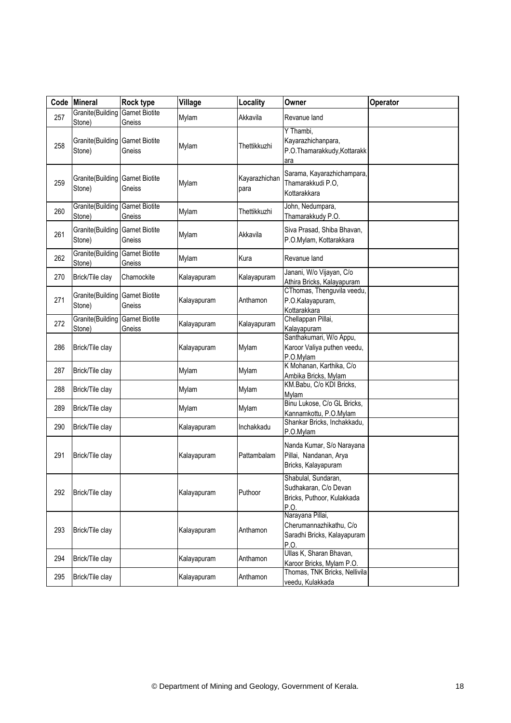| Code | <b>Mineral</b>             | Rock type                       | Village     | Locality              | Owner                                                                              | Operator |
|------|----------------------------|---------------------------------|-------------|-----------------------|------------------------------------------------------------------------------------|----------|
| 257  | Granite(Building<br>Stone) | <b>Garnet Biotite</b><br>Gneiss | Mylam       | Akkavila              | Revanue land                                                                       |          |
| 258  | Granite(Building<br>Stone) | <b>Garnet Biotite</b><br>Gneiss | Mylam       | Thettikkuzhi          | Y Thambi,<br>Kayarazhichanpara,<br>P.O.Thamarakkudy, Kottarakk<br>ara              |          |
| 259  | Granite(Building<br>Stone) | <b>Garnet Biotite</b><br>Gneiss | Mylam       | Kayarazhichan<br>para | Sarama, Kayarazhichampara,<br>Thamarakkudi P.O,<br>Kottarakkara                    |          |
| 260  | Granite(Building<br>Stone) | <b>Garnet Biotite</b><br>Gneiss | Mylam       | Thettikkuzhi          | John, Nedumpara,<br>Thamarakkudy P.O.                                              |          |
| 261  | Granite(Building<br>Stone) | <b>Garnet Biotite</b><br>Gneiss | Mylam       | Akkavila              | Siva Prasad, Shiba Bhavan,<br>P.O.Mylam, Kottarakkara                              |          |
| 262  | Granite(Building<br>Stone) | <b>Garnet Biotite</b><br>Gneiss | Mylam       | Kura                  | Revanue land                                                                       |          |
| 270  | Brick/Tile clay            | Charnockite                     | Kalayapuram | Kalayapuram           | Janani, W/o Vijayan, C/o<br>Athira Bricks, Kalayapuram                             |          |
| 271  | Granite(Building<br>Stone) | <b>Garnet Biotite</b><br>Gneiss | Kalayapuram | Anthamon              | CThomas, Thenguvila veedu,<br>P.O.Kalayapuram,<br>Kottarakkara                     |          |
| 272  | Granite(Building<br>Stone) | <b>Garnet Biotite</b><br>Gneiss | Kalayapuram | Kalayapuram           | Chellappan Pillai,<br>Kalayapuram                                                  |          |
| 286  | Brick/Tile clay            |                                 | Kalayapuram | Mylam                 | Santhakumari, W/o Appu,<br>Karoor Valiya puthen veedu,<br>P.O.Mylam                |          |
| 287  | Brick/Tile clay            |                                 | Mylam       | Mylam                 | K Mohanan, Karthika, C/o<br>Ambika Bricks, Mylam                                   |          |
| 288  | Brick/Tile clay            |                                 | Mylam       | Mylam                 | KM.Babu, C/o KDI Bricks,<br>Mylam                                                  |          |
| 289  | Brick/Tile clay            |                                 | Mylam       | Mylam                 | Binu Lukose, C/o GL Bricks,<br>Kannamkottu, P.O.Mylam                              |          |
| 290  | Brick/Tile clay            |                                 | Kalayapuram | Inchakkadu            | Shankar Bricks, Inchakkadu,<br>P.O.Mylam                                           |          |
| 291  | Brick/Tile clay            |                                 | Kalayapuram | Pattambalam           | Nanda Kumar, S/o Narayana<br>Pillai, Nandanan, Arya<br>Bricks, Kalayapuram         |          |
| 292  | Brick/Tile clay            |                                 | Kalayapuram | Puthoor               | Shabulal, Sundaran,<br>Sudhakaran, C/o Devan<br>Bricks, Puthoor, Kulakkada<br>P.O. |          |
| 293  | Brick/Tile clay            |                                 | Kalayapuram | Anthamon              | Narayana Pillai,<br>Cherumannazhikathu, C/o<br>Saradhi Bricks, Kalayapuram<br>P.O. |          |
| 294  | Brick/Tile clay            |                                 | Kalayapuram | Anthamon              | Ullas K, Sharan Bhavan,<br>Karoor Bricks, Mylam P.O.                               |          |
| 295  | Brick/Tile clay            |                                 | Kalayapuram | Anthamon              | Thomas, TNK Bricks, Nellivila<br>veedu, Kulakkada                                  |          |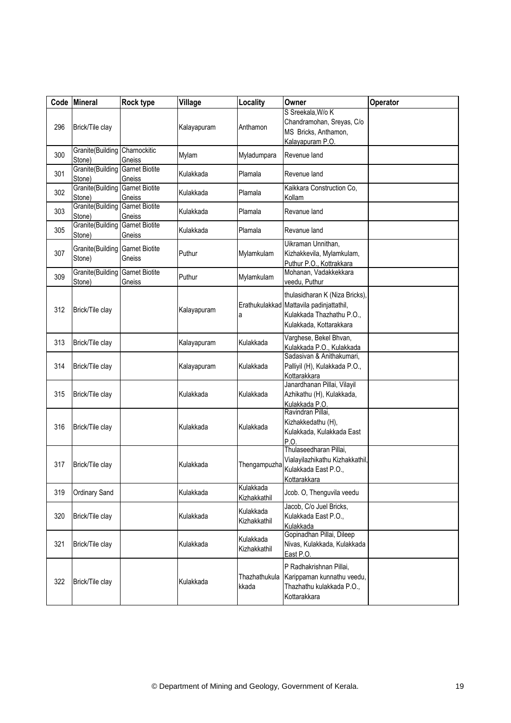| Code | Mineral                                 | Rock type                       | Village     | Locality                  | Owner                                                                                                                              | Operator |
|------|-----------------------------------------|---------------------------------|-------------|---------------------------|------------------------------------------------------------------------------------------------------------------------------------|----------|
| 296  | Brick/Tile clay                         |                                 | Kalayapuram | Anthamon                  | S Sreekala, W/o K<br>Chandramohan, Sreyas, C/o<br>MS Bricks, Anthamon,<br>Kalayapuram P.O.                                         |          |
| 300  | Granite(Building Charnockitic<br>Stone) | Gneiss                          | Mylam       | Myladumpara               | Revenue land                                                                                                                       |          |
| 301  | Granite(Building<br>Stone)              | <b>Garnet Biotite</b><br>Gneiss | Kulakkada   | Plamala                   | Revenue land                                                                                                                       |          |
| 302  | Granite(Building<br>Stone)              | <b>Garnet Biotite</b><br>Gneiss | Kulakkada   | Plamala                   | Kaikkara Construction Co,<br>Kollam                                                                                                |          |
| 303  | Granite(Building<br>Stone)              | <b>Garnet Biotite</b><br>Gneiss | Kulakkada   | Plamala                   | Revanue land                                                                                                                       |          |
| 305  | Granite(Building<br>Stone)              | <b>Garnet Biotite</b><br>Gneiss | Kulakkada   | Plamala                   | Revanue land                                                                                                                       |          |
| 307  | Granite(Building<br>Stone)              | <b>Garnet Biotite</b><br>Gneiss | Puthur      | Mylamkulam                | Uikraman Unnithan,<br>Kizhakkevila, Mylamkulam,<br>Puthur P.O., Kottrakkara                                                        |          |
| 309  | Granite(Building<br>Stone)              | <b>Garnet Biotite</b><br>Gneiss | Puthur      | Mylamkulam                | Mohanan, Vadakkekkara<br>veedu, Puthur                                                                                             |          |
| 312  | Brick/Tile clay                         |                                 | Kalayapuram | a                         | thulasidharan K (Niza Bricks),<br>Erathukulakkad Mattavila padinjattathil,<br>Kulakkada Thazhathu P.O.,<br>Kulakkada, Kottarakkara |          |
| 313  | Brick/Tile clay                         |                                 | Kalayapuram | Kulakkada                 | Varghese, Bekel Bhvan,<br>Kulakkada P.O., Kulakkada                                                                                |          |
| 314  | Brick/Tile clay                         |                                 | Kalayapuram | Kulakkada                 | Sadasivan & Anithakumari,<br>Palliyil (H), Kulakkada P.O.,<br>Kottarakkara                                                         |          |
| 315  | Brick/Tile clay                         |                                 | Kulakkada   | Kulakkada                 | Janardhanan Pillai, Vilayil<br>Azhikathu (H), Kulakkada,<br>Kulakkada P.O.                                                         |          |
| 316  | Brick/Tile clay                         |                                 | Kulakkada   | Kulakkada                 | Ravindran Pillai,<br>Kizhakkedathu (H),<br>Kulakkada, Kulakkada East<br>P.O                                                        |          |
| 317  | Brick/Tile clay                         |                                 | Kulakkada   | Thengampuzha              | Thulaseedharan Pillai,<br>Vialayilazhikathu Kizhakkathil,<br>Kulakkada East P.O.,<br>Kottarakkara                                  |          |
| 319  | Ordinary Sand                           |                                 | Kulakkada   | Kulakkada<br>Kizhakkathil | Jcob. O, Thenguvila veedu                                                                                                          |          |
| 320  | Brick/Tile clay                         |                                 | Kulakkada   | Kulakkada<br>Kizhakkathil | Jacob, C/o Juel Bricks,<br>Kulakkada East P.O.,<br>Kulakkada                                                                       |          |
| 321  | Brick/Tile clay                         |                                 | Kulakkada   | Kulakkada<br>Kizhakkathil | Gopinadhan Pillai, Dileep<br>Nivas, Kulakkada, Kulakkada<br>East P.O.                                                              |          |
| 322  | Brick/Tile clay                         |                                 | Kulakkada   | Thazhathukula<br>kkada    | P Radhakrishnan Pillai,<br>Karippaman kunnathu veedu,<br>Thazhathu kulakkada P.O.,<br>Kottarakkara                                 |          |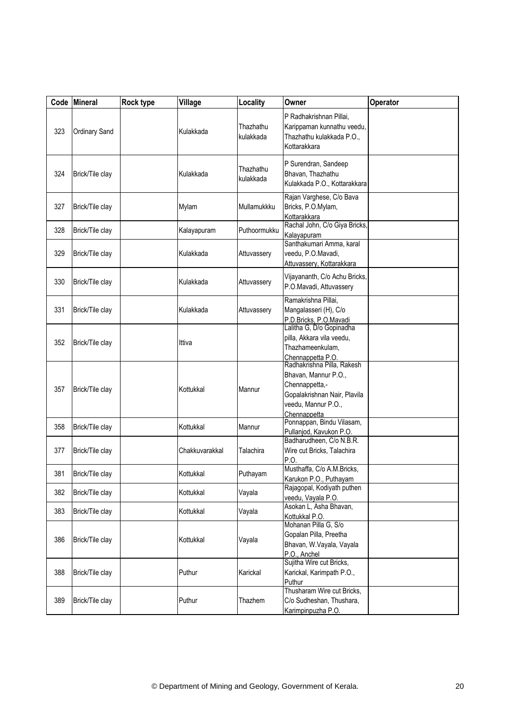| Code | Mineral         | Rock type | Village        | Locality               | Owner                                                                                                                                       | Operator |
|------|-----------------|-----------|----------------|------------------------|---------------------------------------------------------------------------------------------------------------------------------------------|----------|
| 323  | Ordinary Sand   |           | Kulakkada      | Thazhathu<br>kulakkada | P Radhakrishnan Pillai,<br>Karippaman kunnathu veedu,<br>Thazhathu kulakkada P.O.,<br>Kottarakkara                                          |          |
| 324  | Brick/Tile clay |           | Kulakkada      | Thazhathu<br>kulakkada | P Surendran, Sandeep<br>Bhavan, Thazhathu<br>Kulakkada P.O., Kottarakkara                                                                   |          |
| 327  | Brick/Tile clay |           | Mylam          | Mullamukkku            | Rajan Varghese, C/o Bava<br>Bricks, P.O.Mylam,<br>Kottarakkara                                                                              |          |
| 328  | Brick/Tile clay |           | Kalayapuram    | Puthoormukku           | Rachal John, C/o Giya Bricks,<br>Kalayapuram                                                                                                |          |
| 329  | Brick/Tile clay |           | Kulakkada      | Attuvassery            | Santhakumari Amma, karal<br>veedu, P.O.Mavadi,<br>Attuvassery, Kottarakkara                                                                 |          |
| 330  | Brick/Tile clay |           | Kulakkada      | Attuvassery            | Vijayananth, C/o Achu Bricks,<br>P.O.Mavadi, Attuvassery                                                                                    |          |
| 331  | Brick/Tile clay |           | Kulakkada      | Attuvassery            | Ramakrishna Pillai,<br>Mangalasseri (H), C/o<br>P.D.Bricks, P.O.Mavadi                                                                      |          |
| 352  | Brick/Tile clay |           | Ittiva         |                        | Lalitha G, D/o Gopinadha<br>pilla, Akkara vila veedu,<br>Thazhameenkulam,<br>Chennappetta P.O.                                              |          |
| 357  | Brick/Tile clay |           | Kottukkal      | Mannur                 | Radhakrishna Pilla, Rakesh<br>Bhavan, Mannur P.O.,<br>Chennappetta,-<br>Gopalakrishnan Nair, Plavila<br>veedu, Mannur P.O.,<br>Chennappetta |          |
| 358  | Brick/Tile clay |           | Kottukkal      | Mannur                 | Ponnappan, Bindu Vilasam,<br>Pullanjod, Kavukon P.O.                                                                                        |          |
| 377  | Brick/Tile clay |           | Chakkuvarakkal | Talachira              | Badharudheen, C/o N.B.R.<br>Wire cut Bricks, Talachira<br>P.O.                                                                              |          |
| 381  | Brick/Tile clay |           | Kottukkal      | Puthayam               | Musthaffa, C/o A.M.Bricks,<br>Karukon P.O., Puthayam                                                                                        |          |
| 382  | Brick/Tile clay |           | Kottukkal      | Vayala                 | Rajagopal, Kodiyath puthen<br>veedu, Vayala P.O.                                                                                            |          |
| 383  | Brick/Tile clay |           | Kottukkal      | Vayala                 | Asokan L, Asha Bhavan,<br>Kottukkal P.O.                                                                                                    |          |
| 386  | Brick/Tile clay |           | Kottukkal      | Vayala                 | Mohanan Pilla G, S/o<br>Gopalan Pilla, Preetha<br>Bhavan, W.Vayala, Vayala<br>P.O., Anchel                                                  |          |
| 388  | Brick/Tile clay |           | Puthur         | Karickal               | Sujitha Wire cut Bricks,<br>Karickal, Karimpath P.O.,<br>Puthur                                                                             |          |
| 389  | Brick/Tile clay |           | Puthur         | Thazhem                | Thusharam Wire cut Bricks,<br>C/o Sudheshan, Thushara,<br>Karimpinpuzha P.O.                                                                |          |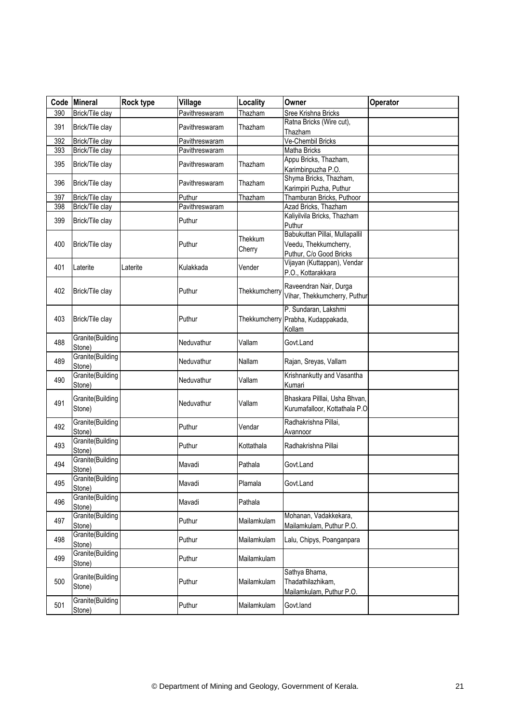|     | Code Mineral               | Rock type | Village        | Locality          | Owner                                                                              | Operator |
|-----|----------------------------|-----------|----------------|-------------------|------------------------------------------------------------------------------------|----------|
| 390 | Brick/Tile clay            |           | Pavithreswaram | Thazham           | Sree Krishna Bricks                                                                |          |
| 391 | Brick/Tile clay            |           | Pavithreswaram | Thazham           | Ratna Bricks (Wire cut),<br>Thazham                                                |          |
| 392 | Brick/Tile clay            |           | Pavithreswaram |                   | Ve-Chembil Bricks                                                                  |          |
| 393 | Brick/Tile clay            |           | Pavithreswaram |                   | Matha Bricks                                                                       |          |
| 395 | Brick/Tile clay            |           | Pavithreswaram | Thazham           | Appu Bricks, Thazham,<br>Karimbinpuzha P.O.                                        |          |
| 396 | Brick/Tile clay            |           | Pavithreswaram | Thazham           | Shyma Bricks, Thazham,<br>Karimpiri Puzha, Puthur                                  |          |
| 397 | Brick/Tile clay            |           | Puthur         | Thazham           | Thamburan Bricks, Puthoor                                                          |          |
| 398 | Brick/Tile clay            |           | Pavithreswaram |                   | Azad Bricks, Thazham                                                               |          |
| 399 | Brick/Tile clay            |           | Puthur         |                   | Kaliyilvila Bricks, Thazham<br>Puthur                                              |          |
| 400 | Brick/Tile clay            |           | Puthur         | Thekkum<br>Cherry | Babukuttan Pillai, Mullapallil<br>Veedu, Thekkumcherry,<br>Puthur, C/o Good Bricks |          |
| 401 | Laterite                   | Laterite  | Kulakkada      | Vender            | Vijayan (Kuttappan), Vendar<br>P.O., Kottarakkara                                  |          |
| 402 | Brick/Tile clay            |           | Puthur         | Thekkumcherry     | Raveendran Nair, Durga<br>Vihar, Thekkumcherry, Puthur                             |          |
| 403 | Brick/Tile clay            |           | Puthur         | Thekkumcherry     | P. Sundaran, Lakshmi<br>Prabha, Kudappakada,<br>Kollam                             |          |
| 488 | Granite(Building<br>Stone) |           | Neduvathur     | Vallam            | Govt.Land                                                                          |          |
| 489 | Granite(Building<br>Stone) |           | Neduvathur     | Nallam            | Rajan, Sreyas, Vallam                                                              |          |
| 490 | Granite(Building<br>Stone) |           | Neduvathur     | Vallam            | Krishnankutty and Vasantha<br>Kumari                                               |          |
| 491 | Granite(Building<br>Stone) |           | Neduvathur     | Vallam            | Bhaskara Pilllai, Usha Bhvan,<br>Kurumafalloor, Kottathala P.O                     |          |
| 492 | Granite(Building<br>Stone) |           | Puthur         | Vendar            | Radhakrishna Pillai,<br>Avannoor                                                   |          |
| 493 | Granite(Building<br>Stone) |           | Puthur         | Kottathala        | Radhakrishna Pillai                                                                |          |
| 494 | Granite(Building<br>Stone) |           | Mavadi         | Pathala           | Govt.Land                                                                          |          |
| 495 | Granite(Building<br>Stone) |           | Mavadi         | Plamala           | Govt.Land                                                                          |          |
| 496 | Granite(Building<br>Stone) |           | Mavadi         | Pathala           |                                                                                    |          |
| 497 | Granite(Building<br>Stone) |           | Puthur         | Mailamkulam       | Mohanan, Vadakkekara,<br>Mailamkulam, Puthur P.O.                                  |          |
| 498 | Granite(Building<br>Stone) |           | Puthur         | Mailamkulam       | Lalu, Chipys, Poanganpara                                                          |          |
| 499 | Granite(Building<br>Stone) |           | Puthur         | Mailamkulam       |                                                                                    |          |
| 500 | Granite(Building<br>Stone) |           | Puthur         | Mailamkulam       | Sathya Bhama,<br>Thadathilazhikam,<br>Mailamkulam, Puthur P.O.                     |          |
| 501 | Granite(Building<br>Stone) |           | Puthur         | Mailamkulam       | Govt.land                                                                          |          |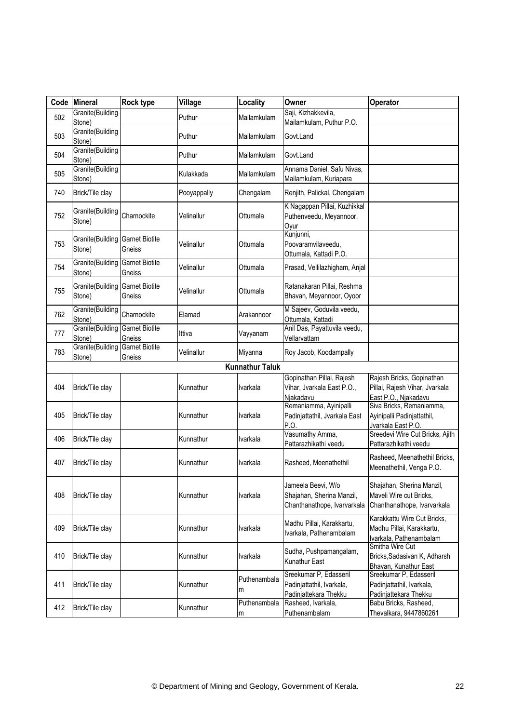| Code | <b>Mineral</b>             | <b>Rock type</b>                | Village     | Locality               | Owner                                                                          | Operator                                                                            |
|------|----------------------------|---------------------------------|-------------|------------------------|--------------------------------------------------------------------------------|-------------------------------------------------------------------------------------|
| 502  | Granite(Building<br>Stone) |                                 | Puthur      | Mailamkulam            | Saji, Kizhakkevila,<br>Mailamkulam, Puthur P.O.                                |                                                                                     |
| 503  | Granite(Building<br>Stone) |                                 | Puthur      | Mailamkulam            | Govt.Land                                                                      |                                                                                     |
| 504  | Granite(Building<br>Stone) |                                 | Puthur      | Mailamkulam            | Govt.Land                                                                      |                                                                                     |
| 505  | Granite(Building<br>Stone) |                                 | Kulakkada   | Mailamkulam            | Annama Daniel, Safu Nivas,<br>Mailamkulam, Kuriapara                           |                                                                                     |
| 740  | Brick/Tile clay            |                                 | Pooyappally | Chengalam              | Renjith, Palickal, Chengalam                                                   |                                                                                     |
| 752  | Granite(Building<br>Stone) | Charnockite                     | Velinallur  | Ottumala               | K Nagappan Pillai, Kuzhikkal<br>Puthenveedu, Meyannoor,<br>Oyur                |                                                                                     |
| 753  | Granite(Building<br>Stone) | <b>Garnet Biotite</b><br>Gneiss | Velinallur  | Ottumala               | Kunjunni,<br>Poovaramvilaveedu,<br>Ottumala, Kattadi P.O.                      |                                                                                     |
| 754  | Granite(Building<br>Stone) | <b>Garnet Biotite</b><br>Gneiss | Velinallur  | Ottumala               | Prasad, Vellilazhigham, Anjal                                                  |                                                                                     |
| 755  | Granite(Building<br>Stone) | <b>Garnet Biotite</b><br>Gneiss | Velinallur  | Ottumala               | Ratanakaran Pillai, Reshma<br>Bhavan, Meyannoor, Oyoor                         |                                                                                     |
| 762  | Granite(Building<br>Stone) | Charnockite                     | Elamad      | Arakannoor             | M Sajeev, Goduvila veedu,<br>Ottumala, Kattadi                                 |                                                                                     |
| 777  | Granite(Building<br>Stone) | <b>Garnet Biotite</b><br>Gneiss | Ittiva      | Vayyanam               | Anil Das, Payattuvila veedu,<br>Vellarvattam                                   |                                                                                     |
| 783  | Granite(Building<br>Stone) | <b>Garnet Biotite</b><br>Gneiss | Velinallur  | Miyanna                | Roy Jacob, Koodampally                                                         |                                                                                     |
|      |                            |                                 |             | <b>Kunnathur Taluk</b> |                                                                                |                                                                                     |
| 404  | Brick/Tile clay            |                                 | Kunnathur   | Ivarkala               | Gopinathan Pillai, Rajesh<br>Vihar, Jvarkala East P.O.,<br>Niakadavu           | Rajesh Bricks, Gopinathan<br>Pillai, Rajesh Vihar, Jvarkala<br>East P.O., Njakadavu |
| 405  | Brick/Tile clay            |                                 | Kunnathur   | Ivarkala               | Remaniamma, Ayinipalli<br>Padinjattathil, Jvarkala East<br>P.O.                | Siva Bricks, Remaniamma,<br>Ayinipalli Padinjattathil,<br>Jvarkala East P.O.        |
| 406  | Brick/Tile clay            |                                 | Kunnathur   | Ivarkala               | Vasumathy Amma,<br>Pattarazhikathi veedu                                       | Sreedevi Wire Cut Bricks, Ajith<br>Pattarazhikathi veedu                            |
| 407  | Brick/Tile clay            |                                 | Kunnathur   | Ivarkala               | Rasheed, Meenathethil                                                          | Rasheed, Meenathethil Bricks,<br>Meenathethil, Venga P.O.                           |
| 408  | Brick/Tile clay            |                                 | Kunnathur   | Ivarkala               | Jameela Beevi, W/o<br>Shajahan, Sherina Manzil,<br>Chanthanathope, Ivarvarkala | Shajahan, Sherina Manzil,<br>Maveli Wire cut Bricks,<br>Chanthanathope, Ivarvarkala |
| 409  | Brick/Tile clay            |                                 | Kunnathur   | Ivarkala               | Madhu Pillai, Karakkartu,<br>Ivarkala, Pathenambalam                           | Karakkattu Wire Cut Bricks,<br>Madhu Pillai, Karakkartu,<br>Ivarkala, Pathenambalam |
| 410  | Brick/Tile clay            |                                 | Kunnathur   | Ivarkala               | Sudha, Pushpamangalam,<br>Kunathur East                                        | Smitha Wire Cut<br>Bricks, Sadasivan K, Adharsh<br>Bhavan, Kunathur East            |
| 411  | Brick/Tile clay            |                                 | Kunnathur   | Puthenambala<br>m      | Sreekumar P, Edasseril<br>Padinjattathil, Ivarkala,<br>Padinjattekara Thekku   | Sreekumar P, Edasseril<br>Padinjattathil, Ivarkala,<br>Padinjattekara Thekku        |
| 412  | Brick/Tile clay            |                                 | Kunnathur   | Puthenambala<br>m      | Rasheed, Ivarkala,<br>Puthenambalam                                            | Babu Bricks, Rasheed,<br>Thevalkara, 9447860261                                     |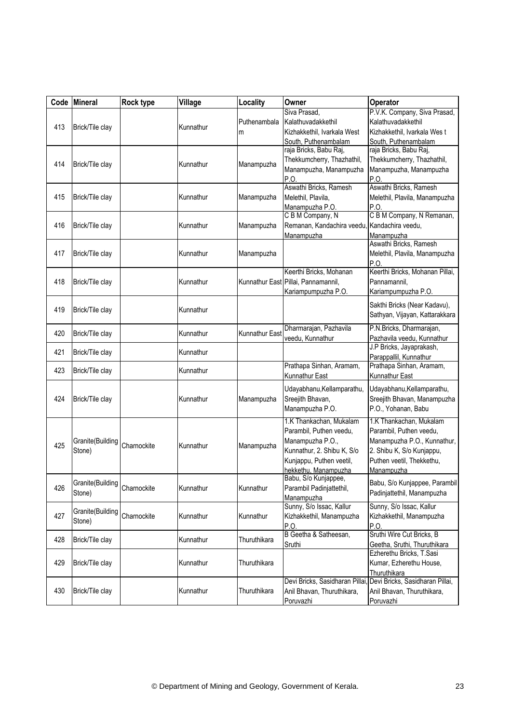|     | Code Mineral                           | Rock type   | Village   | Locality              | Owner                                                                                                                                                    | Operator                                                                                                                                                  |
|-----|----------------------------------------|-------------|-----------|-----------------------|----------------------------------------------------------------------------------------------------------------------------------------------------------|-----------------------------------------------------------------------------------------------------------------------------------------------------------|
| 413 | Brick/Tile clay                        |             | Kunnathur | Puthenambala<br>m     | Siva Prasad,<br>Kalathuvadakkethil<br>Kizhakkethil, Ivarkala West<br>South, Puthenambalam                                                                | P.V.K. Company, Siva Prasad,<br>Kalathuvadakkethil<br>Kizhakkethil, Ivarkala West<br>South, Puthenambalam                                                 |
| 414 | Brick/Tile clay                        |             | Kunnathur | Manampuzha            | raja Bricks, Babu Raj,<br>Thekkumcherry, Thazhathil,<br>Manampuzha, Manampuzha<br>P.O.                                                                   | raja Bricks, Babu Raj,<br>Thekkumcherry, Thazhathil,<br>Manampuzha, Manampuzha<br>P.O.                                                                    |
| 415 | Brick/Tile clay                        |             | Kunnathur | Manampuzha            | Aswathi Bricks, Ramesh<br>Melethil, Plavila,<br>Manampuzha P.O.                                                                                          | Aswathi Bricks, Ramesh<br>Melethil, Plavila, Manampuzha<br>P.O.                                                                                           |
| 416 | Brick/Tile clay                        |             | Kunnathur | Manampuzha            | C B M Company, N<br>Remanan, Kandachira veedu,<br>Manampuzha                                                                                             | C B M Company, N Remanan,<br>Kandachira veedu,<br>Manampuzha                                                                                              |
| 417 | Brick/Tile clay                        |             | Kunnathur | Manampuzha            |                                                                                                                                                          | Aswathi Bricks, Ramesh<br>Melethil, Plavila, Manampuzha<br>P.O.                                                                                           |
| 418 | Brick/Tile clay                        |             | Kunnathur |                       | Keerthi Bricks, Mohanan<br>Kunnathur East Pillai, Pannamannil,<br>Kariampumpuzha P.O.                                                                    | Keerthi Bricks, Mohanan Pillai,<br>Pannamannil.<br>Kariampumpuzha P.O.                                                                                    |
| 419 | Brick/Tile clay                        |             | Kunnathur |                       |                                                                                                                                                          | Sakthi Bricks (Near Kadavu),<br>Sathyan, Vijayan, Kattarakkara                                                                                            |
| 420 | Brick/Tile clay                        |             | Kunnathur | <b>Kunnathur East</b> | Dharmarajan, Pazhavila<br>veedu, Kunnathur                                                                                                               | P.N.Bricks, Dharmarajan,<br>Pazhavila veedu, Kunnathur                                                                                                    |
| 421 | Brick/Tile clay                        |             | Kunnathur |                       |                                                                                                                                                          | J.P Bricks, Jayaprakash,<br>Parappallil, Kunnathur                                                                                                        |
| 423 | Brick/Tile clay                        |             | Kunnathur |                       | Prathapa Sinhan, Aramam,<br>Kunnathur East                                                                                                               | Prathapa Sinhan, Aramam,<br>Kunnathur East                                                                                                                |
| 424 | Brick/Tile clay                        |             | Kunnathur | Manampuzha            | Udayabhanu, Kellamparathu,<br>Sreejith Bhavan,<br>Manampuzha P.O.                                                                                        | Udayabhanu, Kellamparathu,<br>Sreejith Bhavan, Manampuzha<br>P.O., Yohanan, Babu                                                                          |
| 425 | Granite(Building<br>Stone)             | Charnockite | Kunnathur | Manampuzha            | 1.K Thankachan, Mukalam<br>Parambil, Puthen veedu,<br>Manampuzha P.O.,<br>Kunnathur, 2. Shibu K, S/o<br>Kunjappu, Puthen veetil,<br>hekkethu. Manampuzha | 1.K Thankachan, Mukalam<br>Parambil, Puthen veedu,<br>Manampuzha P.O., Kunnathur,<br>2. Shibu K, S/o Kunjappu,<br>Puthen veetil, Thekkethu,<br>Manampuzha |
| 426 | Granite(Building Charnockite<br>Stone) |             | Kunnathur | Kunnathur             | Babu, S/o Kunjappee,<br>Parambil Padinjattethil,<br>Manampuzha                                                                                           | Babu, S/o Kunjappee, Parambil<br>Padinjattethil, Manampuzha                                                                                               |
| 427 | Granite(Building<br>Stone)             | Charnockite | Kunnathur | Kunnathur             | Sunny, S/o Issac, Kallur<br>Kizhakkethil, Manampuzha<br>P.O.                                                                                             | Sunny, S/o Issac, Kallur<br>Kizhakkethil, Manampuzha<br>P.O.                                                                                              |
| 428 | Brick/Tile clay                        |             | Kunnathur | Thuruthikara          | B Geetha & Satheesan,<br>Sruthi                                                                                                                          | Sruthi Wire Cut Bricks, B<br>Geetha, Sruthi, Thuruthikara                                                                                                 |
| 429 | Brick/Tile clay                        |             | Kunnathur | Thuruthikara          |                                                                                                                                                          | Ezherethu Bricks, T.Sasi<br>Kumar, Ezherethu House,<br>Thuruthikara                                                                                       |
| 430 | Brick/Tile clay                        |             | Kunnathur | Thuruthikara          | Devi Bricks, Sasidharan Pillai,<br>Anil Bhavan, Thuruthikara,<br>Poruvazhi                                                                               | Devi Bricks, Sasidharan Pillai,<br>Anil Bhavan, Thuruthikara,<br>Poruvazhi                                                                                |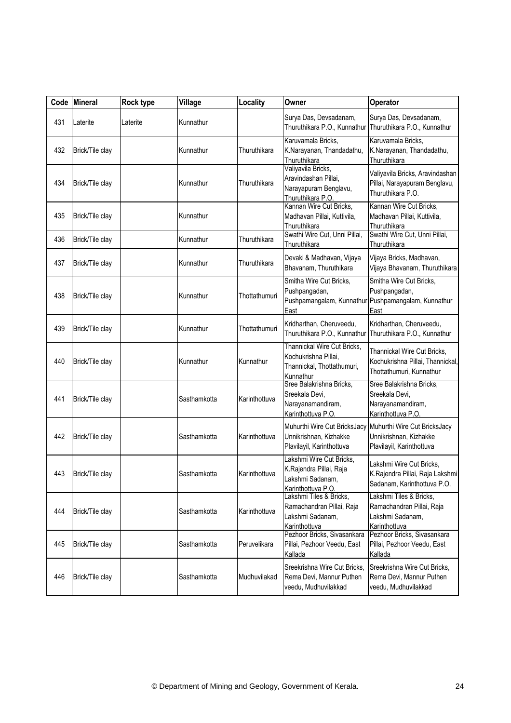|     | Code Mineral    | Rock type | Village      | Locality      | Owner                                                                                          | Operator                                                                                    |
|-----|-----------------|-----------|--------------|---------------|------------------------------------------------------------------------------------------------|---------------------------------------------------------------------------------------------|
| 431 | Laterite        | Laterite  | Kunnathur    |               | Surya Das, Devsadanam,<br>Thuruthikara P.O., Kunnathur                                         | Surya Das, Devsadanam,<br>Thuruthikara P.O., Kunnathur                                      |
| 432 | Brick/Tile clay |           | Kunnathur    | Thuruthikara  | Karuvamala Bricks,<br>K.Narayanan, Thandadathu,<br>Thuruthikara                                | Karuvamala Bricks,<br>K.Narayanan, Thandadathu,<br>Thuruthikara                             |
| 434 | Brick/Tile clay |           | Kunnathur    | Thuruthikara  | Valiyavila Bricks,<br>Aravindashan Pillai,<br>Narayapuram Benglavu,<br>Thuruthikara P.O.       | Valiyavila Bricks, Aravindashan<br>Pillai, Narayapuram Benglavu,<br>Thuruthikara P.O.       |
| 435 | Brick/Tile clay |           | Kunnathur    |               | Kannan Wire Cut Bricks,<br>Madhavan Pillai, Kuttivila,<br>Thuruthikara                         | Kannan Wire Cut Bricks,<br>Madhavan Pillai, Kuttivila,<br>Thuruthikara                      |
| 436 | Brick/Tile clay |           | Kunnathur    | Thuruthikara  | Swathi Wire Cut, Unni Pillai,<br>Thuruthikara                                                  | Swathi Wire Cut, Unni Pillai,<br>Thuruthikara                                               |
| 437 | Brick/Tile clay |           | Kunnathur    | Thuruthikara  | Devaki & Madhavan, Vijaya<br>Bhavanam, Thuruthikara                                            | Vijaya Bricks, Madhavan,<br>Vijaya Bhavanam, Thuruthikara                                   |
| 438 | Brick/Tile clay |           | Kunnathur    | Thottathumuri | Smitha Wire Cut Bricks,<br>Pushpangadan,<br>Pushpamangalam, Kunnathur<br>East                  | Smitha Wire Cut Bricks,<br>Pushpangadan,<br>Pushpamangalam, Kunnathur<br>East               |
| 439 | Brick/Tile clay |           | Kunnathur    | Thottathumuri | Kridharthan, Cheruveedu,<br>Thuruthikara P.O., Kunnathur                                       | Kridharthan, Cheruveedu,<br>Thuruthikara P.O., Kunnathur                                    |
| 440 | Brick/Tile clay |           | Kunnathur    | Kunnathur     | Thannickal Wire Cut Bricks,<br>Kochukrishna Pillai,<br>Thannickal, Thottathumuri,<br>Kunnathur | Thannickal Wire Cut Bricks,<br>Kochukrishna Pillai, Thannickal,<br>Thottathumuri, Kunnathur |
| 441 | Brick/Tile clay |           | Sasthamkotta | Karinthottuva | Sree Balakrishna Bricks,<br>Sreekala Devi,<br>Narayanamandiram,<br>Karinthottuva P.O           | Sree Balakrishna Bricks,<br>Sreekala Devi,<br>Narayanamandiram,<br>Karinthottuva P.O.       |
| 442 | Brick/Tile clay |           | Sasthamkotta | Karinthottuva | Muhurthi Wire Cut BricksJacy<br>Unnikrishnan, Kizhakke<br>Plavilayil, Karinthottuva            | Muhurthi Wire Cut BricksJacy<br>Unnikrishnan, Kizhakke<br>Plavilayil, Karinthottuva         |
| 443 | Brick/Tile clay |           | Sasthamkotta | Karinthottuva | Lakshmi Wire Cut Bricks,<br>K.Rajendra Pillai, Raja<br>Lakshmi Sadanam,<br>Karinthottuva P.O.  | Lakshmi Wire Cut Bricks,<br>K.Rajendra Pillai, Raja Lakshmi<br>Sadanam, Karinthottuva P.O.  |
| 444 | Brick/Tile clay |           | Sasthamkotta | Karinthottuva | Lakshmi Tiles & Bricks,<br>Ramachandran Pillai, Raja<br>Lakshmi Sadanam,<br>Karinthottuva      | Lakshmi Tiles & Bricks.<br>Ramachandran Pillai, Raja<br>Lakshmi Sadanam,<br>Karinthottuva   |
| 445 | Brick/Tile clay |           | Sasthamkotta | Peruvelikara  | Pezhoor Bricks, Sivasankara<br>Pillai, Pezhoor Veedu, East<br>Kallada                          | Pezhoor Bricks, Sivasankara<br>Pillai, Pezhoor Veedu, East<br>Kallada                       |
| 446 | Brick/Tile clay |           | Sasthamkotta | Mudhuvilakad  | Sreekrishna Wire Cut Bricks,<br>Rema Devi, Mannur Puthen<br>veedu, Mudhuvilakkad               | Sreekrishna Wire Cut Bricks,<br>Rema Devi, Mannur Puthen<br>veedu, Mudhuvilakkad            |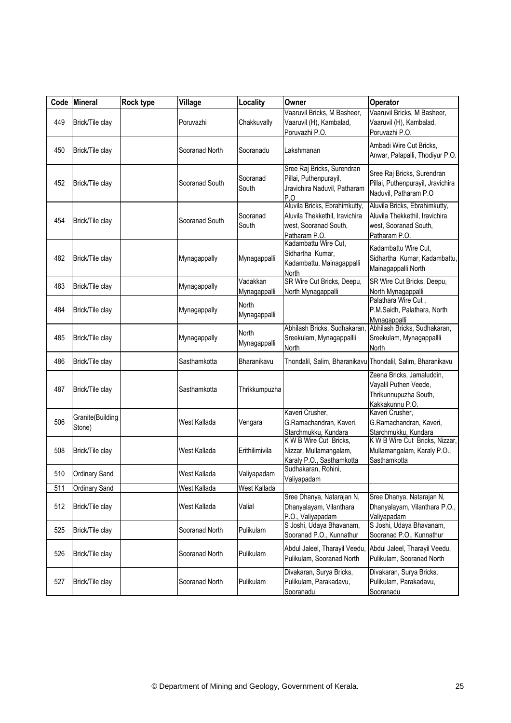| Code | Mineral                    | Rock type | Village        | Locality                 | Owner                                                                                                     | Operator                                                                                                  |
|------|----------------------------|-----------|----------------|--------------------------|-----------------------------------------------------------------------------------------------------------|-----------------------------------------------------------------------------------------------------------|
| 449  | Brick/Tile clay            |           | Poruvazhi      | Chakkuvally              | Vaaruvil Bricks, M Basheer,<br>Vaaruvil (H), Kambalad,<br>Poruvazhi P.O.                                  | Vaaruvil Bricks, M Basheer,<br>Vaaruvil (H), Kambalad,<br>Poruvazhi P.O.                                  |
| 450  | Brick/Tile clay            |           | Sooranad North | Sooranadu                | Lakshmanan                                                                                                | Ambadi Wire Cut Bricks,<br>Anwar, Palapalli, Thodiyur P.O.                                                |
| 452  | Brick/Tile clay            |           | Sooranad South | Sooranad<br>South        | Sree Raj Bricks, Surendran<br>Pillai, Puthenpurayil,<br>Jravichira Naduvil, Patharam<br>P.O               | Sree Raj Bricks, Surendran<br>Pillai, Puthenpurayil, Jravichira<br>Naduvil, Patharam P.O.                 |
| 454  | Brick/Tile clay            |           | Sooranad South | Sooranad<br>South        | Aluvila Bricks, Ebrahimkutty,<br>Aluvila Thekkethil, Iravichira<br>west, Sooranad South,<br>Patharam P.O. | Aluvila Bricks, Ebrahimkutty,<br>Aluvila Thekkethil, Iravichira<br>west, Sooranad South,<br>Patharam P.O. |
| 482  | Brick/Tile clay            |           | Mynagappally   | Mynagappalli             | Kadambattu Wire Cut,<br>Sidhartha Kumar,<br>Kadambattu, Mainagappalli<br>North                            | Kadambattu Wire Cut,<br>Sidhartha Kumar, Kadambattu,<br>Mainagappalli North                               |
| 483  | Brick/Tile clay            |           | Mynagappally   | Vadakkan<br>Mynagappalli | SR Wire Cut Bricks, Deepu,<br>North Mynagappalli                                                          | SR Wire Cut Bricks, Deepu,<br>North Mynagappalli                                                          |
| 484  | Brick/Tile clay            |           | Mynagappally   | North<br>Mynagappalli    |                                                                                                           | Palathara Wire Cut,<br>P.M.Saidh, Palathara, North<br>Mynagappalli                                        |
| 485  | Brick/Tile clay            |           | Mynagappally   | North<br>Mynagappalli    | Abhilash Bricks, Sudhakaran,<br>Sreekulam, Mynagappallli<br>North                                         | Abhilash Bricks, Sudhakaran,<br>Sreekulam, Mynagappallli<br>North                                         |
| 486  | Brick/Tile clay            |           | Sasthamkotta   | Bharanikavu              |                                                                                                           | Thondalil, Salim, Bharanikavu Thondalil, Salim, Bharanikavu                                               |
| 487  | Brick/Tile clay            |           | Sasthamkotta   | Thrikkumpuzha            |                                                                                                           | Zeena Bricks, Jamaluddin,<br>Vayalil Puthen Veede,<br>Thrikunnupuzha South,<br>Kakkakunnu P.O.            |
| 506  | Granite(Building<br>Stone) |           | West Kallada   | Vengara                  | Kaveri Crusher,<br>G.Ramachandran, Kaveri,<br>Starchmukku, Kundara                                        | Kaveri Crusher,<br>G.Ramachandran, Kaveri,<br>Starchmukku, Kundara                                        |
| 508  | Brick/Tile clay            |           | West Kallada   | Erithilimivila           | K W B Wire Cut Bricks,<br>Nizzar, Mullamangalam,<br>Karaly P.O., Sasthamkotta                             | K W B Wire Cut Bricks, Nizzar,<br>Mullamangalam, Karaly P.O.,<br>Sasthamkotta                             |
| 510  | <b>Ordinary Sand</b>       |           | West Kallada   | Valiyapadam              | Sudhakaran, Rohini,<br>Valiyapadam                                                                        |                                                                                                           |
| 511  | Ordinary Sand              |           | West Kallada   | West Kallada             |                                                                                                           |                                                                                                           |
| 512  | Brick/Tile clay            |           | West Kallada   | Valial                   | Sree Dhanya, Natarajan N,<br>Dhanyalayam, Vilanthara<br>P.O., Valiyapadam                                 | Sree Dhanya, Natarajan N,<br>Dhanyalayam, Vilanthara P.O.,<br>Valiyapadam                                 |
| 525  | Brick/Tile clay            |           | Sooranad North | Pulikulam                | S Joshi, Udaya Bhavanam,<br>Sooranad P.O., Kunnathur                                                      | S Joshi, Udaya Bhavanam,<br>Sooranad P.O., Kunnathur                                                      |
| 526  | Brick/Tile clay            |           | Sooranad North | Pulikulam                | Abdul Jaleel, Tharayil Veedu,<br>Pulikulam, Sooranad North                                                | Abdul Jaleel, Tharayil Veedu,<br>Pulikulam, Sooranad North                                                |
| 527  | Brick/Tile clay            |           | Sooranad North | Pulikulam                | Divakaran, Surya Bricks,<br>Pulikulam, Parakadavu,<br>Sooranadu                                           | Divakaran, Surya Bricks,<br>Pulikulam, Parakadavu,<br>Sooranadu                                           |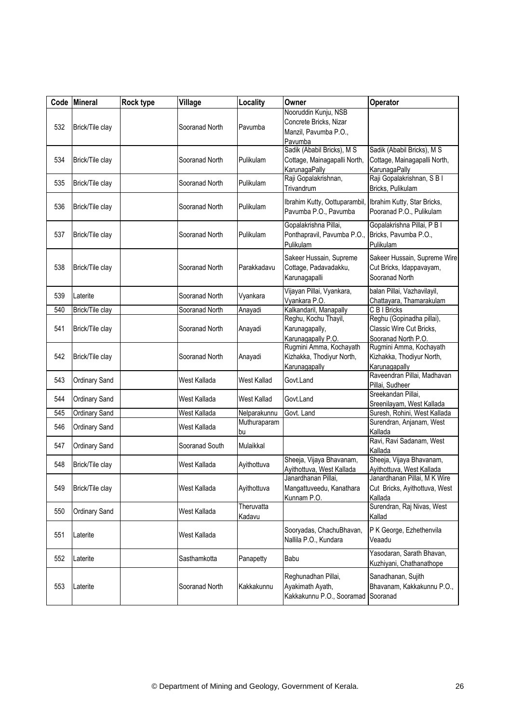| Code | <b>Mineral</b>  | Rock type | Village        | Locality             | Owner                                                                              | <b>Operator</b>                                                              |
|------|-----------------|-----------|----------------|----------------------|------------------------------------------------------------------------------------|------------------------------------------------------------------------------|
| 532  | Brick/Tile clay |           | Sooranad North | Pavumba              | Nooruddin Kunju, NSB<br>Concrete Bricks, Nizar<br>Manzil, Pavumba P.O.,<br>Pavumba |                                                                              |
| 534  | Brick/Tile clay |           | Sooranad North | Pulikulam            | Sadik (Ababil Bricks), M S<br>Cottage, Mainagapalli North,<br>KarunagaPally        | Sadik (Ababil Bricks), M S<br>Cottage, Mainagapalli North,<br>KarunagaPally  |
| 535  | Brick/Tile clay |           | Sooranad North | Pulikulam            | Raji Gopalakrishnan,<br>Trivandrum                                                 | Raji Gopalakrishnan, S B I<br>Bricks, Pulikulam                              |
| 536  | Brick/Tile clay |           | Sooranad North | Pulikulam            | Ibrahim Kutty, Oottuparambil, Ibrahim Kutty, Star Bricks,<br>Pavumba P.O., Pavumba | Pooranad P.O., Pulikulam                                                     |
| 537  | Brick/Tile clay |           | Sooranad North | Pulikulam            | Gopalakrishna Pillai,<br>Ponthapravil, Pavumba P.O.,<br>Pulikulam                  | Gopalakrishna Pillai, P B I<br>Bricks, Pavumba P.O.,<br>Pulikulam            |
| 538  | Brick/Tile clay |           | Sooranad North | Parakkadavu          | Sakeer Hussain, Supreme<br>Cottage, Padavadakku,<br>Karunagapalli                  | Sakeer Hussain, Supreme Wire<br>Cut Bricks, Idappavayam,<br>Sooranad North   |
| 539  | Laterite        |           | Sooranad North | Vyankara             | Vijayan Pillai, Vyankara,<br>Vyankara P.O.                                         | balan Pillai, Vazhavilayil,<br>Chattayara, Thamarakulam                      |
| 540  | Brick/Tile clay |           | Sooranad North | Anayadi              | Kalkandaril, Manapally                                                             | C B I Bricks                                                                 |
| 541  | Brick/Tile clay |           | Sooranad North | Anayadi              | Reghu, Kochu Thayil,<br>Karunagapally,<br>Karunagapally P.O.                       | Reghu (Gopinadha pillai),<br>Classic Wire Cut Bricks,<br>Sooranad North P.O. |
| 542  | Brick/Tile clay |           | Sooranad North | Anayadi              | Rugmini Amma, Kochayath<br>Kizhakka, Thodiyur North,<br>Karunagapally              | Rugmini Amma, Kochayath<br>Kizhakka, Thodiyur North,<br>Karunagapally        |
| 543  | Ordinary Sand   |           | West Kallada   | West Kallad          | Govt.Land                                                                          | Raveendran Pillai, Madhavan<br>Pillai, Sudheer                               |
| 544  | Ordinary Sand   |           | West Kallada   | West Kallad          | Govt.Land                                                                          | Sreekandan Pillai,<br>Sreenilayam, West Kallada                              |
| 545  | Ordinary Sand   |           | West Kallada   | Nelparakunnu         | Govt. Land                                                                         | Suresh, Rohini, West Kallada                                                 |
| 546  | Ordinary Sand   |           | West Kallada   | Muthuraparam<br>bu   |                                                                                    | Surendran, Anjanam, West<br>Kallada                                          |
| 547  | Ordinary Sand   |           | Sooranad South | Mulaikkal            |                                                                                    | Ravi, Ravi Sadanam, West<br>Kallada                                          |
| 548  | Brick/Tile clay |           | West Kallada   | Ayithottuva          | Sheeja, Vijaya Bhavanam,<br>Ayithottuva, West Kallada                              | Sheeja, Vijaya Bhavanam,<br>Ayithottuva, West Kallada                        |
| 549  | Brick/Tile clay |           | West Kallada   | Ayithottuva          | Janardhanan Pillai,<br>Mangattuveedu, Kanathara<br>Kunnam P.O.                     | Janardhanan Pillai, M K Wire<br>Cut Bricks, Ayithottuva, West<br>Kallada     |
| 550  | Ordinary Sand   |           | West Kallada   | Theruvatta<br>Kadavu |                                                                                    | Surendran, Raj Nivas, West<br>Kallad                                         |
| 551  | Laterite        |           | West Kallada   |                      | Sooryadas, ChachuBhavan,<br>Nallila P.O., Kundara                                  | P K George, Ezhethenvila<br>Veaadu                                           |
| 552  | Laterite        |           | Sasthamkotta   | Panapetty            | Babu                                                                               | Yasodaran, Sarath Bhavan,<br>Kuzhiyani, Chathanathope                        |
| 553  | Laterite        |           | Sooranad North | Kakkakunnu           | Reghunadhan Pillai,<br>Ayakimath Ayath,<br>Kakkakunnu P.O., Sooramad               | Sanadhanan, Sujith<br>Bhavanam, Kakkakunnu P.O.,<br>Sooranad                 |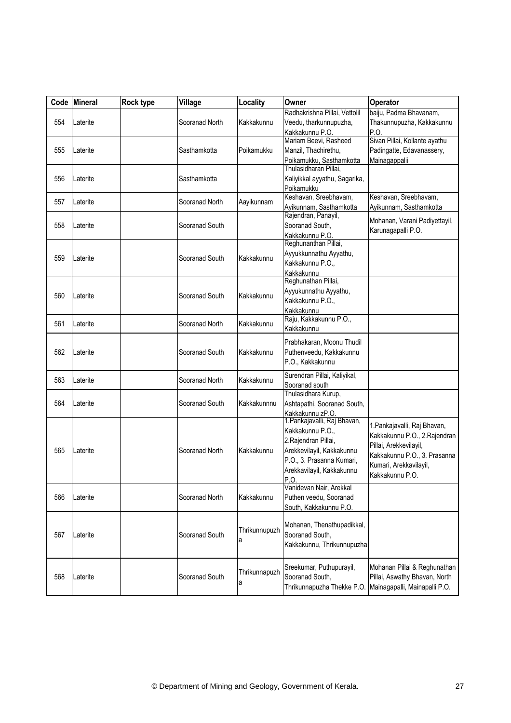| Code | Mineral  | Rock type | Village        | Locality           | Owner                                                                                                                                                                   | Operator                                                                                                                                                            |
|------|----------|-----------|----------------|--------------------|-------------------------------------------------------------------------------------------------------------------------------------------------------------------------|---------------------------------------------------------------------------------------------------------------------------------------------------------------------|
| 554  | Laterite |           | Sooranad North | Kakkakunnu         | Radhakrishna Pillai, Vettolil<br>Veedu, tharkunnupuzha,<br>Kakkakunnu P.O.                                                                                              | baiju, Padma Bhavanam,<br>Thakunnupuzha, Kakkakunnu<br>P.O.                                                                                                         |
| 555  | Laterite |           | Sasthamkotta   | Poikamukku         | Mariam Beevi, Rasheed<br>Manzil, Thachirethu,<br>Poikamukku, Sasthamkotta                                                                                               | Sivan Pillai, Kollante ayathu<br>Padingatte, Edavanassery,<br>Mainagappalii                                                                                         |
| 556  | Laterite |           | Sasthamkotta   |                    | Thulasidharan Pillai,<br>Kaliyikkal ayyathu, Sagarika,<br>Poikamukku                                                                                                    |                                                                                                                                                                     |
| 557  | Laterite |           | Sooranad North | Aayikunnam         | Keshavan, Sreebhavam,<br>Ayikunnam, Sasthamkotta                                                                                                                        | Keshavan, Sreebhavam,<br>Ayikunnam, Sasthamkotta                                                                                                                    |
| 558  | Laterite |           | Sooranad South |                    | Rajendran, Panayil,<br>Sooranad South,<br>Kakkakunnu P.O.                                                                                                               | Mohanan, Varani Padiyettayil,<br>Karunagapalli P.O.                                                                                                                 |
| 559  | Laterite |           | Sooranad South | Kakkakunnu         | Reghunanthan Pillai,<br>Ayyukkunnathu Ayyathu,<br>Kakkakunnu P.O.,<br>Kakkakunnu                                                                                        |                                                                                                                                                                     |
| 560  | Laterite |           | Sooranad South | Kakkakunnu         | Reghunathan Pillai,<br>Ayyukunnathu Ayyathu,<br>Kakkakunnu P.O.,<br><b>Kakkakunnu</b>                                                                                   |                                                                                                                                                                     |
| 561  | Laterite |           | Sooranad North | Kakkakunnu         | Raju, Kakkakunnu P.O.,<br>Kakkakunnu                                                                                                                                    |                                                                                                                                                                     |
| 562  | Laterite |           | Sooranad South | Kakkakunnu         | Prabhakaran, Moonu Thudil<br>Puthenveedu, Kakkakunnu<br>P.O., Kakkakunnu                                                                                                |                                                                                                                                                                     |
| 563  | Laterite |           | Sooranad North | Kakkakunnu         | Surendran Pillai, Kaliyikal,<br>Sooranad south                                                                                                                          |                                                                                                                                                                     |
| 564  | Laterite |           | Sooranad South | Kakkakunnnu        | Thulasidhara Kurup,<br>Ashtapathi, Sooranad South,<br>Kakkakunnu zP.O.                                                                                                  |                                                                                                                                                                     |
| 565  | Laterite |           | Sooranad North | Kakkakunnu         | 1. Pankajavalli, Raj Bhavan,<br>Kakkakunnu P.O.,<br>2. Rajendran Pillai,<br>Arekkevilayil, Kakkakunnu<br>P.O., 3. Prasanna Kumari,<br>Arekkavilayil, Kakkakunnu<br>P.O. | 1. Pankajavalli, Raj Bhavan,<br>Kakkakunnu P.O., 2.Rajendran<br>Pillai, Arekkevilayil,<br>Kakkakunnu P.O., 3. Prasanna<br>Kumari, Arekkavilayil,<br>Kakkakunnu P.O. |
| 566  | Laterite |           | Sooranad North | Kakkakunnu         | Vanidevan Nair, Arekkal<br>Puthen veedu, Sooranad<br>South, Kakkakunnu P.O.                                                                                             |                                                                                                                                                                     |
| 567  | Laterite |           | Sooranad South | Thrikunnupuzh<br>а | Mohanan, Thenathupadikkal,<br>Sooranad South,<br>Kakkakunnu, Thrikunnupuzha                                                                                             |                                                                                                                                                                     |
| 568  | Laterite |           | Sooranad South | Thrikunnapuzh<br>а | Sreekumar, Puthupurayil,<br>Sooranad South,<br>Thrikunnapuzha Thekke P.O.                                                                                               | Mohanan Pillai & Reghunathan<br>Pillai, Aswathy Bhavan, North<br>Mainagapalli, Mainapalli P.O.                                                                      |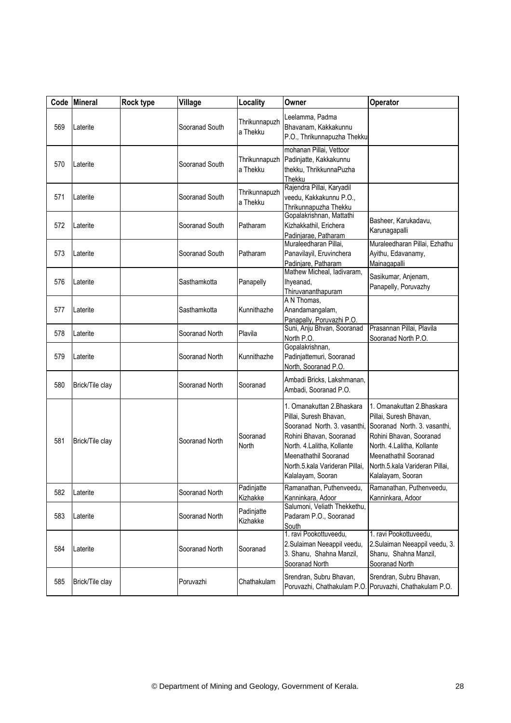|     | Code Mineral    | Rock type | Village        | Locality                  | Owner                                                                                                                                                                                                                         | Operator                                                                                                                                                                                                                      |
|-----|-----------------|-----------|----------------|---------------------------|-------------------------------------------------------------------------------------------------------------------------------------------------------------------------------------------------------------------------------|-------------------------------------------------------------------------------------------------------------------------------------------------------------------------------------------------------------------------------|
| 569 | Laterite        |           | Sooranad South | Thrikunnapuzh<br>a Thekku | Leelamma, Padma<br>Bhavanam, Kakkakunnu<br>P.O., Thrikunnapuzha Thekku                                                                                                                                                        |                                                                                                                                                                                                                               |
| 570 | Laterite        |           | Sooranad South | Thrikunnapuzh<br>a Thekku | mohanan Pillai, Vettoor<br>Padinjatte, Kakkakunnu<br>thekku, ThrikkunnaPuzha<br>Thekku                                                                                                                                        |                                                                                                                                                                                                                               |
| 571 | Laterite        |           | Sooranad South | Thrikunnapuzh<br>a Thekku | Rajendra Pillai, Karyadil<br>veedu, Kakkakunnu P.O.,<br>Thrikunnapuzha Thekku                                                                                                                                                 |                                                                                                                                                                                                                               |
| 572 | Laterite        |           | Sooranad South | Patharam                  | Gopalakrishnan, Mattathi<br>Kizhakkathil, Erichera<br>Padinjarae, Patharam                                                                                                                                                    | Basheer, Karukadavu,<br>Karunagapalli                                                                                                                                                                                         |
| 573 | Laterite        |           | Sooranad South | Patharam                  | Muraleedharan Pillai,<br>Panavilayil, Eruvinchera<br>Padinjare, Patharam                                                                                                                                                      | Muraleedharan Pillai, Ezhathu<br>Ayithu, Edavanamy,<br>Mainagapalli                                                                                                                                                           |
| 576 | Laterite        |           | Sasthamkotta   | Panapelly                 | Mathew Micheal, ladivaram,<br>Ihyeanad,<br>Thiruvananthapuram                                                                                                                                                                 | Sasikumar, Anjenam,<br>Panapelly, Poruvazhy                                                                                                                                                                                   |
| 577 | Laterite        |           | Sasthamkotta   | Kunnithazhe               | A N Thomas,<br>Anandamangalam,<br>Panapally, Poruvazhi P.O.                                                                                                                                                                   |                                                                                                                                                                                                                               |
| 578 | Laterite        |           | Sooranad North | Plavila                   | Suni, Anju Bhvan, Sooranad<br>North P.O.                                                                                                                                                                                      | Prasannan Pillai, Plavila<br>Sooranad North P.O.                                                                                                                                                                              |
| 579 | Laterite        |           | Sooranad North | Kunnithazhe               | Gopalakrishnan,<br>Padinjattemuri, Sooranad<br>North, Sooranad P.O.                                                                                                                                                           |                                                                                                                                                                                                                               |
| 580 | Brick/Tile clay |           | Sooranad North | Sooranad                  | Ambadi Bricks, Lakshmanan,<br>Ambadi, Sooranad P.O.                                                                                                                                                                           |                                                                                                                                                                                                                               |
| 581 | Brick/Tile clay |           | Sooranad North | Sooranad<br>North         | 1. Omanakuttan 2. Bhaskara<br>Pillai, Suresh Bhavan,<br>Sooranad North. 3. vasanthi,<br>Rohini Bhavan, Sooranad<br>North. 4.Lalitha, Kollante<br>Meenathathil Sooranad<br>North.5.kala Varideran Pillai,<br>Kalalayam, Sooran | 1. Omanakuttan 2. Bhaskara<br>Pillai, Suresh Bhavan,<br>Sooranad North. 3. vasanthi,<br>Rohini Bhavan, Sooranad<br>North. 4.Lalitha, Kollante<br>Meenathathil Sooranad<br>North.5.kala Varideran Pillai,<br>Kalalayam, Sooran |
| 582 | Laterite        |           | Sooranad North | Padinjatte<br>Kizhakke    | Ramanathan, Puthenveedu,<br>Kanninkara, Adoor                                                                                                                                                                                 | Ramanathan, Puthenveedu,<br>Kanninkara, Adoor                                                                                                                                                                                 |
| 583 | Laterite        |           | Sooranad North | Padinjatte<br>Kizhakke    | Salumoni, Veliath Thekkethu,<br>Padaram P.O., Sooranad<br>South                                                                                                                                                               |                                                                                                                                                                                                                               |
| 584 | Laterite        |           | Sooranad North | Sooranad                  | 1. ravi Pookottuveedu,<br>2.Sulaiman Neeappil veedu,<br>3. Shanu, Shahna Manzil,<br>Sooranad North                                                                                                                            | 1. ravi Pookottuveedu,<br>2.Sulaiman Neeappil veedu, 3.<br>Shanu, Shahna Manzil,<br>Sooranad North                                                                                                                            |
| 585 | Brick/Tile clay |           | Poruvazhi      | Chathakulam               | Srendran, Subru Bhavan,<br>Poruvazhi, Chathakulam P.O.                                                                                                                                                                        | Srendran, Subru Bhavan,<br>Poruvazhi, Chathakulam P.O.                                                                                                                                                                        |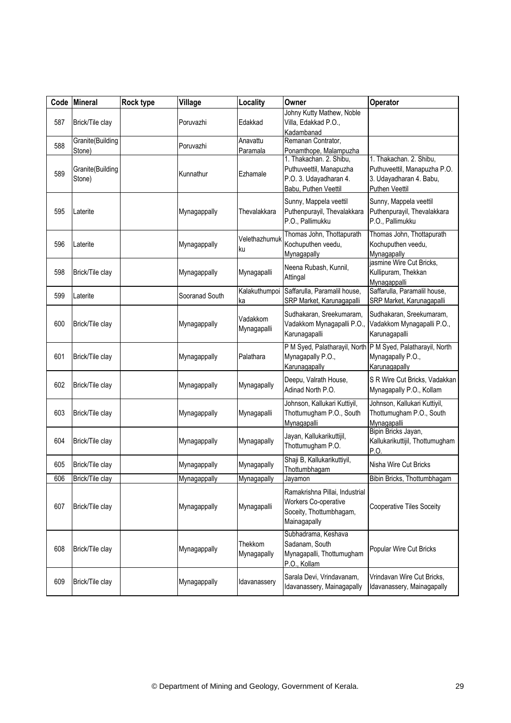| Code | Mineral                    | Rock type | Village        | Locality                | Owner                                                                                                | Operator                                                                                             |
|------|----------------------------|-----------|----------------|-------------------------|------------------------------------------------------------------------------------------------------|------------------------------------------------------------------------------------------------------|
| 587  | Brick/Tile clay            |           | Poruvazhi      | Edakkad                 | Johny Kutty Mathew, Noble<br>Villa, Edakkad P.O.,<br>Kadambanad                                      |                                                                                                      |
| 588  | Granite(Building<br>Stone) |           | Poruvazhi      | Anavattu<br>Paramala    | Remanan Contrator,<br>Ponamthope, Malampuzha                                                         |                                                                                                      |
| 589  | Granite(Building<br>Stone) |           | Kunnathur      | Ezhamale                | 1. Thakachan. 2. Shibu,<br>Puthuveettil, Manapuzha<br>P.O. 3. Udayadharan 4.<br>Babu, Puthen Veettil | 1. Thakachan. 2. Shibu,<br>Puthuveettil, Manapuzha P.O.<br>3. Udayadharan 4. Babu,<br>Puthen Veettil |
| 595  | Laterite                   |           | Mynagappally   | Thevalakkara            | Sunny, Mappela veettil<br>Puthenpurayil, Thevalakkara<br>P.O., Pallimukku                            | Sunny, Mappela veettil<br>Puthenpurayil, Thevalakkara<br>P.O., Pallimukku                            |
| 596  | Laterite                   |           | Mynagappally   | Velethazhumuk<br>ku     | Thomas John, Thottapurath<br>Kochuputhen veedu,<br>Mynagapally                                       | Thomas John, Thottapurath<br>Kochuputhen veedu,<br>Mynagapally                                       |
| 598  | Brick/Tile clay            |           | Mynagappally   | Mynagapalli             | Neena Rubash, Kunnil,<br>Attingal                                                                    | jasmine Wire Cut Bricks,<br>Kullipuram, Thekkan<br>Mynagappalli                                      |
| 599  | Laterite                   |           | Sooranad South | Kalakuthumpoi<br>ka     | Saffarulla, Paramalil house,<br>SRP Market, Karunagapalli                                            | Saffarulla, Paramalil house,<br>SRP Market, Karunagapalli                                            |
| 600  | Brick/Tile clay            |           | Mynagappally   | Vadakkom<br>Mynagapalli | Sudhakaran, Sreekumaram,<br>Vadakkom Mynagapalli P.O.,<br>Karunagapalli                              | Sudhakaran, Sreekumaram,<br>Vadakkom Mynagapalli P.O.,<br>Karunagapalli                              |
| 601  | Brick/Tile clay            |           | Mynagappally   | Palathara               | Mynagapally P.O.,<br>Karunagapally                                                                   | P M Syed, Palatharayil, North P M Syed, Palatharayil, North<br>Mynagapally P.O.,<br>Karunagapally    |
| 602  | Brick/Tile clay            |           | Mynagappally   | Mynagapally             | Deepu, Valrath House,<br>Adinad North P.O.                                                           | S R Wire Cut Bricks, Vadakkan<br>Mynagapally P.O., Kollam                                            |
| 603  | Brick/Tile clay            |           | Mynagappally   | Mynagapalli             | Johnson, Kallukari Kuttiyil,<br>Thottumugham P.O., South<br>Mynagapalli                              | Johnson, Kallukari Kuttiyil,<br>Thottumugham P.O., South<br>Mynagapalli                              |
| 604  | Brick/Tile clay            |           | Mynagappally   | Mynagapally             | Jayan, Kallukarikuttijil,<br>Thottumugham P.O.                                                       | Bipin Bricks Jayan,<br>Kallukarikuttijil, Thottumugham<br>P.O.                                       |
| 605  | Brick/Tile clay            |           | Mynagappally   | Mynagapally             | Shaji B, Kallukarikuttiyil,<br>Thottumbhagam                                                         | Nisha Wire Cut Bricks                                                                                |
| 606  | Brick/Tile clay            |           | Mynagappally   | Mynagapally             | Jayamon                                                                                              | Bibin Bricks, Thottumbhagam                                                                          |
| 607  | Brick/Tile clay            |           | Mynagappally   | Mynagapalli             | Ramakrishna Pillai, Industrial<br>Workers Co-operative<br>Soceity, Thottumbhagam,<br>Mainagapally    | Cooperative Tiles Soceity                                                                            |
| 608  | Brick/Tile clay            |           | Mynagappally   | Thekkom<br>Mynagapally  | Subhadrama, Keshava<br>Sadanam, South<br>Mynagapalli, Thottumugham<br>P.O., Kollam                   | Popular Wire Cut Bricks                                                                              |
| 609  | Brick/Tile clay            |           | Mynagappally   | Idavanassery            | Sarala Devi, Vrindavanam,<br>Idavanassery, Mainagapally                                              | Vrindavan Wire Cut Bricks,<br>Idavanassery, Mainagapally                                             |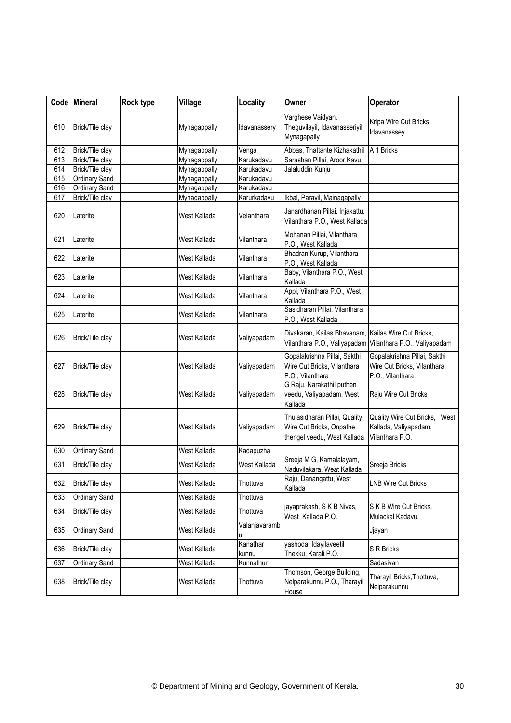|     | Code Mineral    | Rock type | Village      | Locality          | Owner                                                                                    | Operator                                                                        |
|-----|-----------------|-----------|--------------|-------------------|------------------------------------------------------------------------------------------|---------------------------------------------------------------------------------|
| 610 | Brick/Tile clay |           | Mynagappally | Idavanassery      | Varghese Vaidyan,<br>Theguvilayil, Idavanasseriyil,<br>Mynagapally                       | Kripa Wire Cut Bricks,<br>Idavanassey                                           |
| 612 | Brick/Tile clay |           | Mynagappally | Venga             | Abbas, Thattante Kizhakathil                                                             | A 1 Bricks                                                                      |
| 613 | Brick/Tile clay |           | Mynagappally | Karukadavu        | Sarashan Pillai, Aroor Kavu                                                              |                                                                                 |
| 614 | Brick/Tile clay |           | Mynagappally | Karukadavu        | Jalaluddin Kunju                                                                         |                                                                                 |
| 615 | Ordinary Sand   |           | Mynagappally | Karukadavu        |                                                                                          |                                                                                 |
| 616 | Ordinary Sand   |           | Mynagappally | Karukadavu        |                                                                                          |                                                                                 |
| 617 | Brick/Tile clay |           | Mynagappally | Karurkadavu       | Ikbal, Parayil, Mainagapally                                                             |                                                                                 |
| 620 | Laterite        |           | West Kallada | Velanthara        | Janardhanan Pillai, Injakattu,<br>Vilanthara P.O., West Kallada                          |                                                                                 |
| 621 | Laterite        |           | West Kallada | Vilanthara        | Mohanan Pillai, Vilanthara<br>P.O., West Kallada                                         |                                                                                 |
| 622 | Laterite        |           | West Kallada | Vilanthara        | Bhadran Kurup, Vilanthara<br>P.O., West Kallada                                          |                                                                                 |
| 623 | Laterite        |           | West Kallada | Vilanthara        | Baby, Vilanthara P.O., West<br>Kallada                                                   |                                                                                 |
| 624 | Laterite        |           | West Kallada | Vilanthara        | Appi, Vilanthara P.O., West<br>Kallada                                                   |                                                                                 |
| 625 | Laterite        |           | West Kallada | Vilanthara        | Sasidharan Pillai, Vilanthara<br>P.O., West Kallada                                      |                                                                                 |
| 626 | Brick/Tile clay |           | West Kallada | Valiyapadam       | Divakaran, Kailas Bhavanam,<br>Vilanthara P.O., Valiyapadam                              | Kailas Wire Cut Bricks,<br>Vilanthara P.O., Valiyapadam                         |
| 627 | Brick/Tile clay |           | West Kallada | Valiyapadam       | Gopalakrishna Pillai, Sakthi<br>Wire Cut Bricks, Vilanthara<br>P.O., Vilanthara          | Gopalakrishna Pillai, Sakthi<br>Wire Cut Bricks, Vilanthara<br>P.O., Vilanthara |
| 628 | Brick/Tile clay |           | West Kallada | Valiyapadam       | G Raju, Narakathil puthen<br>veedu, Valiyapadam, West<br>Kallada                         | Raju Wire Cut Bricks                                                            |
| 629 | Brick/Tile clay |           | West Kallada | Valiyapadam       | Thulasidharan Pillai, Quality<br>Wire Cut Bricks, Onpathe<br>thengel veedu, West Kallada | Quality Wire Cut Bricks, West<br>Kallada, Valiyapadam,<br>Vilanthara P.O.       |
| 630 | Ordinary Sand   |           | West Kallada | Kadapuzha         |                                                                                          |                                                                                 |
| 631 | Brick/Tile clay |           | West Kallada | West Kallada      | Sreeja M G, Kamalalayam,<br>Naduvilakara, Weat Kallada                                   | Sreeja Bricks                                                                   |
| 632 | Brick/Tile clay |           | West Kallada | Thottuva          | Raju, Danangattu, West<br>Kallada                                                        | <b>LNB Wire Cut Bricks</b>                                                      |
| 633 | Ordinary Sand   |           | West Kallada | Thottuva          |                                                                                          |                                                                                 |
| 634 | Brick/Tile clay |           | West Kallada | Thottuva          | jayaprakash, S K B Nivas,<br>West Kallada P.O.                                           | S K B Wire Cut Bricks,<br>Mulackal Kadavu.                                      |
| 635 | Ordinary Sand   |           | West Kallada | Valanjavaramb     |                                                                                          | Jjayan                                                                          |
| 636 | Brick/Tile clay |           | West Kallada | Kanathar<br>kunnu | yashoda, Idayilaveetil<br>Thekku, Karali P.O.                                            | S R Bricks                                                                      |
| 637 | Ordinary Sand   |           | West Kallada | Kunnathur         |                                                                                          | Sadasivan                                                                       |
| 638 | Brick/Tile clay |           | West Kallada | Thottuva          | Thomson, George Building,<br>Nelparakunnu P.O., Tharayil<br>House                        | Tharayil Bricks, Thottuva,<br>Nelparakunnu                                      |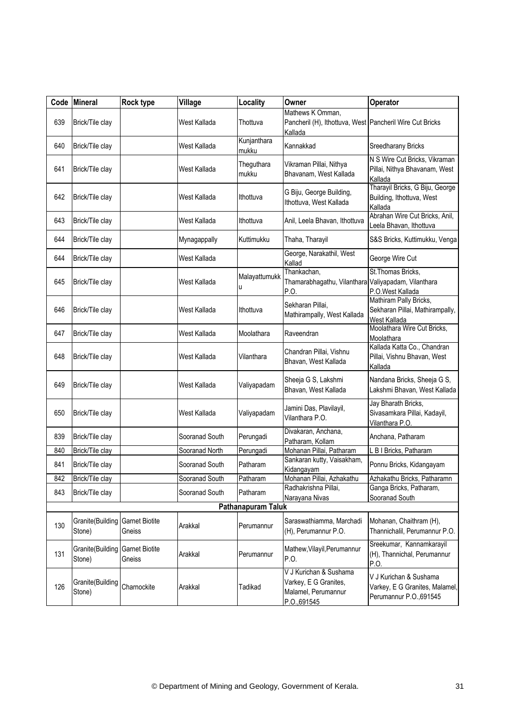| Code | Mineral                                   | Rock type                       | Village        | Locality             | Owner                                                                                   | Operator                                                                            |
|------|-------------------------------------------|---------------------------------|----------------|----------------------|-----------------------------------------------------------------------------------------|-------------------------------------------------------------------------------------|
| 639  | Brick/Tile clay                           |                                 | West Kallada   | Thottuva             | Mathews K Omman,<br>Pancheril (H), Ithottuva, West Pancheril Wire Cut Bricks<br>Kallada |                                                                                     |
| 640  | Brick/Tile clay                           |                                 | West Kallada   | Kunjanthara<br>mukku | Kannakkad                                                                               | Sreedharany Bricks                                                                  |
| 641  | Brick/Tile clay                           |                                 | West Kallada   | Theguthara<br>mukku  | Vikraman Pillai, Nithya<br>Bhavanam, West Kallada                                       | N S Wire Cut Bricks, Vikraman<br>Pillai, Nithya Bhavanam, West<br>Kallada           |
| 642  | Brick/Tile clay                           |                                 | West Kallada   | Ithottuva            | G Biju, George Building,<br>Ithottuva, West Kallada                                     | Tharayil Bricks, G Biju, George<br>Building, Ithottuva, West<br>Kallada             |
| 643  | Brick/Tile clay                           |                                 | West Kallada   | Ithottuva            | Anil, Leela Bhavan, Ithottuva                                                           | Abrahan Wire Cut Bricks, Anil,<br>Leela Bhavan, Ithottuva                           |
| 644  | Brick/Tile clay                           |                                 | Mynagappally   | Kuttimukku           | Thaha, Tharayil                                                                         | S&S Bricks, Kuttimukku, Venga                                                       |
| 644  | Brick/Tile clay                           |                                 | West Kallada   |                      | George, Narakathil, West<br>Kallad                                                      | George Wire Cut                                                                     |
| 645  | Brick/Tile clay                           |                                 | West Kallada   | Malayattumukk<br>u   | Thankachan,<br>Thamarabhagathu, Vilanthara Valiyapadam, Vilanthara<br>P.O.              | St. Thomas Bricks,<br>P.O.West Kallada                                              |
| 646  | Brick/Tile clay                           |                                 | West Kallada   | Ithottuva            | Sekharan Pillai,<br>Mathirampally, West Kallada                                         | Mathiram Pally Bricks,<br>Sekharan Pillai, Mathirampally,<br>West Kallada           |
| 647  | Brick/Tile clay                           |                                 | West Kallada   | Moolathara           | Raveendran                                                                              | Moolathara Wire Cut Bricks,<br>Moolathara                                           |
| 648  | Brick/Tile clay                           |                                 | West Kallada   | Vilanthara           | Chandran Pillai, Vishnu<br>Bhavan, West Kallada                                         | Kallada Katta Co., Chandran<br>Pillai, Vishnu Bhavan, West<br>Kallada               |
| 649  | Brick/Tile clay                           |                                 | West Kallada   | Valiyapadam          | Sheeja G S, Lakshmi<br>Bhavan, West Kallada                                             | Nandana Bricks, Sheeja G S,<br>Lakshmi Bhavan, West Kallada                         |
| 650  | Brick/Tile clay                           |                                 | West Kallada   | Valiyapadam          | Jamini Das, Plavilayil,<br>Vilanthara P.O.                                              | Jay Bharath Bricks,<br>Sivasamkara Pillai, Kadayil,<br>Vilanthara P.O.              |
| 839  | Brick/Tile clay                           |                                 | Sooranad South | Perungadi            | Divakaran, Anchana,<br>Patharam, Kollam                                                 | Anchana, Patharam                                                                   |
| 840  | Brick/Tile clay                           |                                 | Sooranad North | Perungadi            | Mohanan Pillai, Patharam                                                                | L B I Bricks, Patharam                                                              |
| 841  | Brick/Tile clay                           |                                 | Sooranad South | Patharam             | Sankaran kutty, Vaisakham,<br>Kidangayam                                                | Ponnu Bricks, Kidangayam                                                            |
| 842  | Brick/Tile clay                           |                                 | Sooranad South | Patharam             | Mohanan Pillai, Azhakathu                                                               | Azhakathu Bricks, Patharamn                                                         |
| 843  | Brick/Tile clay                           |                                 | Sooranad South | Patharam             | Radhakrishna Pillai,<br>Narayana Nivas                                                  | Ganga Bricks, Patharam,<br>Sooranad South                                           |
|      |                                           |                                 |                | Pathanapuram Taluk   |                                                                                         |                                                                                     |
| 130  | Granite(Building Garnet Biotite<br>Stone) | Gneiss                          | Arakkal        | Perumannur           | Saraswathiamma, Marchadi<br>(H), Perumannur P.O.                                        | Mohanan, Chaithram (H),<br>Thannichalil, Perumannur P.O.                            |
| 131  | Granite(Building<br>Stone)                | <b>Garnet Biotite</b><br>Gneiss | Arakkal        | Perumannur           | Mathew, Vilayil, Perumannur<br>P.O.                                                     | Sreekumar, Kannamkarayil<br>(H), Thannichal, Perumannur<br>P.O.                     |
| 126  | Granite(Building<br>Stone)                | Charnockite                     | Arakkal        | Tadikad              | V J Kurichan & Sushama<br>Varkey, E G Granites,<br>Malamel, Perumannur<br>P.O., 691545  | V J Kurichan & Sushama<br>Varkey, E G Granites, Malamel,<br>Perumannur P.O., 691545 |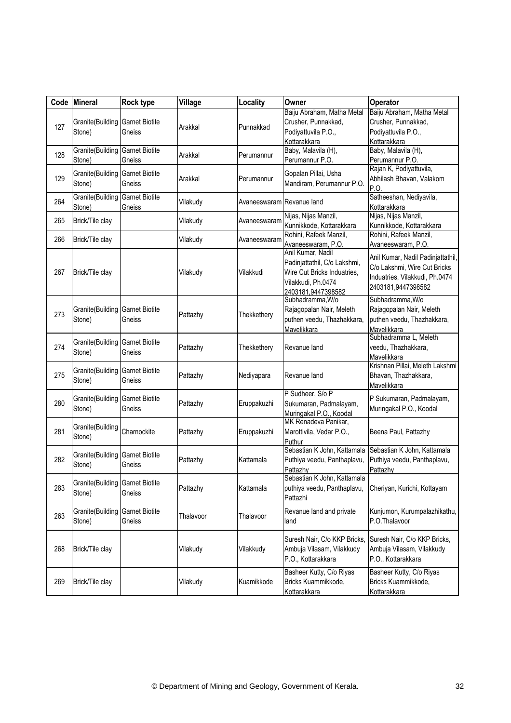| Code | <b>Mineral</b>                                    | Rock type                       | Village   | Locality                  | Owner                                                                                                                        | Operator                                                                                                                  |
|------|---------------------------------------------------|---------------------------------|-----------|---------------------------|------------------------------------------------------------------------------------------------------------------------------|---------------------------------------------------------------------------------------------------------------------------|
| 127  | <b>Granite</b> (Building Garnet Biotite<br>Stone) | Gneiss                          | Arakkal   | Punnakkad                 | Baiju Abraham, Matha Metal<br>Crusher, Punnakkad,<br>Podiyattuvila P.O.,<br>Kottarakkara                                     | Baiju Abraham, Matha Metal<br>Crusher, Punnakkad,<br>Podiyattuvila P.O.,<br>Kottarakkara                                  |
| 128  | <b>Granite</b> (Building Garnet Biotite<br>Stone) | Gneiss                          | Arakkal   | Perumannur                | Baby, Malavila (H),<br>Perumannur P.O.                                                                                       | Baby, Malavila (H),<br>Perumannur P.O.                                                                                    |
| 129  | Granite(Building<br>Stone)                        | <b>Garnet Biotite</b><br>Gneiss | Arakkal   | Perumannur                | Gopalan Pillai, Usha<br>Mandiram, Perumannur P.O.                                                                            | Rajan K, Podiyattuvila,<br>Abhilash Bhavan, Valakom<br>P.O                                                                |
| 264  | Granite(Building<br>Stone)                        | <b>Garnet Biotite</b><br>Gneiss | Vilakudy  | Avaneeswaram Revanue land |                                                                                                                              | Satheeshan, Nediyavila,<br>Kottarakkara                                                                                   |
| 265  | Brick/Tile clay                                   |                                 | Vilakudy  | Avaneeswaram              | Nijas, Nijas Manzil,<br>Kunnikkode, Kottarakkara                                                                             | Nijas, Nijas Manzil,<br>Kunnikkode, Kottarakkara                                                                          |
| 266  | Brick/Tile clay                                   |                                 | Vilakudy  | Avaneeswaram              | Rohini, Rafeek Manzil,<br>Avaneeswaram, P.O.                                                                                 | Rohini, Rafeek Manzil,<br>Avaneeswaram, P.O.                                                                              |
| 267  | Brick/Tile clay                                   |                                 | Vilakudy  | Vilakkudi                 | Anil Kumar, Nadil<br>Padinjattathil, C/o Lakshmi,<br>Wire Cut Bricks Induatries,<br>Vilakkudi, Ph.0474<br>2403181,9447398582 | Anil Kumar, Nadil Padinjattathil,<br>C/o Lakshmi, Wire Cut Bricks<br>Induatries, Vilakkudi, Ph.0474<br>2403181,9447398582 |
| 273  | Granite (Building Garnet Biotite<br>Stone)        | Gneiss                          | Pattazhy  | Thekkethery               | Subhadramma, W/o<br>Rajagopalan Nair, Meleth<br>puthen veedu, Thazhakkara,<br>Mavelikkara                                    | Subhadramma, W/o<br>Rajagopalan Nair, Meleth<br>puthen veedu, Thazhakkara,<br>Mavelikkara                                 |
| 274  | Granite(Building<br>Stone)                        | <b>Garnet Biotite</b><br>Gneiss | Pattazhy  | Thekkethery               | Revanue land                                                                                                                 | Subhadramma L, Meleth<br>veedu, Thazhakkara,<br>Mavelikkara                                                               |
| 275  | Granite (Building Garnet Biotite<br>Stone)        | Gneiss                          | Pattazhy  | Nediyapara                | Revanue land                                                                                                                 | Krishnan Pillai, Meleth Lakshmi<br>Bhavan, Thazhakkara,<br>Mavelikkara                                                    |
| 280  | Granite(Building<br>Stone)                        | <b>Garnet Biotite</b><br>Gneiss | Pattazhy  | Eruppakuzhi               | P Sudheer, S/o P<br>Sukumaran, Padmalayam,<br>Muringakal P.O., Koodal                                                        | P Sukumaran, Padmalayam,<br>Muringakal P.O., Koodal                                                                       |
| 281  | Granite(Building<br>Stone)                        | Charnockite                     | Pattazhy  | Eruppakuzhi               | MK Renadeva Panikar,<br>Marottivila, Vedar P.O.,<br>Puthur                                                                   | Beena Paul, Pattazhy                                                                                                      |
| 282  | Granite(Building<br>Stone)                        | <b>Garnet Biotite</b><br>Gneiss | Pattazhy  | Kattamala                 | Sebastian K John, Kattamala<br>Puthiya veedu, Panthaplavu,<br>Pattazhy                                                       | Sebastian K John, Kattamala<br>Puthiya veedu, Panthaplavu,<br>Pattazhy                                                    |
| 283  | Granite(Building Garnet Biotite<br>Stone)         | Gneiss                          | Pattazhy  | Kattamala                 | Sebastian K John, Kattamala<br>puthiya veedu, Panthaplavu,<br>Pattazhi                                                       | Cheriyan, Kurichi, Kottayam                                                                                               |
| 263  | Granite(Building<br>Stone)                        | <b>Garnet Biotite</b><br>Gneiss | Thalavoor | Thalavoor                 | Revanue land and private<br>land                                                                                             | Kunjumon, Kurumpalazhikathu,<br>P.O.Thalavoor                                                                             |
| 268  | Brick/Tile clay                                   |                                 | Vilakudy  | Vilakkudy                 | Suresh Nair, C/o KKP Bricks,<br>Ambuja Vilasam, Vilakkudy<br>P.O., Kottarakkara                                              | Suresh Nair, C/o KKP Bricks,<br>Ambuja Vilasam, Vilakkudy<br>P.O., Kottarakkara                                           |
| 269  | Brick/Tile clay                                   |                                 | Vilakudy  | Kuamikkode                | Basheer Kutty, C/o Riyas<br>Bricks Kuammikkode,<br>Kottarakkara                                                              | Basheer Kutty, C/o Riyas<br>Bricks Kuammikkode,<br>Kottarakkara                                                           |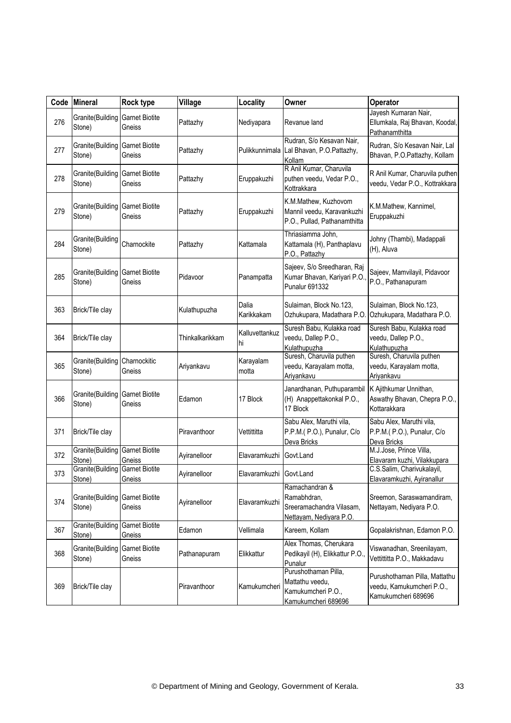| Code | <b>Mineral</b>                                    | Rock type                       | Village         | Locality                | Owner                                                                                | <b>Operator</b>                                                                   |
|------|---------------------------------------------------|---------------------------------|-----------------|-------------------------|--------------------------------------------------------------------------------------|-----------------------------------------------------------------------------------|
| 276  | <b>Granite</b> (Building Garnet Biotite<br>Stone) | Gneiss                          | Pattazhy        | Nediyapara              | Revanue land                                                                         | Jayesh Kumaran Nair,<br>Ellumkala, Raj Bhavan, Koodal,<br>Pathanamthitta          |
| 277  | Granite(Building<br>Stone)                        | <b>Garnet Biotite</b><br>Gneiss | Pattazhy        |                         | Rudran, S/o Kesavan Nair,<br>Pulikkunnimala Lal Bhavan, P.O.Pattazhy,<br>Kollam      | Rudran, S/o Kesavan Nair, Lal<br>Bhavan, P.O.Pattazhy, Kollam                     |
| 278  | Granite(Building<br>Stone)                        | <b>Garnet Biotite</b><br>Gneiss | Pattazhy        | Eruppakuzhi             | R Anil Kumar, Charuvila<br>puthen veedu, Vedar P.O.,<br>Kottrakkara                  | R Anil Kumar, Charuvila puthen<br>veedu, Vedar P.O., Kottrakkara                  |
| 279  | Granite(Building<br>Stone)                        | <b>Garnet Biotite</b><br>Gneiss | Pattazhy        | Eruppakuzhi             | K.M.Mathew, Kuzhovom<br>Mannil veedu, Karavankuzhi<br>P.O., Pullad, Pathanamthitta   | K.M.Mathew, Kannimel,<br>Eruppakuzhi                                              |
| 284  | Granite(Building<br>Stone)                        | Charnockite                     | Pattazhy        | Kattamala               | Thriasiamma John,<br>Kattamala (H), Panthaplavu<br>P.O., Pattazhy                    | Johny (Thambi), Madappali<br>(H), Aluva                                           |
| 285  | Granite(Building<br>Stone)                        | <b>Garnet Biotite</b><br>Gneiss | Pidavoor        | Panampatta              | Sajeev, S/o Sreedharan, Raj<br>Kumar Bhavan, Kariyari P.O.<br><b>Punalur 691332</b>  | Sajeev, Mamvilayil, Pidavoor<br>P.O., Pathanapuram                                |
| 363  | Brick/Tile clay                                   |                                 | Kulathupuzha    | Dalia<br>Karikkakam     | Sulaiman, Block No.123,<br>Ozhukupara, Madathara P.O.                                | Sulaiman, Block No.123,<br>Ozhukupara, Madathara P.O.                             |
| 364  | Brick/Tile clay                                   |                                 | Thinkalkarikkam | Kalluvettankuz<br>hi    | Suresh Babu, Kulakka road<br>veedu, Dallep P.O.,<br>Kulathupuzha                     | Suresh Babu, Kulakka road<br>veedu, Dallep P.O.,<br>Kulathupuzha                  |
| 365  | Granite(Building<br>Stone)                        | Charnockitic<br>Gneiss          | Ariyankavu      | Karayalam<br>motta      | Suresh, Charuvila puthen<br>veedu, Karayalam motta,<br>Ariyankavu                    | Suresh, Charuvila puthen<br>veedu, Karayalam motta,<br>Ariyankavu                 |
| 366  | Granite(Building<br>Stone)                        | <b>Garnet Biotite</b><br>Gneiss | Edamon          | 17 Block                | Janardhanan, Puthuparambil<br>(H) Anappettakonkal P.O.,<br>17 Block                  | K Ajithkumar Unnithan,<br>Aswathy Bhavan, Chepra P.O.,<br>Kottarakkara            |
| 371  | Brick/Tile clay                                   |                                 | Piravanthoor    | Vettittitta             | Sabu Alex, Maruthi vila,<br>P.P.M.( P.O.), Punalur, C/o<br>Deva Bricks               | Sabu Alex, Maruthi vila,<br>P.P.M.( P.O.), Punalur, C/o<br>Deva Bricks            |
| 372  | Granite(Building<br>Stone)                        | <b>Garnet Biotite</b><br>Gneiss | Ayiranelloor    | Elavaramkuzhi           | Govt.Land                                                                            | M.J.Jose, Prince Villa,<br>Elavaram kuzhi, Vilakkupara                            |
| 373  | <b>Granite</b> (Building Garnet Biotite<br>Stone) | Gneiss                          | Ayiranelloor    | Elavaramkuzhi Govt.Land |                                                                                      | C.S.Salim, Charivukalayil,<br>Elavaramkuzhi, Ayiranallur                          |
| 374  | Granite(Building<br>Stone)                        | <b>Garnet Biotite</b><br>Gneiss | Ayiranelloor    | Elavaramkuzhi           | Ramachandran &<br>Ramabhdran,<br>Sreeramachandra Vilasam,<br>Nettayam, Nediyara P.O. | Sreemon, Saraswamandiram,<br>Nettayam, Nediyara P.O.                              |
| 367  | Granite(Building<br>Stone)                        | <b>Garnet Biotite</b><br>Gneiss | Edamon          | Vellimala               | Kareem, Kollam                                                                       | Gopalakrishnan, Edamon P.O.                                                       |
| 368  | Granite(Building<br>Stone)                        | <b>Garnet Biotite</b><br>Gneiss | Pathanapuram    | Elikkattur              | Alex Thomas, Cherukara<br>Pedikayil (H), Elikkattur P.O.,<br>Punalur                 | Viswanadhan, Sreenilayam,<br>Vettittitta P.O., Makkadavu                          |
| 369  | Brick/Tile clay                                   |                                 | Piravanthoor    | Kamukumcheri            | Purushothaman Pilla,<br>Mattathu veedu,<br>Kamukumcheri P.O.,<br>Kamukumcheri 689696 | Purushothaman Pilla, Mattathu<br>veedu, Kamukumcheri P.O.,<br>Kamukumcheri 689696 |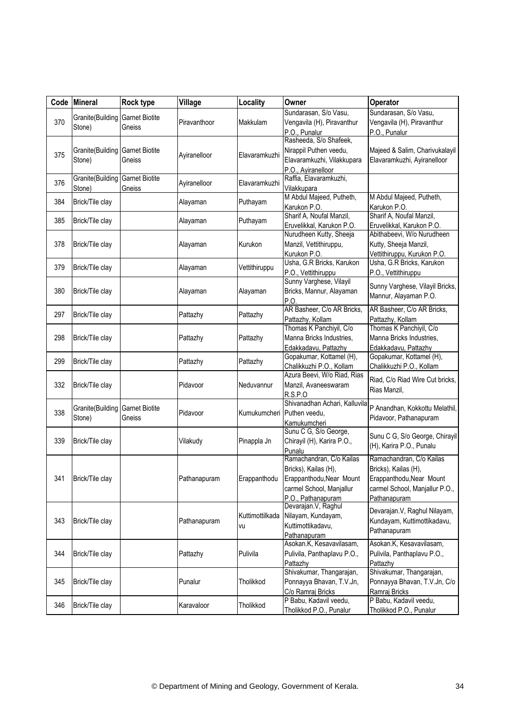|     | Code Mineral                                      | Rock type                       | Village      | Locality                   | Owner                                                                                                                                       | Operator                                                                                                                       |
|-----|---------------------------------------------------|---------------------------------|--------------|----------------------------|---------------------------------------------------------------------------------------------------------------------------------------------|--------------------------------------------------------------------------------------------------------------------------------|
| 370 | Granite(Building<br>Stone)                        | <b>Garnet Biotite</b><br>Gneiss | Piravanthoor | Makkulam                   | Sundarasan, S/o Vasu,<br>Vengavila (H), Piravanthur<br>P.O., Punalur                                                                        | Sundarasan, S/o Vasu,<br>Vengavila (H), Piravanthur<br>P.O., Punalur                                                           |
| 375 | <b>Granite</b> (Building Garnet Biotite<br>Stone) | Gneiss                          | Ayiranelloor | Elavaramkuzhi              | Rasheeda, S/o Shafeek,<br>Nirappil Puthen veedu,<br>Elavaramkuzhi, Vilakkupara<br>P.O., Ayiranelloor                                        | Majeed & Salim, Charivukalayil<br>Elavaramkuzhi, Ayiranelloor                                                                  |
| 376 | Granite(Building<br>Stone)                        | <b>Garnet Biotite</b><br>Gneiss | Ayiranelloor | Elavaramkuzhi              | Raffia, Elavaramkuzhi,<br>Vilakkupara                                                                                                       |                                                                                                                                |
| 384 | Brick/Tile clay                                   |                                 | Alayaman     | Puthayam                   | M Abdul Majeed, Putheth,<br>Karukon P.O.                                                                                                    | M Abdul Majeed, Putheth,<br>Karukon P.O.                                                                                       |
| 385 | Brick/Tile clay                                   |                                 | Alayaman     | Puthayam                   | Sharif A, Noufal Manzil,<br>Eruvelikkal, Karukon P.O.                                                                                       | Sharif A, Noufal Manzil,<br>Eruvelikkal, Karukon P.O.                                                                          |
| 378 | Brick/Tile clay                                   |                                 | Alayaman     | Kurukon                    | Nurudheen Kutty, Sheeja<br>Manzil, Vettithiruppu,<br>Kurukon P.O.                                                                           | Abithabeevi, W/o Nurudheen<br>Kutty, Sheeja Manzil,<br>Vettithiruppu, Kurukon P.O.                                             |
| 379 | Brick/Tile clay                                   |                                 | Alayaman     | Vettithiruppu              | Usha, G.R Bricks, Karukon<br>P.O., Vettithiruppu                                                                                            | Usha, G.R Bricks, Karukon<br>P.O., Vettithiruppu                                                                               |
| 380 | Brick/Tile clay                                   |                                 | Alayaman     | Alayaman                   | Sunny Varghese, Vilayil<br>Bricks, Mannur, Alayaman<br>P.O.                                                                                 | Sunny Varghese, Vilayil Bricks,<br>Mannur, Alayaman P.O.                                                                       |
| 297 | Brick/Tile clay                                   |                                 | Pattazhy     | Pattazhy                   | AR Basheer, C/o AR Bricks,<br>Pattazhy, Kollam                                                                                              | AR Basheer, C/o AR Bricks,<br>Pattazhy, Kollam                                                                                 |
| 298 | Brick/Tile clay                                   |                                 | Pattazhy     | Pattazhy                   | Thomas K Panchiyil, C/o<br>Manna Bricks Industries,<br>Edakkadavu, Pattazhy                                                                 | Thomas K Panchiyil, C/o<br>Manna Bricks Industries,<br>Edakkadavu, Pattazhy                                                    |
| 299 | Brick/Tile clay                                   |                                 | Pattazhy     | Pattazhy                   | Gopakumar, Kottamel (H),<br>Chalikkuzhi P.O., Kollam                                                                                        | Gopakumar, Kottamel (H),<br>Chalikkuzhi P.O., Kollam                                                                           |
| 332 | Brick/Tile clay                                   |                                 | Pidavoor     | Neduvannur                 | Azura Beevi, W/o Riad, Rias<br>Manzil, Avaneeswaram<br><b>R.S.P.O</b>                                                                       | Riad, C/o Riad Wire Cut bricks,<br>Rias Manzil,                                                                                |
| 338 | Granite(Building<br>Stone)                        | <b>Garnet Biotite</b><br>Gneiss | Pidavoor     | Kumukumcheri Puthen veedu, | Shivanadhan Achari, Kalluvila<br>Kamukumcheri                                                                                               | P Anandhan, Kokkottu Melathil,<br>Pidavoor, Pathanapuram                                                                       |
| 339 | Brick/Tile clay                                   |                                 | Vilakudy     | Pinappla Jn                | Sunu C G, S/o George,<br>Chirayil (H), Karira P.O.,<br>Punalu                                                                               | Sunu C G, S/o George, Chirayil<br>(H), Karira P.O., Punalu                                                                     |
|     | 341 Brick/Tile clay                               |                                 | Pathanapuram |                            | Ramachandran, C/o Kailas<br>Bricks), Kailas (H),<br>Erappanthodu Erappanthodu, Near Mount<br>carmel School, Manjallur<br>P.O., Pathanapuram | Ramachandran, C/o Kailas<br>Bricks), Kailas (H),<br>Erappanthodu, Near Mount<br>carmel School, Manjallur P.O.,<br>Pathanapuram |
| 343 | Brick/Tile clay                                   |                                 | Pathanapuram | Kuttimottilkada<br>VU      | Devarajan.V, Raghul<br>Nilayam, Kundayam,<br>Kuttimottikadavu,<br>Pathanapuram                                                              | Devarajan.V, Raghul Nilayam,<br>Kundayam, Kuttimottikadavu,<br>Pathanapuram                                                    |
| 344 | Brick/Tile clay                                   |                                 | Pattazhy     | Pulivila                   | Asokan.K, Kesavavilasam,<br>Pulivila, Panthaplavu P.O.,<br>Pattazhy                                                                         | Asokan.K, Kesavavilasam,<br>Pulivila, Panthaplavu P.O.,<br>Pattazhy                                                            |
| 345 | Brick/Tile clay                                   |                                 | Punalur      | Tholikkod                  | Shivakumar, Thangarajan,<br>Ponnayya Bhavan, T.V.Jn,<br>C/o Ramraj Bricks                                                                   | Shivakumar, Thangarajan,<br>Ponnayya Bhavan, T.V.Jn, C/o<br>Ramraj Bricks                                                      |
| 346 | Brick/Tile clay                                   |                                 | Karavaloor   | Tholikkod                  | P Babu, Kadavil veedu,<br>Tholikkod P.O., Punalur                                                                                           | P Babu, Kadavil veedu,<br>Tholikkod P.O., Punalur                                                                              |